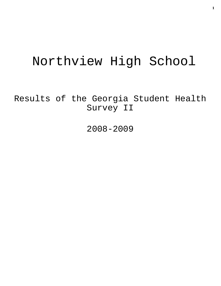# Northview High School

Results of the Georgia Student Health Survey II

2008-2009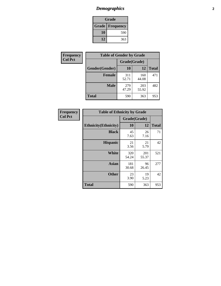# *Demographics* **2**

| Grade                    |     |  |  |  |
|--------------------------|-----|--|--|--|
| <b>Grade   Frequency</b> |     |  |  |  |
| 10                       | 590 |  |  |  |
| 12                       | 363 |  |  |  |

| Frequency      | <b>Table of Gender by Grade</b> |              |              |              |  |  |
|----------------|---------------------------------|--------------|--------------|--------------|--|--|
| <b>Col Pct</b> |                                 | Grade(Grade) |              |              |  |  |
|                | Gender(Gender)                  | 10           | 12           | <b>Total</b> |  |  |
|                | <b>Female</b>                   | 311<br>52.71 | 160<br>44.08 | 471          |  |  |
|                | <b>Male</b>                     | 279<br>47.29 | 203<br>55.92 | 482          |  |  |
|                | <b>Total</b>                    | 590          | 363          | 953          |  |  |

| <b>Frequency</b> |
|------------------|
| Uol Pci          |

| <b>Table of Ethnicity by Grade</b> |              |              |              |  |  |  |
|------------------------------------|--------------|--------------|--------------|--|--|--|
|                                    | Grade(Grade) |              |              |  |  |  |
| <b>Ethnicity</b> (Ethnicity)       | 10           | 12           | <b>Total</b> |  |  |  |
| <b>Black</b>                       | 45<br>7.63   | 26<br>7.16   | 71           |  |  |  |
| <b>Hispanic</b>                    | 21<br>3.56   | 21<br>5.79   | 42           |  |  |  |
| White                              | 320<br>54.24 | 201<br>55.37 | 521          |  |  |  |
| <b>Asian</b>                       | 181<br>30.68 | 96<br>26.45  | 277          |  |  |  |
| <b>Other</b>                       | 23<br>3.90   | 19<br>5.23   | 42           |  |  |  |
| <b>Total</b>                       | 590          | 363          | 953          |  |  |  |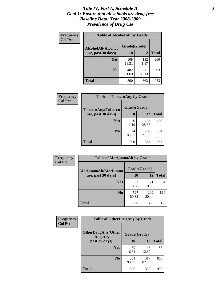#### *Title IV, Part A, Schedule A* **3** *Goal 1: Ensure that all schools are drug-free Baseline Data: Year 2008-2009 Prevalence of Drug Use*

| Frequency<br><b>Col Pct</b> | <b>Table of AlcoholAlt by Grade</b> |              |              |              |  |  |
|-----------------------------|-------------------------------------|--------------|--------------|--------------|--|--|
|                             | AlcoholAlt(Alcohol                  | Grade(Grade) |              |              |  |  |
|                             | use, past 30 days)                  | <b>10</b>    | 12           | <b>Total</b> |  |  |
|                             | <b>Yes</b>                          | 108<br>18.31 | 152<br>41.87 | 260          |  |  |
|                             | N <sub>0</sub>                      | 482<br>81.69 | 211<br>58.13 | 693          |  |  |
|                             | <b>Total</b>                        | 590          | 363          | 953          |  |  |

| <b>Frequency</b><br><b>Col Pct</b> | <b>Table of TobaccoAny by Grade</b> |              |              |              |  |  |
|------------------------------------|-------------------------------------|--------------|--------------|--------------|--|--|
|                                    | TobaccoAny(Tobacco                  | Grade(Grade) |              |              |  |  |
|                                    | use, past 30 days)                  | 10           | 12           | <b>Total</b> |  |  |
|                                    | Yes                                 | 66<br>11.19  | 103<br>28.37 | 169          |  |  |
|                                    | N <sub>0</sub>                      | 524<br>88.81 | 260<br>71.63 | 784          |  |  |
|                                    | Total                               | 590          | 363          | 953          |  |  |

| Frequency<br><b>Col Pct</b> | <b>Table of MarijuanaAlt by Grade</b> |              |              |              |  |
|-----------------------------|---------------------------------------|--------------|--------------|--------------|--|
|                             | MarijuanaAlt(Marijuana                | Grade(Grade) |              |              |  |
|                             | use, past 30 days)                    | <b>10</b>    | 12           | <b>Total</b> |  |
|                             | <b>Yes</b>                            | 63<br>10.68  | 71<br>19.56  | 134          |  |
|                             | N <sub>0</sub>                        | 527<br>89.32 | 292<br>80.44 | 819          |  |
|                             | <b>Total</b>                          | 590          | 363          | 953          |  |

| Frequency      | <b>Table of OtherDrugAny by Grade</b>  |              |              |              |  |
|----------------|----------------------------------------|--------------|--------------|--------------|--|
| <b>Col Pct</b> | <b>OtherDrugAny(Other</b><br>drug use, | Grade(Grade) |              |              |  |
|                | past 30 days)                          | 10           | 12           | <b>Total</b> |  |
|                | Yes                                    | 39<br>6.61   | 46<br>12.67  | 85           |  |
|                | N <sub>0</sub>                         | 551<br>93.39 | 317<br>87.33 | 868          |  |
|                | <b>Total</b>                           | 590          | 363          | 953          |  |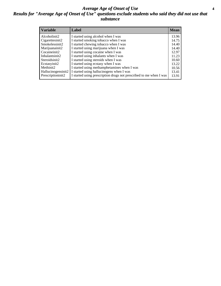### *Average Age of Onset of Use* **4** *Results for "Average Age of Onset of Use" questions exclude students who said they did not use that substance*

| <b>Variable</b>    | Label                                                              | <b>Mean</b> |
|--------------------|--------------------------------------------------------------------|-------------|
| Alcoholinit2       | I started using alcohol when I was                                 | 13.96       |
| Cigarettesinit2    | I started smoking tobacco when I was                               | 14.75       |
| Smokelessinit2     | I started chewing tobacco when I was                               | 14.40       |
| Marijuanainit2     | I started using marijuana when I was                               | 14.40       |
| Cocaineinit2       | I started using cocaine when I was                                 | 12.97       |
| Inhalantsinit2     | I started using inhalants when I was                               | 11.23       |
| Steroidsinit2      | I started using steroids when I was                                | 10.60       |
| Ecstasyinit2       | I started using ecstasy when I was                                 | 13.22       |
| Methinit2          | I started using methamphetamines when I was                        | 10.56       |
| Hallucinogensinit2 | I started using hallucinogens when I was                           | 13.41       |
| Prescriptioninit2  | I started using prescription drugs not prescribed to me when I was | 13.91       |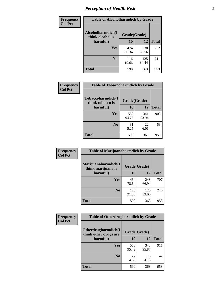# *Perception of Health Risk* **5**

| Frequency      | <b>Table of Alcoholharmdich by Grade</b> |              |              |              |  |
|----------------|------------------------------------------|--------------|--------------|--------------|--|
| <b>Col Pct</b> | Alcoholharmdich(I<br>think alcohol is    | Grade(Grade) |              |              |  |
|                | harmful)                                 | 10           | 12           | <b>Total</b> |  |
|                | <b>Yes</b>                               | 474<br>80.34 | 238<br>65.56 | 712          |  |
|                | N <sub>0</sub>                           | 116<br>19.66 | 125<br>34.44 | 241          |  |
|                | <b>Total</b>                             | 590          | 363          | 953          |  |

| Frequency      | <b>Table of Tobaccoharmdich by Grade</b> |              |              |              |  |
|----------------|------------------------------------------|--------------|--------------|--------------|--|
| <b>Col Pct</b> | Tobaccoharmdich(I<br>think tobacco is    | Grade(Grade) |              |              |  |
|                | harmful)                                 | 10           | 12           | <b>Total</b> |  |
|                | <b>Yes</b>                               | 559<br>94.75 | 341<br>93.94 | 900          |  |
|                | N <sub>0</sub>                           | 31<br>5.25   | 22<br>6.06   | 53           |  |
|                | <b>Total</b>                             | 590          | 363          | 953          |  |

| Frequency      | <b>Table of Marijuanaharmdich by Grade</b>                |              |              |              |  |  |
|----------------|-----------------------------------------------------------|--------------|--------------|--------------|--|--|
| <b>Col Pct</b> | Marijuanaharmdich(I<br>Grade(Grade)<br>think marijuana is |              |              |              |  |  |
|                | harmful)                                                  | <b>10</b>    | 12           | <b>Total</b> |  |  |
|                | Yes                                                       | 464<br>78.64 | 243<br>66.94 | 707          |  |  |
|                | N <sub>0</sub>                                            | 126<br>21.36 | 120<br>33.06 | 246          |  |  |
|                | <b>Total</b>                                              | 590          | 363          | 953          |  |  |

| Frequency      | <b>Table of Otherdrugharmdich by Grade</b>   |              |              |              |  |  |  |
|----------------|----------------------------------------------|--------------|--------------|--------------|--|--|--|
| <b>Col Pct</b> | Otherdrugharmdich(I<br>think other drugs are | Grade(Grade) |              |              |  |  |  |
|                | harmful)                                     | <b>10</b>    | 12           | <b>Total</b> |  |  |  |
|                | <b>Yes</b>                                   | 563<br>95.42 | 348<br>95.87 | 911          |  |  |  |
|                | N <sub>0</sub>                               | 27<br>4.58   | 15<br>4.13   | 42           |  |  |  |
|                | <b>Total</b>                                 | 590          | 363          | 953          |  |  |  |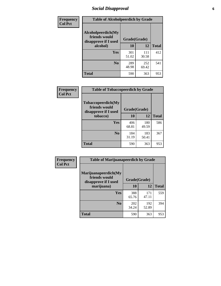# *Social Disapproval* **6**

| Frequency      | <b>Table of Alcoholpeerdich by Grade</b>                    |              |              |     |  |  |  |
|----------------|-------------------------------------------------------------|--------------|--------------|-----|--|--|--|
| <b>Col Pct</b> | Alcoholpeerdich(My<br>friends would<br>disapprove if I used | Grade(Grade) |              |     |  |  |  |
|                | alcohol)                                                    | 10           | <b>Total</b> |     |  |  |  |
|                | <b>Yes</b>                                                  | 301<br>51.02 | 111<br>30.58 | 412 |  |  |  |
|                | N <sub>0</sub>                                              | 289<br>48.98 | 252<br>69.42 | 541 |  |  |  |
|                | <b>Total</b>                                                | 590          | 363          | 953 |  |  |  |

| <b>Frequency</b> |
|------------------|
| <b>Col Pct</b>   |

| <b>Table of Tobaccopeerdich by Grade</b>                    |              |              |              |  |  |  |  |
|-------------------------------------------------------------|--------------|--------------|--------------|--|--|--|--|
| Tobaccopeerdich(My<br>friends would<br>disapprove if I used | Grade(Grade) |              |              |  |  |  |  |
| tobacco)                                                    | 10           | 12           | <b>Total</b> |  |  |  |  |
| Yes                                                         | 406<br>68.81 | 180<br>49.59 | 586          |  |  |  |  |
| N <sub>0</sub>                                              | 184<br>31.19 | 183<br>50.41 | 367          |  |  |  |  |
| <b>Total</b>                                                | 590          | 363          | 953          |  |  |  |  |

| Frequency      | <b>Table of Marijuanapeerdich by Grade</b>                    |              |              |              |  |  |  |  |
|----------------|---------------------------------------------------------------|--------------|--------------|--------------|--|--|--|--|
| <b>Col Pct</b> | Marijuanapeerdich(My<br>friends would<br>disapprove if I used | Grade(Grade) |              |              |  |  |  |  |
|                | marijuana)                                                    | 10           | 12           | <b>Total</b> |  |  |  |  |
|                | Yes                                                           | 388<br>65.76 | 171<br>47.11 | 559          |  |  |  |  |
|                | N <sub>0</sub>                                                | 202<br>34.24 | 192<br>52.89 | 394          |  |  |  |  |
|                | <b>Total</b>                                                  | 590          | 363          | 953          |  |  |  |  |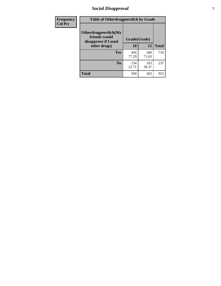# *Social Disapproval* **7**

| Frequency      | <b>Table of Otherdrugpeerdich by Grade</b>                    |              |              |              |  |  |  |  |
|----------------|---------------------------------------------------------------|--------------|--------------|--------------|--|--|--|--|
| <b>Col Pct</b> | Otherdrugpeerdich(My<br>friends would<br>disapprove if I used | Grade(Grade) |              |              |  |  |  |  |
|                | other drugs)                                                  | 10           | 12           | <b>Total</b> |  |  |  |  |
|                | Yes                                                           | 456<br>77.29 | 260<br>71.63 | 716          |  |  |  |  |
|                | N <sub>0</sub>                                                | 134<br>22.71 | 103<br>28.37 | 237          |  |  |  |  |
|                | <b>Total</b>                                                  | 590          | 363          | 953          |  |  |  |  |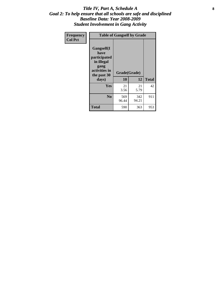### Title IV, Part A, Schedule A **8** *Goal 2: To help ensure that all schools are safe and disciplined Baseline Data: Year 2008-2009 Student Involvement in Gang Activity*

| Frequency      | <b>Table of Gangself by Grade</b>                                                                 |                    |              |              |
|----------------|---------------------------------------------------------------------------------------------------|--------------------|--------------|--------------|
| <b>Col Pct</b> | Gangself(I<br>have<br>participated<br>in illegal<br>gang<br>activities in<br>the past 30<br>days) | Grade(Grade)<br>10 | 12           | <b>Total</b> |
|                | Yes                                                                                               | 21<br>3.56         | 21<br>5.79   | 42           |
|                | N <sub>0</sub>                                                                                    | 569<br>96.44       | 342<br>94.21 | 911          |
|                | <b>Total</b>                                                                                      | 590                | 363          | 953          |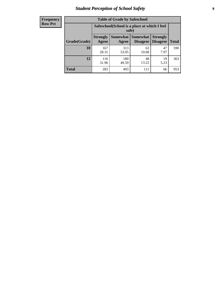# *Student Perception of School Safety* **9**

| <b>Frequency</b><br>Row Pct |
|-----------------------------|
|                             |

| <b>Table of Grade by Safeschool</b> |                                                                                                                                           |                                                        |             |            |     |  |  |
|-------------------------------------|-------------------------------------------------------------------------------------------------------------------------------------------|--------------------------------------------------------|-------------|------------|-----|--|--|
|                                     |                                                                                                                                           | Safeschool (School is a place at which I feel<br>safe) |             |            |     |  |  |
| Grade(Grade)                        | <b>Somewhat</b><br>Somewhat<br><b>Strongly</b><br><b>Strongly</b><br><b>Disagree</b><br><b>Disagree</b><br><b>Total</b><br>Agree<br>Agree |                                                        |             |            |     |  |  |
| 10                                  | 167<br>28.31                                                                                                                              | 313<br>53.05                                           | 63<br>10.68 | 47<br>7.97 | 590 |  |  |
| 12                                  | 116<br>31.96                                                                                                                              | 180<br>49.59                                           | 48<br>13.22 | 19<br>5.23 | 363 |  |  |
| <b>Total</b>                        | 283                                                                                                                                       | 493                                                    | 111         | 66         | 953 |  |  |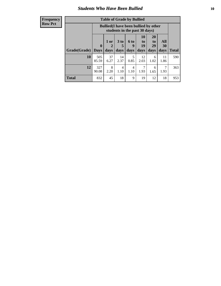### *Students Who Have Been Bullied* **10**

| <b>Frequency</b> |
|------------------|
| Row Pct          |

| <b>Table of Grade by Bullied</b> |                             |                                                                               |                              |                   |                               |                        |                   |              |
|----------------------------------|-----------------------------|-------------------------------------------------------------------------------|------------------------------|-------------------|-------------------------------|------------------------|-------------------|--------------|
|                                  |                             | <b>Bullied</b> (I have been bullied by other<br>students in the past 30 days) |                              |                   |                               |                        |                   |              |
| Grade(Grade)                     | $\mathbf{0}$<br><b>Days</b> | 1 or<br>2<br>days                                                             | 3 <sub>to</sub><br>5<br>days | 6 to<br>9<br>days | <b>10</b><br>to<br>19<br>days | 20<br>to<br>29<br>days | All<br>30<br>days | <b>Total</b> |
| 10                               | 505<br>85.59                | 37<br>6.27                                                                    | 14<br>2.37                   | 5<br>0.85         | 12<br>2.03                    | 6<br>1.02              | 11<br>1.86        | 590          |
| 12                               | 327<br>90.08                | 8<br>2.20                                                                     | 4<br>1.10                    | 4<br>1.10         | 1.93                          | 6<br>1.65              | 1.93              | 363          |
| <b>Total</b>                     | 832                         | 45                                                                            | 18                           | 9                 | 19                            | 12                     | 18                | 953          |

 $\blacksquare$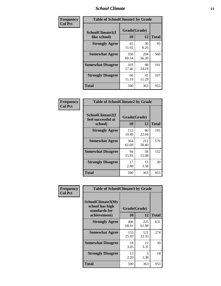### *School Climate* **11**

| Frequency      | <b>Table of SchoolClimate1 by Grade</b> |                    |              |              |  |  |  |
|----------------|-----------------------------------------|--------------------|--------------|--------------|--|--|--|
| <b>Col Pct</b> | SchoolClimate1(I<br>like school)        | Grade(Grade)<br>10 | 12           | <b>Total</b> |  |  |  |
|                | <b>Strongly Agree</b>                   | 65<br>11.02        | 30<br>8.26   | 95           |  |  |  |
|                | <b>Somewhat Agree</b>                   | 356<br>60.34       | 204<br>56.20 | 560          |  |  |  |
|                | <b>Somewhat Disagree</b>                | 103<br>17.46       | 88<br>24.24  | 191          |  |  |  |
|                | <b>Strongly Disagree</b>                | 66<br>11.19        | 41<br>11.29  | 107          |  |  |  |
|                | <b>Total</b>                            | 590                | 363          | 953          |  |  |  |

| Frequency<br>Col Pct |  |
|----------------------|--|

| <b>Table of SchoolClimate2 by Grade</b>           |              |              |     |  |
|---------------------------------------------------|--------------|--------------|-----|--|
| SchoolClimate2(I<br>feel successful at<br>school) | <b>Total</b> |              |     |  |
| <b>Strongly Agree</b>                             | 115<br>19.49 | 80<br>22.04  | 195 |  |
| <b>Somewhat Agree</b>                             | 364<br>61.69 | 212<br>58.40 | 576 |  |
| <b>Somewhat Disagree</b>                          | 94<br>15.93  | 58<br>15.98  | 152 |  |
| <b>Strongly Disagree</b>                          | 17<br>2.88   | 13<br>3.58   | 30  |  |
| <b>Total</b>                                      | 590          | 363          | 953 |  |

| Frequency      | <b>Table of SchoolClimate3 by Grade</b>                               |                    |              |              |  |
|----------------|-----------------------------------------------------------------------|--------------------|--------------|--------------|--|
| <b>Col Pct</b> | SchoolClimate3(My<br>school has high<br>standards for<br>achievement) | Grade(Grade)<br>10 | 12           | <b>Total</b> |  |
|                | <b>Strongly Agree</b>                                                 | 406                | 225          | 631          |  |
|                |                                                                       | 68.81              | 61.98        |              |  |
|                | <b>Somewhat Agree</b>                                                 | 153<br>25.93       | 121<br>33.33 | 274          |  |
|                | <b>Somewhat Disagree</b>                                              | 18<br>3.05         | 12<br>3.31   | 30           |  |
|                | <b>Strongly Disagree</b>                                              | 13<br>2.20         | 5<br>1.38    | 18           |  |
|                | Total                                                                 | 590                | 363          | 953          |  |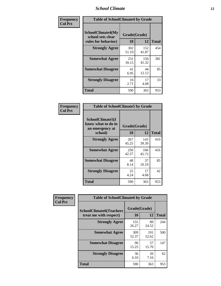### *School Climate* **12**

| Frequency      | <b>Table of SchoolClimate4 by Grade</b>                       |                    |              |              |
|----------------|---------------------------------------------------------------|--------------------|--------------|--------------|
| <b>Col Pct</b> | SchoolClimate4(My<br>school sets clear<br>rules for behavior) | Grade(Grade)<br>10 | 12           | <b>Total</b> |
|                | <b>Strongly Agree</b>                                         | 302<br>51.19       | 152<br>41.87 | 454          |
|                | <b>Somewhat Agree</b>                                         | 231<br>39.15       | 150<br>41.32 | 381          |
|                | <b>Somewhat Disagree</b>                                      | 41<br>6.95         | 44<br>12.12  | 85           |
|                | <b>Strongly Disagree</b>                                      | 16<br>2.71         | 17<br>4.68   | 33           |
|                | <b>Total</b>                                                  | 590                | 363          | 953          |

| <b>Table of SchoolClimate5 by Grade</b>                   |              |              |              |  |  |
|-----------------------------------------------------------|--------------|--------------|--------------|--|--|
| SchoolClimate5(I<br>know what to do in<br>an emergency at | Grade(Grade) |              |              |  |  |
| school)                                                   | 10           | 12           | <b>Total</b> |  |  |
| <b>Strongly Agree</b>                                     | 267<br>45.25 | 143<br>39.39 | 410          |  |  |
| <b>Somewhat Agree</b>                                     | 250<br>42.37 | 166<br>45.73 | 416          |  |  |
| <b>Somewhat Disagree</b>                                  | 48<br>8.14   | 37<br>10.19  | 85           |  |  |
| <b>Strongly Disagree</b>                                  | 25<br>4.24   | 17<br>4.68   | 42           |  |  |
| Total                                                     | 590          | 363          | 953          |  |  |

| Frequency      | <b>Table of SchoolClimate6 by Grade</b>                  |                    |              |              |  |
|----------------|----------------------------------------------------------|--------------------|--------------|--------------|--|
| <b>Col Pct</b> | <b>SchoolClimate6(Teachers</b><br>treat me with respect) | Grade(Grade)<br>10 | 12           | <b>Total</b> |  |
|                | <b>Strongly Agree</b>                                    | 155<br>26.27       | 89<br>24.52  | 244          |  |
|                | <b>Somewhat Agree</b>                                    | 309<br>52.37       | 191<br>52.62 | 500          |  |
|                | <b>Somewhat Disagree</b>                                 | 90<br>15.25        | 57<br>15.70  | 147          |  |
|                | <b>Strongly Disagree</b>                                 | 36<br>6.10         | 26<br>7.16   | 62           |  |
|                | <b>Total</b>                                             | 590                | 363          | 953          |  |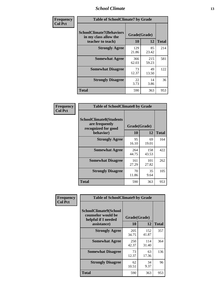### *School Climate* **13**

| Frequency      | <b>Table of SchoolClimate7 by Grade</b>                                       |                    |              |              |
|----------------|-------------------------------------------------------------------------------|--------------------|--------------|--------------|
| <b>Col Pct</b> | <b>SchoolClimate7(Behaviors</b><br>in my class allow the<br>teacher to teach) | Grade(Grade)<br>10 | 12           | <b>Total</b> |
|                | <b>Strongly Agree</b>                                                         | 129<br>21.86       | 85<br>23.42  | 214          |
|                | <b>Somewhat Agree</b>                                                         | 366<br>62.03       | 215<br>59.23 | 581          |
|                | <b>Somewhat Disagree</b>                                                      | 73<br>12.37        | 49<br>13.50  | 122          |
|                | <b>Strongly Disagree</b>                                                      | 22<br>3.73         | 14<br>3.86   | 36           |
|                | <b>Total</b>                                                                  | 590                | 363          | 953          |

| Frequency      | <b>Table of SchoolClimate8 by Grade</b>                                 |              |              |              |  |
|----------------|-------------------------------------------------------------------------|--------------|--------------|--------------|--|
| <b>Col Pct</b> | <b>SchoolClimate8(Students</b><br>are frequently<br>recognized for good | Grade(Grade) |              |              |  |
|                | behavior)                                                               | 10           | 12           | <b>Total</b> |  |
|                | <b>Strongly Agree</b>                                                   | 95<br>16.10  | 69<br>19.01  | 164          |  |
|                | <b>Somewhat Agree</b>                                                   | 264<br>44.75 | 158<br>43.53 | 422          |  |
|                | <b>Somewhat Disagree</b>                                                | 161<br>27.29 | 101<br>27.82 | 262          |  |
|                | <b>Strongly Disagree</b>                                                | 70<br>11.86  | 35<br>9.64   | 105          |  |
|                | <b>Total</b>                                                            | 590          | 363          | 953          |  |

| Frequency<br><b>Col Pct</b> | <b>Table of SchoolClimate9 by Grade</b>                                           |                    |              |              |
|-----------------------------|-----------------------------------------------------------------------------------|--------------------|--------------|--------------|
|                             | SchoolClimate9(School<br>counselor would be<br>helpful if I needed<br>assistance) | Grade(Grade)<br>10 | 12           | <b>Total</b> |
|                             | <b>Strongly Agree</b>                                                             | 205<br>34.75       | 152<br>41.87 | 357          |
|                             | <b>Somewhat Agree</b>                                                             | 250<br>42.37       | 114<br>31.40 | 364          |
|                             | <b>Somewhat Disagree</b>                                                          | 73<br>12.37        | 63<br>17.36  | 136          |
|                             | <b>Strongly Disagree</b>                                                          | 62<br>10.51        | 34<br>9.37   | 96           |
|                             | Total                                                                             | 590                | 363          | 953          |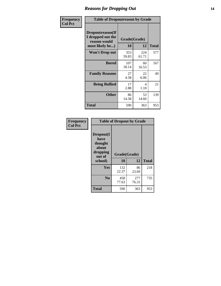### *Reasons for Dropping Out* **14**

| Frequency      | <b>Table of Dropoutreason by Grade</b>                                   |                    |              |              |
|----------------|--------------------------------------------------------------------------|--------------------|--------------|--------------|
| <b>Col Pct</b> | Dropoutreason(If<br>I dropped out the<br>reason would<br>most likely be) | Grade(Grade)<br>10 | 12           | <b>Total</b> |
|                | Won't Drop out                                                           | 353<br>59.83       | 224<br>61.71 | 577          |
|                | <b>Bored</b>                                                             | 107<br>18.14       | 60<br>16.53  | 167          |
|                | <b>Family Reasons</b>                                                    | 27<br>4.58         | 22<br>6.06   | 49           |
|                | <b>Being Bullied</b>                                                     | 17<br>2.88         | 4<br>1.10    | 21           |
|                | <b>Other</b>                                                             | 86<br>14.58        | 53<br>14.60  | 139          |
|                | Total                                                                    | 590                | 363          | 953          |

| Frequency      | <b>Table of Dropout by Grade</b>                                       |                    |              |              |  |
|----------------|------------------------------------------------------------------------|--------------------|--------------|--------------|--|
| <b>Col Pct</b> | Dropout(I<br>have<br>thought<br>about<br>dropping<br>out of<br>school) | Grade(Grade)<br>10 | 12           | <b>Total</b> |  |
|                |                                                                        |                    |              |              |  |
|                | Yes                                                                    | 132<br>22.37       | 86<br>23.69  | 218          |  |
|                | N <sub>0</sub>                                                         | 458<br>77.63       | 277<br>76.31 | 735          |  |
|                | <b>Total</b>                                                           | 590                | 363          | 953          |  |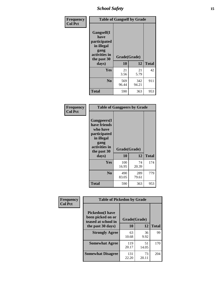*School Safety* **15**

| Frequency      | <b>Table of Gangself by Grade</b>                                                                         |                    |              |              |  |
|----------------|-----------------------------------------------------------------------------------------------------------|--------------------|--------------|--------------|--|
| <b>Col Pct</b> | <b>Gangself</b> (I<br>have<br>participated<br>in illegal<br>gang<br>activities in<br>the past 30<br>days) | Grade(Grade)<br>10 | 12           | <b>Total</b> |  |
|                | Yes                                                                                                       | 21<br>3.56         | 21<br>5.79   | 42           |  |
|                | N <sub>0</sub>                                                                                            | 569<br>96.44       | 342<br>94.21 | 911          |  |
|                | <b>Total</b>                                                                                              | 590                | 363          | 953          |  |

| Frequency<br><b>Col Pct</b> | <b>Table of Gangpeers by Grade</b>                                                                                             |                    |              |              |  |  |  |  |  |  |
|-----------------------------|--------------------------------------------------------------------------------------------------------------------------------|--------------------|--------------|--------------|--|--|--|--|--|--|
|                             | <b>Gangpeers</b> (I<br>have friends<br>who have<br>participated<br>in illegal<br>gang<br>activities in<br>the past 30<br>days) | Grade(Grade)<br>10 | 12           | <b>Total</b> |  |  |  |  |  |  |
|                             | Yes                                                                                                                            | 100<br>16.95       | 74<br>20.39  | 174          |  |  |  |  |  |  |
|                             | N <sub>0</sub>                                                                                                                 | 490<br>83.05       | 289<br>79.61 | 779          |  |  |  |  |  |  |
|                             | <b>Total</b>                                                                                                                   | 590                | 363          | 953          |  |  |  |  |  |  |

| Frequency      | <b>Table of Pickedon by Grade</b>                                  |              |             |              |  |  |  |  |  |
|----------------|--------------------------------------------------------------------|--------------|-------------|--------------|--|--|--|--|--|
| <b>Col Pct</b> | <b>Pickedon(I have</b><br>been picked on or<br>teased at school in | Grade(Grade) |             |              |  |  |  |  |  |
|                | the past 30 days)                                                  | 10           | 12          | <b>Total</b> |  |  |  |  |  |
|                | <b>Strongly Agree</b>                                              | 63<br>10.68  | 36<br>9.92  | 99           |  |  |  |  |  |
|                | <b>Somewhat Agree</b>                                              | 119<br>20.17 | 51<br>14.05 | 170          |  |  |  |  |  |
|                | <b>Somewhat Disagree</b>                                           | 131<br>22.20 | 73<br>20.11 | 204          |  |  |  |  |  |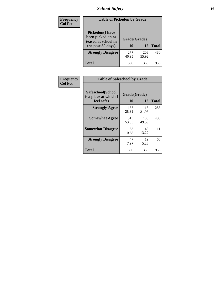# *School Safety* **16**

| Frequency      |                                                                                         | <b>Table of Pickedon by Grade</b> |              |              |  |  |  |  |  |  |  |
|----------------|-----------------------------------------------------------------------------------------|-----------------------------------|--------------|--------------|--|--|--|--|--|--|--|
| <b>Col Pct</b> | <b>Pickedon(I have</b><br>been picked on or<br>teased at school in<br>the past 30 days) | Grade(Grade)<br>10                | 12           | <b>Total</b> |  |  |  |  |  |  |  |
|                | <b>Strongly Disagree</b>                                                                | 277<br>46.95                      | 203<br>55.92 | 480          |  |  |  |  |  |  |  |
|                | Total                                                                                   | 590                               | 363          | 953          |  |  |  |  |  |  |  |

| Frequency      | <b>Table of Safeschool by Grade</b>                      |                    |              |     |
|----------------|----------------------------------------------------------|--------------------|--------------|-----|
| <b>Col Pct</b> | Safeschool(School<br>is a place at which I<br>feel safe) | Grade(Grade)<br>10 | <b>Total</b> |     |
|                | <b>Strongly Agree</b>                                    | 167<br>28.31       | 116<br>31.96 | 283 |
|                | <b>Somewhat Agree</b>                                    | 313<br>53.05       | 180<br>49.59 | 493 |
|                | <b>Somewhat Disagree</b>                                 | 63<br>10.68        | 48<br>13.22  | 111 |
|                | <b>Strongly Disagree</b>                                 | 47<br>7.97         | 19<br>5.23   | 66  |
|                | <b>Total</b>                                             | 590                | 363          | 953 |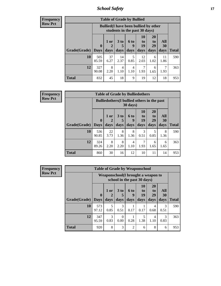*School Safety* **17**

| Frequency |  |
|-----------|--|
| Row Pct   |  |

| <b>Table of Grade by Bullied</b> |                             |                                                                               |                              |                          |                        |                        |                          |              |  |  |  |  |  |
|----------------------------------|-----------------------------|-------------------------------------------------------------------------------|------------------------------|--------------------------|------------------------|------------------------|--------------------------|--------------|--|--|--|--|--|
|                                  |                             | <b>Bullied</b> (I have been bullied by other<br>students in the past 30 days) |                              |                          |                        |                        |                          |              |  |  |  |  |  |
| Grade(Grade)                     | $\mathbf{0}$<br><b>Days</b> | 1 or<br>days                                                                  | 3 <sub>to</sub><br>5<br>days | <b>6 to</b><br>9<br>days | 10<br>to<br>19<br>days | 20<br>to<br>29<br>days | <b>All</b><br>30<br>days | <b>Total</b> |  |  |  |  |  |
| 10                               | 505<br>85.59                | 37<br>6.27                                                                    | 14<br>2.37                   | 5<br>0.85                | 12<br>2.03             | 6<br>1.02              | 11<br>1.86               | 590          |  |  |  |  |  |
| 12                               | 327<br>90.08                | 8<br>2.20                                                                     | 4<br>1.10                    | 4<br>1.10                | 1.93                   | 6<br>1.65              | 1.93                     | 363          |  |  |  |  |  |
| <b>Total</b>                     | 832                         | 45                                                                            | 18                           | 9                        | 19                     | 12                     | 18                       | 953          |  |  |  |  |  |

| Frequency      |              |                                                                         |              |                         |                   | <b>Table of Grade by Bulliedothers</b> |                               |                   |              |  |
|----------------|--------------|-------------------------------------------------------------------------|--------------|-------------------------|-------------------|----------------------------------------|-------------------------------|-------------------|--------------|--|
| <b>Row Pct</b> |              | <b>Bulliedothers</b> (I bullied others in the past<br>$30 \text{ days}$ |              |                         |                   |                                        |                               |                   |              |  |
|                | Grade(Grade) | $\bf{0}$<br><b>Days</b>                                                 | 1 or<br>days | 3 <sub>to</sub><br>days | 6 to<br>9<br>days | <b>10</b><br>to<br>19<br>days          | <b>20</b><br>to<br>29<br>days | All<br>30<br>days | <b>Total</b> |  |
|                | 10           | 536<br>90.85                                                            | 22<br>3.73   | 8<br>1.36               | 8<br>1.36         | 3<br>0.51                              | 5<br>0.85                     | 8<br>1.36         | 590          |  |
|                | 12           | 324<br>89.26                                                            | 8<br>2.20    | 8<br>2.20               | 4<br>1.10         | 7<br>1.93                              | 6<br>1.65                     | 6<br>1.65         | 363          |  |
|                | <b>Total</b> | 860                                                                     | 30           | 16                      | 12                | 10                                     | 11                            | 14                | 953          |  |

| Frequency      |                     |                                    |           | <b>Table of Grade by Weaponschool</b> |                  |                |                       |           |              |
|----------------|---------------------|------------------------------------|-----------|---------------------------------------|------------------|----------------|-----------------------|-----------|--------------|
| <b>Row Pct</b> |                     | Weaponschool(I brought a weapon to |           |                                       |                  |                |                       |           |              |
|                |                     | $\mathbf 0$                        | 1 or      | 3 <sub>to</sub>                       | <b>6 to</b><br>9 | 10<br>to<br>19 | <b>20</b><br>to<br>29 | All<br>30 |              |
|                | Grade(Grade)   Days |                                    | days      | days                                  | days             | days           | days                  | days      | <b>Total</b> |
|                | 10                  | 573<br>97.12                       | 5<br>0.85 | 3<br>0.51                             | 0.17             | 0.17           | 4<br>0.68             | 3<br>0.51 | 590          |
|                | 12                  | 347<br>95.59                       | 3<br>0.83 | 0<br>0.00                             | 0.28             | 5<br>1.38      | 4<br>1.10             | 3<br>0.83 | 363          |
|                | <b>Total</b>        | 920                                | 8         | 3                                     | $\mathfrak{D}$   | 6              | 8                     | 6         | 953          |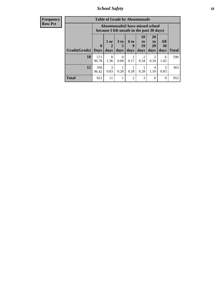*School Safety* **18**

| <b>Frequency</b> |              |              |           |                      |                | <b>Table of Grade by Absentunsafe</b>                                           |                        |           |              |
|------------------|--------------|--------------|-----------|----------------------|----------------|---------------------------------------------------------------------------------|------------------------|-----------|--------------|
| <b>Row Pct</b>   |              |              |           |                      |                | Absentunsafe(I have missed school<br>because I felt unsafe in the past 30 days) |                        |           |              |
|                  |              | $\mathbf{0}$ | 1 or<br>2 | 3 <sub>to</sub><br>5 | 6 to<br>y      | 10<br>to<br>19                                                                  | <b>20</b><br>to<br>29  | All<br>30 |              |
|                  | Grade(Grade) | <b>Days</b>  | days      | days                 | days           | days                                                                            | days                   | days      | <b>Total</b> |
|                  | 10           | 571<br>96.78 | 8<br>1.36 | $\Omega$<br>0.00     | 0.17           | ာ<br>0.34                                                                       | $\mathfrak{D}$<br>0.34 | 6<br>1.02 | 590          |
|                  | 12           | 350<br>96.42 | 3<br>0.83 | 0.28                 | 0.28           | 0.28                                                                            | $\overline{4}$<br>1.10 | 3<br>0.83 | 363          |
|                  | <b>Total</b> | 921          | 11        |                      | $\overline{c}$ | 3                                                                               | 6                      | 9         | 953          |
|                  |              |              |           |                      |                |                                                                                 |                        |           |              |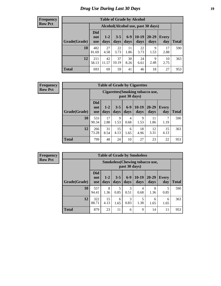# *Drug Use During Last 30 Days* **19**

#### **Frequency Row Pct**

| <b>Table of Grade by Alcohol</b> |                                 |                 |                 |               |                 |                                    |                     |              |  |  |  |  |
|----------------------------------|---------------------------------|-----------------|-----------------|---------------|-----------------|------------------------------------|---------------------|--------------|--|--|--|--|
|                                  |                                 |                 |                 |               |                 | Alcohol(Alcohol use, past 30 days) |                     |              |  |  |  |  |
| Grade(Grade)                     | <b>Did</b><br>not<br><b>use</b> | $1 - 2$<br>days | $3 - 5$<br>days | $6-9$<br>days | $10-19$<br>days | 20-29<br>days                      | <b>Every</b><br>day | <b>Total</b> |  |  |  |  |
| 10                               | 482<br>81.69                    | 27<br>4.58      | 22<br>3.73      | 11<br>1.86    | 22<br>3.73      | 9<br>1.53                          | 17<br>2.88          | 590          |  |  |  |  |
| 12                               | 211<br>58.13                    | 42<br>11.57     | 37<br>10.19     | 30<br>8.26    | 24<br>6.61      | 9<br>2.48                          | 10<br>2.75          | 363          |  |  |  |  |
| <b>Total</b>                     | 693                             | 69              | 59              | 41            | 46              | 18                                 | 27                  | 953          |  |  |  |  |

#### **Frequency Row Pct**

| <b>Table of Grade by Cigarettes</b> |                          |                                                          |                 |               |                 |                   |                     |              |  |  |  |  |
|-------------------------------------|--------------------------|----------------------------------------------------------|-----------------|---------------|-----------------|-------------------|---------------------|--------------|--|--|--|--|
|                                     |                          | <b>Cigarettes</b> (Smoking tobacco use,<br>past 30 days) |                 |               |                 |                   |                     |              |  |  |  |  |
| Grade(Grade)                        | Did<br>not<br><b>use</b> | $1 - 2$<br>days                                          | $3 - 5$<br>days | $6-9$<br>days | $10-19$<br>days | $20 - 29$<br>days | <b>Every</b><br>day | <b>Total</b> |  |  |  |  |
| 10                                  | 533<br>90.34             | 17<br>2.88                                               | 9<br>1.53       | 4<br>0.68     | 9<br>1.53       | 11<br>1.86        | 7<br>1.19           | 590          |  |  |  |  |
| 12                                  | 266<br>73.28             | 31<br>8.54                                               | 15<br>4.13      | 6<br>1.65     | 18<br>4.96      | 12<br>3.31        | 15<br>4.13          | 363          |  |  |  |  |
| <b>Total</b>                        | 799                      | 48                                                       | 24              | 10            | 27              | 23                | 22                  | 953          |  |  |  |  |

| <b>Table of Grade by Smokeless</b> |                                 |                                                         |                 |                       |                 |                   |                     |              |  |  |  |  |
|------------------------------------|---------------------------------|---------------------------------------------------------|-----------------|-----------------------|-----------------|-------------------|---------------------|--------------|--|--|--|--|
|                                    |                                 | <b>Smokeless</b> (Chewing tobacco use,<br>past 30 days) |                 |                       |                 |                   |                     |              |  |  |  |  |
| Grade(Grade)                       | <b>Did</b><br>not<br><b>use</b> | $1 - 2$<br>days                                         | $3 - 5$<br>days | $6-9$<br>days         | $10-19$<br>days | $20 - 29$<br>days | <b>Every</b><br>day | <b>Total</b> |  |  |  |  |
| 10                                 | 557<br>94.41                    | 8<br>1.36                                               | 5<br>0.85       | $\mathcal{R}$<br>0.51 | 4<br>0.68       | 8<br>1.36         | 5<br>0.85           | 590          |  |  |  |  |
| 12                                 | 322<br>88.71                    | 15<br>4.13                                              | 6<br>1.65       | 3<br>0.83             | 5<br>1.38       | 6<br>1.65         | 6<br>1.65           | 363          |  |  |  |  |
| <b>Total</b>                       | 879                             | 23                                                      | 11              | 6                     | 9               | 14                | 11                  | 953          |  |  |  |  |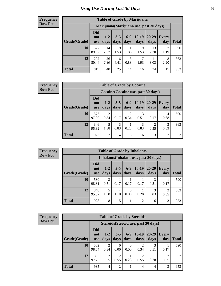| <b>Table of Grade by Marijuana</b> |                                 |                                         |                 |               |                 |                   |              |              |  |  |  |
|------------------------------------|---------------------------------|-----------------------------------------|-----------------|---------------|-----------------|-------------------|--------------|--------------|--|--|--|
|                                    |                                 | Marijuana (Marijuana use, past 30 days) |                 |               |                 |                   |              |              |  |  |  |
| Grade(Grade)                       | <b>Did</b><br>not<br><b>use</b> | $1 - 2$<br>days                         | $3 - 5$<br>days | $6-9$<br>days | $10-19$<br>days | $20 - 29$<br>days | Every<br>day | <b>Total</b> |  |  |  |
| 10                                 | 527<br>89.32                    | 14<br>2.37                              | 9<br>1.53       | 11<br>1.86    | 9<br>1.53       | 13<br>2.20        | 7<br>1.19    | 590          |  |  |  |
| 12                                 | 292<br>80.44                    | 26<br>7.16                              | 16<br>4.41      | 3<br>0.83     | 7<br>1.93       | 11<br>3.03        | 8<br>2.20    | 363          |  |  |  |
| <b>Total</b>                       | 819                             | 40                                      | 25              | 14            | 16              | 24                | 15           | 953          |  |  |  |

#### **Frequency Row Pct**

| <b>Table of Grade by Cocaine</b> |                                 |                                     |                 |                 |                 |               |              |       |  |  |
|----------------------------------|---------------------------------|-------------------------------------|-----------------|-----------------|-----------------|---------------|--------------|-------|--|--|
|                                  |                                 | Cocaine (Cocaine use, past 30 days) |                 |                 |                 |               |              |       |  |  |
| Grade(Grade)                     | <b>Did</b><br>not<br><b>use</b> | $1-2$<br>days                       | $3 - 5$<br>days | $6 - 9$<br>days | $10-19$<br>days | 20-29<br>days | Every<br>day | Total |  |  |
| 10                               | 577<br>97.80                    | $\overline{2}$<br>0.34              | 0.17            | 2<br>0.34       | 3<br>0.51       | 0.17          | 4<br>0.68    | 590   |  |  |
| 12                               | 346<br>95.32                    | 5<br>1.38                           | 3<br>0.83       | 0.28            | 3<br>0.83       | 0.55          | 3<br>0.83    | 363   |  |  |
| <b>Total</b>                     | 923                             | $\mathcal{I}$                       | 4               | 3               | 6               | 3             | 7            | 953   |  |  |

**Frequency Row Pct**

| <b>Table of Grade by Inhalants</b>     |                                 |                 |                 |                 |                 |                   |                     |              |  |  |  |
|----------------------------------------|---------------------------------|-----------------|-----------------|-----------------|-----------------|-------------------|---------------------|--------------|--|--|--|
| Inhalants (Inhalant use, past 30 days) |                                 |                 |                 |                 |                 |                   |                     |              |  |  |  |
| Grade(Grade)                           | <b>Did</b><br>not<br><b>use</b> | $1 - 2$<br>days | $3 - 5$<br>days | $6 - 9$<br>days | $10-19$<br>days | $20 - 29$<br>days | <b>Every</b><br>day | <b>Total</b> |  |  |  |
| 10                                     | 580<br>98.31                    | 3<br>0.51       | 0.17            | 0.17            | 0.17            | 0.51              | 0.17                | 590          |  |  |  |
| 12                                     | 348<br>95.87                    | 5<br>1.38       | 4<br>1.10       | 0.00            | 0.28            | 3<br>0.83         | 2<br>0.55           | 363          |  |  |  |
| Total                                  | 928                             | 8               | 5               |                 | $\overline{c}$  | 6                 | 3                   | 953          |  |  |  |

| <b>Table of Grade by Steroids</b> |                                 |                                      |                        |                  |                        |                   |              |              |  |  |  |
|-----------------------------------|---------------------------------|--------------------------------------|------------------------|------------------|------------------------|-------------------|--------------|--------------|--|--|--|
|                                   |                                 | Steroids (Steroid use, past 30 days) |                        |                  |                        |                   |              |              |  |  |  |
| Grade(Grade)                      | <b>Did</b><br>not<br><b>use</b> | $1 - 2$<br>days                      | $3 - 5$<br>days        | $6 - 9$<br>days  | $10-19$<br>days        | $20 - 29$<br>days | Every<br>day | <b>Total</b> |  |  |  |
| 10                                | 582<br>98.64                    | 2<br>0.34                            | $\theta$<br>0.00       | $\Omega$<br>0.00 | $\overline{2}$<br>0.34 | 3<br>0.51         | 0.17         | 590          |  |  |  |
| 12                                | 353<br>97.25                    | 2<br>0.55                            | $\overline{2}$<br>0.55 | 0.28             | 2<br>0.55              | 0.28              | 0.55         | 363          |  |  |  |
| <b>Total</b>                      | 935                             | 4                                    | $\overline{2}$         |                  | 4                      | 4                 | 3            | 953          |  |  |  |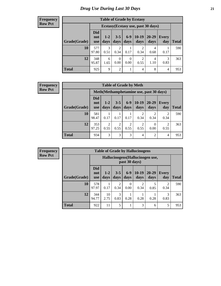| <b>Table of Grade by Ecstasy</b> |                                 |                                     |                        |                        |                        |               |                     |       |  |  |
|----------------------------------|---------------------------------|-------------------------------------|------------------------|------------------------|------------------------|---------------|---------------------|-------|--|--|
|                                  |                                 | Ecstasy (Ecstasy use, past 30 days) |                        |                        |                        |               |                     |       |  |  |
| Grade(Grade)                     | <b>Did</b><br>not<br><b>use</b> | $1 - 2$<br>days                     | $3 - 5$<br>days        | $6-9$<br>days          | $10-19$<br>days        | 20-29<br>days | <b>Every</b><br>day | Total |  |  |
| 10                               | 577<br>97.80                    | 3<br>0.51                           | $\overline{c}$<br>0.34 | 0.17                   | $\mathfrak{D}$<br>0.34 | 4<br>0.68     | 0.17                | 590   |  |  |
| 12                               | 348<br>95.87                    | 6<br>1.65                           | 0<br>0.00              | $\overline{0}$<br>0.00 | 2<br>0.55              | 4<br>1.10     | 3<br>0.83           | 363   |  |  |
| <b>Total</b>                     | 925                             | 9                                   | $\overline{c}$         | 1                      | 4                      | 8             | 4                   | 953   |  |  |

#### **Frequency Row Pct**

| <b>Table of Grade by Meth</b> |                                 |                                         |                        |                        |                 |                        |                        |       |  |  |  |
|-------------------------------|---------------------------------|-----------------------------------------|------------------------|------------------------|-----------------|------------------------|------------------------|-------|--|--|--|
|                               |                                 | Meth(Methamphetamine use, past 30 days) |                        |                        |                 |                        |                        |       |  |  |  |
| Grade(Grade)                  | <b>Did</b><br>not<br><b>use</b> | $1-2$<br>days                           | $3 - 5$<br>days        | $6-9$<br>days          | $10-19$<br>days | 20-29<br>days          | <b>Every</b><br>day    | Total |  |  |  |
| 10                            | 581<br>98.47                    | 0.17                                    | 0.17                   | 0.17                   | 2<br>0.34       | $\mathfrak{D}$<br>0.34 | 2<br>0.34              | 590   |  |  |  |
| 12                            | 353<br>97.25                    | $\mathfrak{D}$<br>0.55                  | $\mathfrak{D}$<br>0.55 | $\overline{c}$<br>0.55 | 2<br>0.55       | 0<br>0.00              | $\mathfrak{D}$<br>0.55 | 363   |  |  |  |
| <b>Total</b>                  | 934                             | 3                                       | 3                      | 3                      | $\overline{4}$  | 2                      | 4                      | 953   |  |  |  |

| <b>Table of Grade by Hallucinogens</b> |              |                                 |                                                   |                        |                  |                        |                   |                                     |              |  |  |  |
|----------------------------------------|--------------|---------------------------------|---------------------------------------------------|------------------------|------------------|------------------------|-------------------|-------------------------------------|--------------|--|--|--|
|                                        |              |                                 | Hallucinogens (Hallucinogen use,<br>past 30 days) |                        |                  |                        |                   |                                     |              |  |  |  |
|                                        | Grade(Grade) | <b>Did</b><br>not<br><b>use</b> | $1 - 2$<br>days                                   | $3 - 5$<br>days        | $6 - 9$<br>days  | $10-19$<br>days        | $20 - 29$<br>days | Every<br>day                        | <b>Total</b> |  |  |  |
|                                        | 10           | 578<br>97.97                    | 0.17                                              | $\overline{c}$<br>0.34 | $\Omega$<br>0.00 | $\mathfrak{D}$<br>0.34 | 5<br>0.85         | $\mathcal{D}_{\mathcal{L}}$<br>0.34 | 590          |  |  |  |
|                                        | 12           | 344<br>94.77                    | 10<br>2.75                                        | 3<br>0.83              | 0.28             | 0.28                   | 0.28              | 3<br>0.83                           | 363          |  |  |  |
|                                        | <b>Total</b> | 922                             | 11                                                | 5                      |                  | 3                      | 6                 | 5                                   | 953          |  |  |  |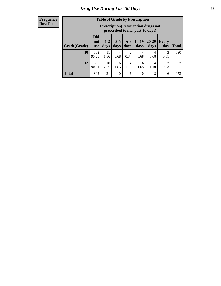| <b>Table of Grade by Prescription</b> |                                 |                                                                                |                 |               |                 |               |              |              |  |  |  |
|---------------------------------------|---------------------------------|--------------------------------------------------------------------------------|-----------------|---------------|-----------------|---------------|--------------|--------------|--|--|--|
|                                       |                                 | <b>Prescription</b> (Prescription drugs not<br>prescribed to me, past 30 days) |                 |               |                 |               |              |              |  |  |  |
| Grade(Grade)                          | <b>Did</b><br>not<br><b>use</b> | $1 - 2$<br>days                                                                | $3 - 5$<br>days | $6-9$<br>days | $10-19$<br>days | 20-29<br>days | Every<br>day | <b>Total</b> |  |  |  |
| 10                                    | 562<br>95.25                    | 11<br>1.86                                                                     | 4<br>0.68       | 2<br>0.34     | 4<br>0.68       | 4<br>0.68     | 3<br>0.51    | 590          |  |  |  |
| 12                                    | 330<br>90.91                    | 10<br>2.75                                                                     | 6<br>1.65       | 4<br>1.10     | 6<br>1.65       | 4<br>1.10     | 3<br>0.83    | 363          |  |  |  |
| <b>Total</b>                          | 892                             | 21                                                                             | 10              | 6             | 10              | 8             | 6            | 953          |  |  |  |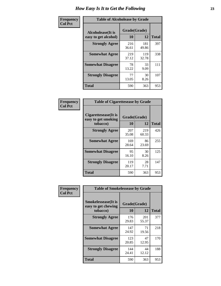| Frequency      | <b>Table of Alcoholease by Grade</b>              |                    |              |     |  |  |  |  |  |  |
|----------------|---------------------------------------------------|--------------------|--------------|-----|--|--|--|--|--|--|
| <b>Col Pct</b> | <b>Alcoholease</b> (It is<br>easy to get alcohol) | Grade(Grade)<br>10 | <b>Total</b> |     |  |  |  |  |  |  |
|                | <b>Strongly Agree</b>                             | 216<br>36.61       | 181<br>49.86 | 397 |  |  |  |  |  |  |
|                | <b>Somewhat Agree</b>                             | 219<br>37.12       | 119<br>32.78 | 338 |  |  |  |  |  |  |
|                | <b>Somewhat Disagree</b>                          | 78<br>13.22        | 33<br>9.09   | 111 |  |  |  |  |  |  |
|                | <b>Strongly Disagree</b>                          | 77<br>13.05        | 30<br>8.26   | 107 |  |  |  |  |  |  |
|                | <b>Total</b>                                      | 590                | 363          | 953 |  |  |  |  |  |  |

| Frequency<br>Col Pct |
|----------------------|

| <b>Table of Cigarettesease by Grade</b>                  |                    |              |              |
|----------------------------------------------------------|--------------------|--------------|--------------|
| Cigarettesease (It is<br>easy to get smoking<br>tobacco) | Grade(Grade)<br>10 | 12           | <b>Total</b> |
| <b>Strongly Agree</b>                                    | 207<br>35.08       | 219<br>60.33 | 426          |
| <b>Somewhat Agree</b>                                    | 169<br>28.64       | 86<br>23.69  | 255          |
| <b>Somewhat Disagree</b>                                 | 95<br>16.10        | 30<br>8.26   | 125          |
| <b>Strongly Disagree</b>                                 | 119<br>20.17       | 28<br>7.71   | 147          |
| <b>Total</b>                                             | 590                | 363          | 953          |

| Frequency      | <b>Table of Smokelessease by Grade</b>                         |                    |              |     |
|----------------|----------------------------------------------------------------|--------------------|--------------|-----|
| <b>Col Pct</b> | <b>Smokelessease</b> (It is<br>easy to get chewing<br>tobacco) | Grade(Grade)<br>10 | <b>Total</b> |     |
|                | <b>Strongly Agree</b>                                          | 176<br>29.83       | 201<br>55.37 | 377 |
|                | <b>Somewhat Agree</b>                                          | 147<br>24.92       | 71<br>19.56  | 218 |
|                | <b>Somewhat Disagree</b>                                       | 123<br>20.85       | 47<br>12.95  | 170 |
|                | <b>Strongly Disagree</b>                                       | 144<br>24.41       | 44<br>12.12  | 188 |
|                | <b>Total</b>                                                   | 590                | 363          | 953 |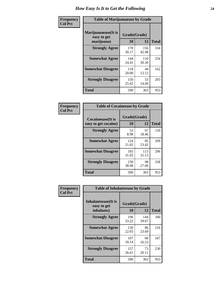| Frequency      | <b>Table of Marijuanaease by Grade</b>           |                    |              |              |  |  |  |  |  |  |
|----------------|--------------------------------------------------|--------------------|--------------|--------------|--|--|--|--|--|--|
| <b>Col Pct</b> | Marijuanaease(It is<br>easy to get<br>marijuana) | Grade(Grade)<br>10 | 12           | <b>Total</b> |  |  |  |  |  |  |
|                | <b>Strongly Agree</b>                            | 178<br>30.17       | 156<br>42.98 | 334          |  |  |  |  |  |  |
|                | <b>Somewhat Agree</b>                            | 144<br>24.41       | 110<br>30.30 | 254          |  |  |  |  |  |  |
|                | <b>Somewhat Disagree</b>                         | 118<br>20.00       | 44<br>12.12  | 162          |  |  |  |  |  |  |
|                | <b>Strongly Disagree</b>                         | 150<br>25.42       | 53<br>14.60  | 203          |  |  |  |  |  |  |
|                | <b>Total</b>                                     | 590                | 363          | 953          |  |  |  |  |  |  |

| <b>Table of Cocaineease by Grade</b> |              |              |              |  |  |  |  |  |  |
|--------------------------------------|--------------|--------------|--------------|--|--|--|--|--|--|
| <b>Cocaineease</b> (It is            | Grade(Grade) |              |              |  |  |  |  |  |  |
| easy to get cocaine)                 | 10           | 12           | <b>Total</b> |  |  |  |  |  |  |
| <b>Strongly Agree</b>                | 53<br>8.98   | 67<br>18.46  | 120          |  |  |  |  |  |  |
| <b>Somewhat Agree</b>                | 124<br>21.02 | 85<br>23.42  | 209          |  |  |  |  |  |  |
| <b>Somewhat Disagree</b>             | 183<br>31.02 | 113<br>31.13 | 296          |  |  |  |  |  |  |
| <b>Strongly Disagree</b>             | 230<br>38.98 | 98<br>27.00  | 328          |  |  |  |  |  |  |
| <b>Total</b>                         | 590          | 363          | 953          |  |  |  |  |  |  |

| Frequency      | <b>Table of Inhalantsease by Grade</b>     |              |              | <b>Total</b><br>340 |  |  |  |  |  |
|----------------|--------------------------------------------|--------------|--------------|---------------------|--|--|--|--|--|
| <b>Col Pct</b> | <b>Inhalantsease</b> (It is<br>easy to get | Grade(Grade) |              |                     |  |  |  |  |  |
|                | inhalants)                                 | 10           | 12           |                     |  |  |  |  |  |
|                | <b>Strongly Agree</b>                      | 196<br>33.22 | 144<br>39.67 |                     |  |  |  |  |  |
|                | <b>Somewhat Agree</b>                      | 130<br>22.03 | 86<br>23.69  | 216                 |  |  |  |  |  |
|                | <b>Somewhat Disagree</b>                   | 107<br>18.14 | 60<br>16.53  | 167                 |  |  |  |  |  |
|                | <b>Strongly Disagree</b>                   | 157<br>26.61 | 73<br>20.11  | 230                 |  |  |  |  |  |
|                | <b>Total</b>                               | 590          | 363          | 953                 |  |  |  |  |  |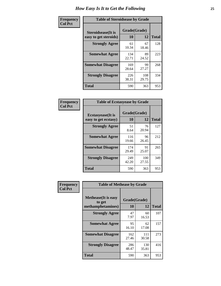| Frequency      | <b>Table of Steroidsease by Grade</b>               |                    |              |              |  |  |  |
|----------------|-----------------------------------------------------|--------------------|--------------|--------------|--|--|--|
| <b>Col Pct</b> | <b>Steroidsease</b> (It is<br>easy to get steroids) | Grade(Grade)<br>10 | 12           | <b>Total</b> |  |  |  |
|                | <b>Strongly Agree</b>                               | 61<br>10.34        | 67<br>18.46  | 128          |  |  |  |
|                | <b>Somewhat Agree</b>                               | 134<br>22.71       | 89<br>24.52  | 223          |  |  |  |
|                | <b>Somewhat Disagree</b>                            | 169<br>28.64       | 99<br>27.27  | 268          |  |  |  |
|                | <b>Strongly Disagree</b>                            | 226<br>38.31       | 108<br>29.75 | 334          |  |  |  |
|                | <b>Total</b>                                        | 590                | 363          | 953          |  |  |  |

| Frequency      | <b>Table of Ecstasyease by Grade</b>              |                           |              |              |
|----------------|---------------------------------------------------|---------------------------|--------------|--------------|
| <b>Col Pct</b> | <b>Ecstasyease</b> (It is<br>easy to get ecstasy) | Grade(Grade)<br><b>10</b> | 12           | <b>Total</b> |
|                | <b>Strongly Agree</b>                             | 51<br>8.64                | 76<br>20.94  | 127          |
|                | <b>Somewhat Agree</b>                             | 116<br>19.66              | 96<br>26.45  | 212          |
|                | <b>Somewhat Disagree</b>                          | 174<br>29.49              | 91<br>25.07  | 265          |
|                | <b>Strongly Disagree</b>                          | 249<br>42.20              | 100<br>27.55 | 349          |
|                | <b>Total</b>                                      | 590                       | 363          | 953          |

| Frequency      | <b>Table of Methease by Grade</b>                          |                    |              |                                                 |  |  |  |  |  |  |
|----------------|------------------------------------------------------------|--------------------|--------------|-------------------------------------------------|--|--|--|--|--|--|
| <b>Col Pct</b> | <b>Methease</b> (It is easy<br>to get<br>methamphetamines) | Grade(Grade)<br>10 | 12           | <b>Total</b><br>107<br>157<br>273<br>416<br>953 |  |  |  |  |  |  |
|                | <b>Strongly Agree</b>                                      | 47<br>7.97         | 60<br>16.53  |                                                 |  |  |  |  |  |  |
|                | <b>Somewhat Agree</b>                                      | 95<br>16.10        | 62<br>17.08  |                                                 |  |  |  |  |  |  |
|                | <b>Somewhat Disagree</b>                                   | 162<br>27.46       | 111<br>30.58 |                                                 |  |  |  |  |  |  |
|                | <b>Strongly Disagree</b>                                   | 286<br>48.47       | 130<br>35.81 |                                                 |  |  |  |  |  |  |
|                | <b>Total</b>                                               | 590                | 363          |                                                 |  |  |  |  |  |  |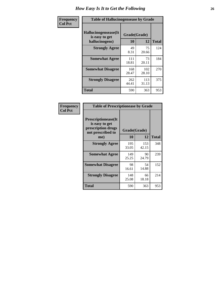| <b>Frequency</b> | <b>Table of Hallucinogensease by Grade</b>               |                    |              |              |  |  |  |  |  |  |
|------------------|----------------------------------------------------------|--------------------|--------------|--------------|--|--|--|--|--|--|
| <b>Col Pct</b>   | Hallucinogensease(It<br>is easy to get<br>hallucinogens) | Grade(Grade)<br>10 | 12           | <b>Total</b> |  |  |  |  |  |  |
|                  | <b>Strongly Agree</b>                                    | 49<br>8.31         | 75<br>20.66  | 124          |  |  |  |  |  |  |
|                  | <b>Somewhat Agree</b>                                    | 111<br>18.81       | 73<br>20.11  | 184          |  |  |  |  |  |  |
|                  | <b>Somewhat Disagree</b>                                 | 168<br>28.47       | 102<br>28.10 | 270          |  |  |  |  |  |  |
|                  | <b>Strongly Disagree</b>                                 | 262<br>44.41       | 113<br>31.13 | 375          |  |  |  |  |  |  |
|                  | <b>Total</b>                                             | 590                | 363          | 953          |  |  |  |  |  |  |

| Frequency<br>  Col Pct |
|------------------------|
|                        |

| <b>Table of Prescriptionease by Grade</b>                                                |              |              |              |  |  |  |  |  |  |  |
|------------------------------------------------------------------------------------------|--------------|--------------|--------------|--|--|--|--|--|--|--|
| <b>Prescriptionease</b> (It<br>is easy to get<br>prescription drugs<br>not prescribed to | Grade(Grade) |              |              |  |  |  |  |  |  |  |
| me)                                                                                      | 10           | 12           | <b>Total</b> |  |  |  |  |  |  |  |
| <b>Strongly Agree</b>                                                                    | 195<br>33.05 | 153<br>42.15 | 348          |  |  |  |  |  |  |  |
| <b>Somewhat Agree</b>                                                                    | 149<br>25.25 | 90<br>24.79  | 239          |  |  |  |  |  |  |  |
| <b>Somewhat Disagree</b>                                                                 | 98<br>16.61  | 54<br>14.88  | 152          |  |  |  |  |  |  |  |
| <b>Strongly Disagree</b>                                                                 | 148<br>25.08 | 66<br>18.18  | 214          |  |  |  |  |  |  |  |
| <b>Total</b>                                                                             | 590          | 363          | 953          |  |  |  |  |  |  |  |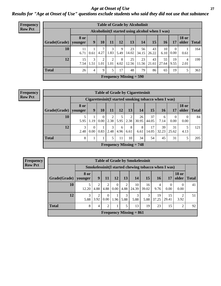*Age at Onset of Use* **27** *Results for "Age at Onset of Use" questions exclude students who said they did not use that substance*

| Frequency      |              | <b>Table of Grade by Alcoholinit</b> |                                                  |           |           |           |                           |             |             |             |                        |                       |              |
|----------------|--------------|--------------------------------------|--------------------------------------------------|-----------|-----------|-----------|---------------------------|-------------|-------------|-------------|------------------------|-----------------------|--------------|
| <b>Row Pct</b> |              |                                      | Alcoholinit (I started using alcohol when I was) |           |           |           |                           |             |             |             |                        |                       |              |
|                | Grade(Grade) | <b>8 or</b><br>younger               | 9                                                | 10        | 11        | 12        | 13                        | 14          | 15          | 16          | 17                     | <b>18 or</b><br>older | <b>Total</b> |
|                | 10           | 11<br>6.71                           | 0.61                                             | 7<br>4.27 | 3<br>1.83 | 9<br>5.49 | 23<br>14.02               | 56<br>34.15 | 43<br>26.22 | 10<br>6.10  | $\overline{0}$<br>0.00 | 0.61                  | 164          |
|                | 12           | 15<br>7.54                           | 3<br>1.51                                        | 2<br>1.01 | 2<br>1.01 | 8<br>4.02 | 25<br>12.56               | 23<br>11.56 | 43<br>21.61 | 55<br>27.64 | 19<br>9.55             | 4<br>2.01             | 199          |
|                | <b>Total</b> | 26                                   | 4                                                | 9         | 5         | 17        | 48                        | 79          | 86          | 65          | 19                     | 5                     | 363          |
|                |              |                                      |                                                  |           |           |           | Frequency Missing $=$ 590 |             |             |             |                        |                       |              |

| <b>Frequency</b> |                                                            | <b>Table of Grade by Cigarettesinit</b> |                                                      |                  |           |           |           |                           |             |             |             |                       |              |
|------------------|------------------------------------------------------------|-----------------------------------------|------------------------------------------------------|------------------|-----------|-----------|-----------|---------------------------|-------------|-------------|-------------|-----------------------|--------------|
| <b>Row Pct</b>   |                                                            |                                         | Cigarettesinit(I started smoking tobacco when I was) |                  |           |           |           |                           |             |             |             |                       |              |
|                  | $Grade(Grade)$ younger                                     | <b>8 or</b>                             | 9 <sup>°</sup>                                       | 10               | 11        | 12        | 13        | 14                        | 15          | <b>16</b>   | 17          | <b>18 or</b><br>older | <b>Total</b> |
|                  | 10                                                         | 5<br>5.95                               | 1.19                                                 | $\Omega$<br>0.00 | 2<br>2.38 | 5.95      | 2<br>2.38 | 26<br>30.95               | 37<br>44.05 | 6<br>7.14   | 0<br>0.00   | $\Omega$<br>0.00      | 84           |
|                  | 12                                                         | 3<br>2.48                               | $\overline{0}$<br>0.00                               | 0.83             | 3<br>2.48 | 6<br>4.96 | 8<br>6.61 | 8<br>6.61                 | 17<br>14.05 | 39<br>32.23 | 31<br>25.62 | 4.13                  | 121          |
|                  | <b>Total</b><br>8<br>5<br>45<br>11<br>10<br>34<br>54<br>31 |                                         |                                                      |                  |           |           |           |                           |             |             |             |                       | 205          |
|                  |                                                            |                                         |                                                      |                  |           |           |           | Frequency Missing $= 748$ |             |             |             |                       |              |

| <b>Table of Grade by Smokelessinit</b> |                                                      |                                     |                        |                  |           |                           |             |                        |                  |                       |              |
|----------------------------------------|------------------------------------------------------|-------------------------------------|------------------------|------------------|-----------|---------------------------|-------------|------------------------|------------------|-----------------------|--------------|
|                                        | Smokelessinit (I started chewing tobacco when I was) |                                     |                        |                  |           |                           |             |                        |                  |                       |              |
| Grade(Grade)                           | 8 or<br>vounger                                      | 9                                   | 11                     | 12               | 13        | 14                        | <b>15</b>   | <b>16</b>              | 17               | <b>18 or</b><br>older | <b>Total</b> |
| 10                                     | 12.20                                                | 4.88                                | $\overline{2}$<br>4.88 | $\Omega$<br>0.00 | 2<br>4.88 | 10<br>24.39               | 16<br>39.02 | $\overline{4}$<br>9.76 | $\theta$<br>0.00 | $\Omega$<br>0.00      | 41           |
| 12                                     | 3<br>5.88                                            | $\mathcal{D}_{\mathcal{L}}$<br>3.92 | $\Omega$<br>0.00       | 1.96             | 3<br>5.88 | 3<br>5.88                 | 3<br>5.88   | 19<br>37.25            | 15<br>29.41      | റ<br>3.92             | 51           |
| <b>Total</b>                           | 8                                                    | $\overline{4}$                      | $\overline{2}$         |                  | 5         | 13                        | 19          | 23                     | 15               | $\mathfrak{D}$        | 92           |
|                                        |                                                      |                                     |                        |                  |           | Frequency Missing $= 861$ |             |                        |                  |                       |              |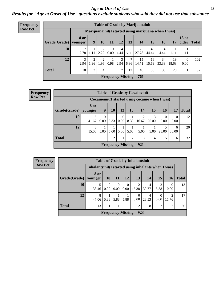#### *Age at Onset of Use* **28**

*Results for "Age at Onset of Use" questions exclude students who said they did not use that substance*

| Frequency      | <b>Table of Grade by Marijuanainit</b> |                        |                |                |                      |           |           |                                                     |             |             |             |                                |              |
|----------------|----------------------------------------|------------------------|----------------|----------------|----------------------|-----------|-----------|-----------------------------------------------------|-------------|-------------|-------------|--------------------------------|--------------|
| <b>Row Pct</b> |                                        |                        |                |                |                      |           |           | Marijuanainit(I started using marijuana when I was) |             |             |             |                                |              |
|                | Grade(Grade)                           | <b>8</b> or<br>younger | 9 <sup>°</sup> | 10             | 11                   | 12        | 13        | 14                                                  | 15          | <b>16</b>   | 17          | <b>18 or</b><br>$\alpha$ older | <b>Total</b> |
|                | 10                                     | ⇁<br>7.78              | 1.11           | 2<br>2.22      | $\left($<br>$0.00\,$ | 4<br>4.44 | 5.56      | 25<br>27.78                                         | 40<br>44.44 | 4<br>4.44   | 1.11        | 1.11                           | 90           |
|                | 12                                     | 3<br>2.94              | 2<br>1.96      | 2<br>1.96      | 0.98                 | 3<br>2.94 | 7<br>6.86 | 15<br>  14.71                                       | 16<br>15.69 | 34<br>33.33 | 19<br>18.63 | $\theta$<br>0.00               | 102          |
|                | <b>Total</b>                           | 10                     | 3              | $\overline{4}$ |                      | 7         | 12        | 40                                                  | 56          | 38          | 20          |                                | 192          |
|                | <b>Frequency Missing = 761</b>         |                        |                |                |                      |           |           |                                                     |             |             |             |                                |              |

| Frequency      |                           |             |          |      |      |                | <b>Table of Grade by Cocaineinit</b>               |       |           |          |              |
|----------------|---------------------------|-------------|----------|------|------|----------------|----------------------------------------------------|-------|-----------|----------|--------------|
| <b>Row Pct</b> |                           |             |          |      |      |                | Cocaine in it (I started using cocaine when I was) |       |           |          |              |
|                |                           | <b>8 or</b> |          |      |      |                |                                                    |       |           |          |              |
|                | Grade(Grade)   younger    |             | 9        | 10   | 12   | 13             | 14                                                 | 15    | <b>16</b> | 17       | <b>Total</b> |
|                | 10                        |             | $\Omega$ |      | 0    |                | 2                                                  |       | $\Omega$  | $\Omega$ | 12           |
|                |                           | 41.67       | 0.00     | 8.33 | 0.00 | 8.33           | 16.67                                              | 25.00 | 0.00      | 0.00     |              |
|                | 12                        | 3           |          |      |      |                |                                                    |       |           | 6        | 20           |
|                |                           | 15.00       | 5.00     | 5.00 | 5.00 | 5.00           | 5.00                                               | 5.00  | 25.00     | 30.00    |              |
|                | <b>Total</b>              | 8           | 1<br>-   | 2    |      | $\overline{2}$ | 3                                                  | 4     | 5         | 6        | 32           |
|                | Frequency Missing $= 921$ |             |          |      |      |                |                                                    |       |           |          |              |

**Frequency Row Pct**

| <b>Table of Grade by Inhalantsinit</b> |                                                      |                  |                  |                      |                        |            |                  |                         |              |  |
|----------------------------------------|------------------------------------------------------|------------------|------------------|----------------------|------------------------|------------|------------------|-------------------------|--------------|--|
|                                        | Inhalantsinit (I started using inhalants when I was) |                  |                  |                      |                        |            |                  |                         |              |  |
| Grade(Grade)                           | 8 or<br>younger                                      | <b>10</b>        | <b>11</b>        | <b>12</b>            | 13                     | 14         | 15               | <b>16</b>               | <b>Total</b> |  |
| 10                                     | 38.46                                                | $\Omega$<br>0.00 | $\Omega$<br>0.00 | $\Omega$<br>$0.00\,$ | $\mathcal{D}$<br>15.38 | 4<br>30.77 | 2<br>15.38       | 0.00                    | 13           |  |
| 12                                     | 8<br>47.06                                           | 5.88             | 5.88             | 5.88                 | 0.00                   | 4<br>23.53 | $\theta$<br>0.00 | $\mathfrak{D}$<br>11.76 | 17           |  |
| <b>Total</b>                           | 13                                                   | 1                |                  |                      | $\overline{c}$         | 8          | $\overline{2}$   | $\overline{c}$          | 30           |  |
| <b>Frequency Missing = 923</b>         |                                                      |                  |                  |                      |                        |            |                  |                         |              |  |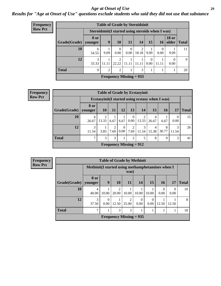#### *Age at Onset of Use* **29**

*Results for "Age at Onset of Use" questions exclude students who said they did not use that substance*

| <b>Frequency</b> | <b>Table of Grade by Steroidsinit</b> |                                                    |                |                |                  |                         |                  |                  |                       |              |  |  |  |
|------------------|---------------------------------------|----------------------------------------------------|----------------|----------------|------------------|-------------------------|------------------|------------------|-----------------------|--------------|--|--|--|
| <b>Row Pct</b>   |                                       | Steroidsinit (I started using steroids when I was) |                |                |                  |                         |                  |                  |                       |              |  |  |  |
|                  | Grade(Grade)                          | 8 or<br>younger                                    | 9              | 10             | 11               | 14                      | 15               | 16               | <b>18 or</b><br>older | <b>Total</b> |  |  |  |
|                  | 10                                    | 6<br>54.55                                         | 9.09           | 0<br>0.00      | $\theta$<br>0.00 | $\overline{2}$<br>18.18 | 9.09             | $\Omega$<br>0.00 | 9.09                  | 11           |  |  |  |
|                  | 12                                    | 3<br>33.33                                         | T<br>11.11     | 2<br>22.22     | 11.11            | 11.11                   | $\theta$<br>0.00 | 11.11            | 0.00                  | 9            |  |  |  |
|                  | <b>Total</b>                          | 9                                                  | $\overline{2}$ | $\overline{2}$ |                  | 3                       |                  |                  |                       | 20           |  |  |  |
|                  | Frequency Missing $= 933$             |                                                    |                |                |                  |                         |                  |                  |                       |              |  |  |  |

| Frequency      |              |                 | <b>Table of Grade by Ecstasyinit</b>             |           |                  |                           |            |            |            |            |              |
|----------------|--------------|-----------------|--------------------------------------------------|-----------|------------------|---------------------------|------------|------------|------------|------------|--------------|
| <b>Row Pct</b> |              |                 | Ecstasyinit (I started using ecstasy when I was) |           |                  |                           |            |            |            |            |              |
|                | Grade(Grade) | 8 or<br>younger | <b>10</b>                                        | <b>11</b> | 12               | 13 <sup>1</sup>           | <b>14</b>  | 15         | 16         | 17         | <b>Total</b> |
|                | 10           | 4<br>26.67      | 13.33                                            | 6.67      | 6.67             | $\Omega$<br>$0.00\vert$   | 13.33      | 4<br>26.67 | 6.67       | 0<br>0.00  | 15           |
|                | 12           | 3<br>11.54      | 3.85                                             | 2<br>7.69 | $\theta$<br>0.00 | 2<br>7.69                 | 3<br>11.54 | 4<br>15.38 | 8<br>30.77 | 3<br>11.54 | 26           |
|                | <b>Total</b> | 7               | 3                                                | 3         |                  | 2                         | 5          | 8          | 9          | 3          | 41           |
|                |              |                 |                                                  |           |                  | Frequency Missing $= 912$ |            |            |            |            |              |

| <b>Frequency</b> |              |                                                   |                  |                         |            | <b>Table of Grade by Methinit</b> |                  |                  |                  |              |  |
|------------------|--------------|---------------------------------------------------|------------------|-------------------------|------------|-----------------------------------|------------------|------------------|------------------|--------------|--|
| <b>Row Pct</b>   |              | Methinit (I started using methamphetamines when I |                  |                         | was)       |                                   |                  |                  |                  |              |  |
|                  | Grade(Grade) | 8 or<br>vounger                                   | 9                | 10                      | 11         | 14                                | 15               | <b>16</b>        | 17               | <b>Total</b> |  |
|                  | 10           | $\overline{4}$<br>40.00                           | 10.00            | $\mathfrak{D}$<br>20.00 | 10.00      | 10.00                             | 10.00            | $\theta$<br>0.00 | $\Omega$<br>0.00 | 10           |  |
|                  | 12           | 3<br>37.50                                        | $\Omega$<br>0.00 | 12.50                   | 2<br>25.00 | 0.00                              | $\Omega$<br>0.00 | 12.50            | 12.50            | 8            |  |
|                  | <b>Total</b> | 7                                                 |                  | 3                       | 3          |                                   |                  |                  |                  | 18           |  |
|                  |              | Frequency Missing $= 935$                         |                  |                         |            |                                   |                  |                  |                  |              |  |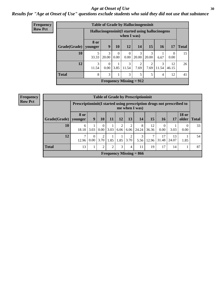#### Age at Onset of Use **30**

### *Results for "Age at Onset of Use" questions exclude students who said they did not use that substance*

| <b>Frequency</b> |              | <b>Table of Grade by Hallucinogensinit</b> |                             |           |                        |                        |                        |                                                  |                  |              |  |  |  |
|------------------|--------------|--------------------------------------------|-----------------------------|-----------|------------------------|------------------------|------------------------|--------------------------------------------------|------------------|--------------|--|--|--|
| <b>Row Pct</b>   |              |                                            |                             |           | when I was)            |                        |                        | Hallucinogensinit (I started using hallucinogens |                  |              |  |  |  |
|                  | Grade(Grade) | 8 or<br>younger                            | 9                           | <b>10</b> | 12                     | 14                     | 15                     | <b>16</b>                                        | 17               | <b>Total</b> |  |  |  |
|                  | 10           | 33.33                                      | 3<br>20.00                  | 0<br>0.00 | $\Omega$<br>0.00       | 3<br>20.00             | 3<br>20.00             | 6.67                                             | $\Omega$<br>0.00 | 15           |  |  |  |
|                  | 12           | 3<br>11.54                                 | $\Omega$<br>0.00            | 3.85      | $\mathcal{F}$<br>11.54 | $\mathfrak{D}$<br>7.69 | $\mathfrak{D}$<br>7.69 | 3<br>11.54                                       | 12<br>46.15      | 26           |  |  |  |
|                  | <b>Total</b> | 8                                          | 3<br>3<br>5<br>5<br>4<br>12 |           |                        |                        |                        |                                                  |                  |              |  |  |  |
|                  |              | Frequency Missing $= 912$                  |                             |           |                        |                        |                        |                                                  |                  |              |  |  |  |

| Frequency                 |              |                                                                        |                      |                  |      |                |           | <b>Table of Grade by Prescriptioninit</b> |                |                  |             |                       |              |
|---------------------------|--------------|------------------------------------------------------------------------|----------------------|------------------|------|----------------|-----------|-------------------------------------------|----------------|------------------|-------------|-----------------------|--------------|
| <b>Row Pct</b>            |              | Prescriptioninit (I started using prescription drugs not prescribed to |                      |                  |      |                |           | me when I was)                            |                |                  |             |                       |              |
|                           | Grade(Grade) | <b>8 or</b><br>younger                                                 | 9                    | 10               | 11   | 12             | 13        | 14                                        | 15             | 16               | 17          | <b>18 or</b><br>older | <b>Total</b> |
|                           | 10           | 6<br>18.18                                                             | 3.03                 | $\theta$<br>0.00 | 3.03 | 6.06           | 2<br>6.06 | 8<br>24.24                                | 12<br>36.36    | $\Omega$<br>0.00 | 3.03        | 0.00                  | 33           |
|                           | 12           | 7<br>12.96                                                             | $\theta$<br>$0.00\,$ | 2<br>3.70        | 1.85 | 1.85           | 3.70      | 3                                         | $5.56$   12.96 | 17<br>31.48      | 13<br>24.07 | 1.85                  | 54           |
|                           | <b>Total</b> | 13                                                                     | 1                    | 2                | 2    | 3 <sub>1</sub> | 4         | 11                                        | 19             | 17               | 14          |                       | 87           |
| Frequency Missing $= 866$ |              |                                                                        |                      |                  |      |                |           |                                           |                |                  |             |                       |              |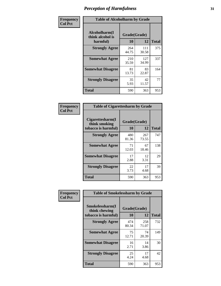| Frequency      | <b>Table of Alcoholharm by Grade</b>          |                    |              |              |  |  |  |  |  |  |
|----------------|-----------------------------------------------|--------------------|--------------|--------------|--|--|--|--|--|--|
| <b>Col Pct</b> | Alcoholharm(I<br>think alcohol is<br>harmful) | Grade(Grade)<br>10 | 12           | <b>Total</b> |  |  |  |  |  |  |
|                | <b>Strongly Agree</b>                         | 264<br>44.75       | 111<br>30.58 | 375          |  |  |  |  |  |  |
|                | <b>Somewhat Agree</b>                         | 210<br>35.59       | 127<br>34.99 | 337          |  |  |  |  |  |  |
|                | <b>Somewhat Disagree</b>                      | 81<br>13.73        | 83<br>22.87  | 164          |  |  |  |  |  |  |
|                | <b>Strongly Disagree</b>                      | 35<br>5.93         | 42<br>11.57  | 77           |  |  |  |  |  |  |
|                | <b>Total</b>                                  | 590                | 363          | 953          |  |  |  |  |  |  |

| <b>Table of Cigarettesharm by Grade</b>                  |                    |              |              |
|----------------------------------------------------------|--------------------|--------------|--------------|
| Cigarettesharm(I<br>think smoking<br>tobacco is harmful) | Grade(Grade)<br>10 | 12           | <b>Total</b> |
| <b>Strongly Agree</b>                                    | 480<br>81.36       | 267<br>73.55 | 747          |
| <b>Somewhat Agree</b>                                    | 71<br>12.03        | 67<br>18.46  | 138          |
| <b>Somewhat Disagree</b>                                 | 17<br>2.88         | 12<br>3.31   | 29           |
| <b>Strongly Disagree</b>                                 | 22<br>3.73         | 17<br>4.68   | 39           |
| <b>Total</b>                                             | 590                | 363          | 953          |

| Frequency      | <b>Table of Smokelessharm by Grade</b>                  |                    |              |     |
|----------------|---------------------------------------------------------|--------------------|--------------|-----|
| <b>Col Pct</b> | Smokelessharm(I<br>think chewing<br>tobacco is harmful) | Grade(Grade)<br>10 | <b>Total</b> |     |
|                | <b>Strongly Agree</b>                                   | 474<br>80.34       | 258<br>71.07 | 732 |
|                | <b>Somewhat Agree</b>                                   | 75<br>12.71        | 74<br>20.39  | 149 |
|                | <b>Somewhat Disagree</b>                                | 16<br>2.71         | 14<br>3.86   | 30  |
|                | <b>Strongly Disagree</b>                                | 25<br>4.24         | 17<br>4.68   | 42  |
|                | Total                                                   | 590                | 363          | 953 |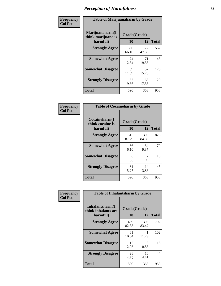| Frequency      |                                                   | <b>Table of Marijuanaharm by Grade</b> |              |              |  |  |  |  |  |  |  |
|----------------|---------------------------------------------------|----------------------------------------|--------------|--------------|--|--|--|--|--|--|--|
| <b>Col Pct</b> | Marijuanaharm(I<br>think marijuana is<br>harmful) | Grade(Grade)<br>10                     | 12           | <b>Total</b> |  |  |  |  |  |  |  |
|                | <b>Strongly Agree</b>                             | 390<br>66.10                           | 172<br>47.38 | 562          |  |  |  |  |  |  |  |
|                | <b>Somewhat Agree</b>                             | 74<br>12.54                            | 71<br>19.56  | 145          |  |  |  |  |  |  |  |
|                | <b>Somewhat Disagree</b>                          | 69<br>11.69                            | 57<br>15.70  | 126          |  |  |  |  |  |  |  |
|                | <b>Strongly Disagree</b>                          | 57<br>9.66                             | 63<br>17.36  | 120          |  |  |  |  |  |  |  |
|                | <b>Total</b>                                      | 590                                    | 363          | 953          |  |  |  |  |  |  |  |

| <b>Table of Cocaineharm by Grade</b>          |                    |              |              |  |  |
|-----------------------------------------------|--------------------|--------------|--------------|--|--|
| Cocaineharm(I<br>think cocaine is<br>harmful) | Grade(Grade)<br>10 | 12           | <b>Total</b> |  |  |
| <b>Strongly Agree</b>                         | 515<br>87.29       | 308<br>84.85 | 823          |  |  |
| <b>Somewhat Agree</b>                         | 36<br>6.10         | 34<br>9.37   | 70           |  |  |
| <b>Somewhat Disagree</b>                      | 8<br>1.36          | 7<br>1.93    | 15           |  |  |
| <b>Strongly Disagree</b>                      | 31<br>5.25         | 14<br>3.86   | 45           |  |  |
| <b>Total</b>                                  | 590                | 363          | 953          |  |  |

| Frequency      | <b>Table of Inhalantsharm by Grade</b>             |                    |              |              |  |
|----------------|----------------------------------------------------|--------------------|--------------|--------------|--|
| <b>Col Pct</b> | Inhalantsharm(I<br>think inhalants are<br>harmful) | Grade(Grade)<br>10 | 12           | <b>Total</b> |  |
|                | <b>Strongly Agree</b>                              | 489<br>82.88       | 303<br>83.47 | 792          |  |
|                | <b>Somewhat Agree</b>                              | 61<br>10.34        | 41<br>11.29  | 102          |  |
|                | <b>Somewhat Disagree</b>                           | 12<br>2.03         | 3<br>0.83    | 15           |  |
|                | <b>Strongly Disagree</b>                           | 28<br>4.75         | 16<br>4.41   | 44           |  |
|                | <b>Total</b>                                       | 590                | 363          | 953          |  |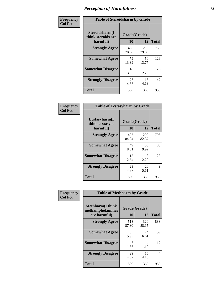| Frequency      | <b>Table of Steroidsharm by Grade</b>            |                    |              |              |
|----------------|--------------------------------------------------|--------------------|--------------|--------------|
| <b>Col Pct</b> | Steroidsharm(I<br>think steroids are<br>harmful) | Grade(Grade)<br>10 | 12           | <b>Total</b> |
|                | <b>Strongly Agree</b>                            | 466<br>78.98       | 290<br>79.89 | 756          |
|                | <b>Somewhat Agree</b>                            | 79<br>13.39        | 50<br>13.77  | 129          |
|                | <b>Somewhat Disagree</b>                         | 18<br>3.05         | 8<br>2.20    | 26           |
|                | <b>Strongly Disagree</b>                         | 27<br>4.58         | 15<br>4.13   | 42           |
|                | <b>Total</b>                                     | 590                | 363          | 953          |

| <b>Table of Ecstasyharm by Grade</b>          |                    |              |              |  |  |  |
|-----------------------------------------------|--------------------|--------------|--------------|--|--|--|
| Ecstasyharm(I<br>think ecstasy is<br>harmful) | Grade(Grade)<br>10 | 12           | <b>Total</b> |  |  |  |
| <b>Strongly Agree</b>                         | 497<br>84.24       | 299<br>82.37 | 796          |  |  |  |
| <b>Somewhat Agree</b>                         | 49<br>8.31         | 36<br>9.92   | 85           |  |  |  |
| <b>Somewhat Disagree</b>                      | 15<br>2.54         | 8<br>2.20    | 23           |  |  |  |
| <b>Strongly Disagree</b>                      | 29<br>4.92         | 20<br>5.51   | 49           |  |  |  |
| Total                                         | 590                | 363          | 953          |  |  |  |

| Frequency      | <b>Table of Methharm by Grade</b>                            |                    |              |              |  |
|----------------|--------------------------------------------------------------|--------------------|--------------|--------------|--|
| <b>Col Pct</b> | <b>Methharm</b> (I think<br>methamphetamines<br>are harmful) | Grade(Grade)<br>10 | <b>12</b>    | <b>Total</b> |  |
|                | <b>Strongly Agree</b>                                        | 518<br>87.80       | 320<br>88.15 | 838          |  |
|                | <b>Somewhat Agree</b>                                        | 35<br>5.93         | 24<br>6.61   | 59           |  |
|                | <b>Somewhat Disagree</b>                                     | 8<br>1.36          | 4<br>1.10    | 12           |  |
|                | <b>Strongly Disagree</b>                                     | 29<br>4.92         | 15<br>4.13   | 44           |  |
|                | <b>Total</b>                                                 | 590                | 363          | 953          |  |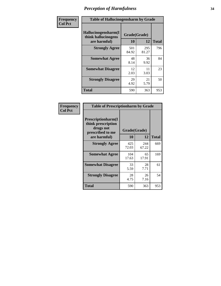| Frequency      | <b>Table of Hallucinogensharm by Grade</b> |              |            |                     |
|----------------|--------------------------------------------|--------------|------------|---------------------|
| <b>Col Pct</b> | Hallucinogensharm(I<br>think hallucinogens | Grade(Grade) |            |                     |
|                | are harmful)<br><b>Strongly Agree</b>      | 10<br>501    | 12<br>295  | <b>Total</b><br>796 |
|                |                                            | 84.92        | 81.27      |                     |
|                | <b>Somewhat Agree</b>                      | 48<br>8.14   | 36<br>9.92 | 84                  |
|                | <b>Somewhat Disagree</b>                   | 12<br>2.03   | 11<br>3.03 | 23                  |
|                | <b>Strongly Disagree</b>                   | 29<br>4.92   | 21<br>5.79 | 50                  |
|                | <b>Total</b>                               | 590          | 363        | 953                 |

| <b>Table of Prescriptionharm by Grade</b>                                 |              |              |              |  |  |
|---------------------------------------------------------------------------|--------------|--------------|--------------|--|--|
| Prescriptionharm(I<br>think prescription<br>drugs not<br>prescribed to me | Grade(Grade) |              |              |  |  |
| are harmful)                                                              | 10           | 12           | <b>Total</b> |  |  |
| <b>Strongly Agree</b>                                                     | 425<br>72.03 | 244<br>67.22 | 669          |  |  |
| <b>Somewhat Agree</b>                                                     | 104<br>17.63 | 65<br>17.91  | 169          |  |  |
| <b>Somewhat Disagree</b>                                                  | 33<br>5.59   | 28<br>7.71   | 61           |  |  |
| <b>Strongly Disagree</b>                                                  | 28<br>4.75   | 26<br>7.16   | 54           |  |  |
| <b>Total</b>                                                              | 590          | 363          | 953          |  |  |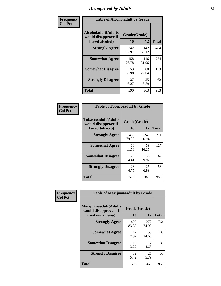# *Disapproval by Adults* **35**

| Frequency      | <b>Table of Alcoholadult by Grade</b>                                 |                    |              |              |  |
|----------------|-----------------------------------------------------------------------|--------------------|--------------|--------------|--|
| <b>Col Pct</b> | <b>Alcoholadult</b> (Adults<br>would disapprove if<br>I used alcohol) | Grade(Grade)<br>10 | 12           | <b>Total</b> |  |
|                | <b>Strongly Agree</b>                                                 | 342<br>57.97       | 142<br>39.12 | 484          |  |
|                | <b>Somewhat Agree</b>                                                 | 158<br>26.78       | 116<br>31.96 | 274          |  |
|                | <b>Somewhat Disagree</b>                                              | 53<br>8.98         | 80<br>22.04  | 133          |  |
|                | <b>Strongly Disagree</b>                                              | 37<br>6.27         | 25<br>6.89   | 62           |  |
|                | <b>Total</b>                                                          | 590                | 363          | 953          |  |

| <b>Table of Tobaccoadult by Grade</b>                                 |                    |              |              |  |
|-----------------------------------------------------------------------|--------------------|--------------|--------------|--|
| <b>Tobaccoadult</b> (Adults<br>would disapprove if<br>I used tobacco) | Grade(Grade)<br>10 | 12           | <b>Total</b> |  |
| <b>Strongly Agree</b>                                                 | 468<br>79.32       | 243<br>66.94 | 711          |  |
| <b>Somewhat Agree</b>                                                 | 68<br>11.53        | 59<br>16.25  | 127          |  |
| <b>Somewhat Disagree</b>                                              | 26<br>4.41         | 36<br>9.92   | 62           |  |
| <b>Strongly Disagree</b>                                              | 28<br>4.75         | 25<br>6.89   | 53           |  |
| <b>Total</b>                                                          | 590                | 363          | 953          |  |

| Frequency      | <b>Table of Marijuanaadult by Grade</b>                           |                    |              |              |  |
|----------------|-------------------------------------------------------------------|--------------------|--------------|--------------|--|
| <b>Col Pct</b> | Marijuanaadult(Adults<br>would disapprove if I<br>used marijuana) | Grade(Grade)<br>10 | 12           | <b>Total</b> |  |
|                | <b>Strongly Agree</b>                                             | 492<br>83.39       | 272<br>74.93 | 764          |  |
|                | <b>Somewhat Agree</b>                                             | 47<br>7.97         | 53<br>14.60  | 100          |  |
|                | <b>Somewhat Disagree</b>                                          | 19<br>3.22         | 17<br>4.68   | 36           |  |
|                | <b>Strongly Disagree</b>                                          | 32<br>5.42         | 21<br>5.79   | 53           |  |
|                | <b>Total</b>                                                      | 590                | 363          | 953          |  |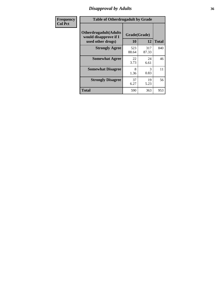# *Disapproval by Adults* **36**

| Frequency      | <b>Table of Otherdrugadult by Grade</b>                                     |                    |              |              |
|----------------|-----------------------------------------------------------------------------|--------------------|--------------|--------------|
| <b>Col Pct</b> | <b>Otherdrugadult</b> (Adults<br>would disapprove if I<br>used other drugs) | Grade(Grade)<br>10 | 12           | <b>Total</b> |
|                | <b>Strongly Agree</b>                                                       | 523<br>88.64       | 317<br>87.33 | 840          |
|                | <b>Somewhat Agree</b>                                                       | 22<br>3.73         | 24<br>6.61   | 46           |
|                | <b>Somewhat Disagree</b>                                                    | 8<br>1.36          | 3<br>0.83    | 11           |
|                | <b>Strongly Disagree</b>                                                    | 37<br>6.27         | 19<br>5.23   | 56           |
|                | <b>Total</b>                                                                | 590                | 363          | 953          |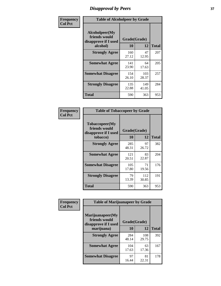# *Disapproval by Peers* **37**

| Frequency      | <b>Table of Alcoholpeer by Grade</b>                    |              |              |              |
|----------------|---------------------------------------------------------|--------------|--------------|--------------|
| <b>Col Pct</b> | Alcoholpeer(My<br>friends would<br>disapprove if I used | Grade(Grade) |              |              |
|                | alcohol)                                                | 10           | 12           | <b>Total</b> |
|                | <b>Strongly Agree</b>                                   | 160<br>27.12 | 47<br>12.95  | 207          |
|                | <b>Somewhat Agree</b>                                   | 141<br>23.90 | 64<br>17.63  | 205          |
|                | <b>Somewhat Disagree</b>                                | 154<br>26.10 | 103<br>28.37 | 257          |
|                | <b>Strongly Disagree</b>                                | 135<br>22.88 | 149<br>41.05 | 284          |
|                | Total                                                   | 590          | 363          | 953          |

| Frequency      | <b>Table of Tobaccopeer by Grade</b>                    |              |              |              |
|----------------|---------------------------------------------------------|--------------|--------------|--------------|
| <b>Col Pct</b> | Tobaccopeer(My<br>friends would<br>disapprove if I used | Grade(Grade) |              |              |
|                | tobacco)                                                | 10           | 12           | <b>Total</b> |
|                | <b>Strongly Agree</b>                                   | 285<br>48.31 | 97<br>26.72  | 382          |
|                | <b>Somewhat Agree</b>                                   | 121<br>20.51 | 83<br>22.87  | 204          |
|                | <b>Somewhat Disagree</b>                                | 105<br>17.80 | 71<br>19.56  | 176          |
|                | <b>Strongly Disagree</b>                                | 79<br>13.39  | 112<br>30.85 | 191          |
|                | Total                                                   | 590          | 363          | 953          |

| Frequency      | <b>Table of Marijuanapeer by Grade</b>                                  |                    |              |              |  |
|----------------|-------------------------------------------------------------------------|--------------------|--------------|--------------|--|
| <b>Col Pct</b> | Marijuanapeer(My<br>friends would<br>disapprove if I used<br>marijuana) | Grade(Grade)<br>10 | 12           | <b>Total</b> |  |
|                | <b>Strongly Agree</b>                                                   | 284<br>48.14       | 108<br>29.75 | 392          |  |
|                | <b>Somewhat Agree</b>                                                   | 104<br>17.63       | 63<br>17.36  | 167          |  |
|                | <b>Somewhat Disagree</b>                                                | 97<br>16.44        | 81<br>22.31  | 178          |  |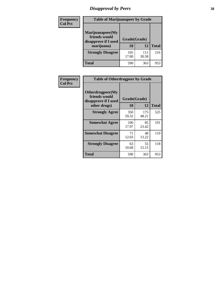# *Disapproval by Peers* **38**

| Frequency<br><b>Col Pct</b> | <b>Table of Marijuanapeer by Grade</b>                                  |                    |              |              |
|-----------------------------|-------------------------------------------------------------------------|--------------------|--------------|--------------|
|                             | Marijuanapeer(My<br>friends would<br>disapprove if I used<br>marijuana) | Grade(Grade)<br>10 | 12           | <b>Total</b> |
|                             | <b>Strongly Disagree</b>                                                | 105<br>17.80       | 111<br>30.58 | 216          |
|                             | Total                                                                   | 590                | 363          | 953          |

| Frequency      | <b>Table of Otherdrugpeer by Grade</b>                                    |                    |              |              |
|----------------|---------------------------------------------------------------------------|--------------------|--------------|--------------|
| <b>Col Pct</b> | Otherdrugpeer(My<br>friends would<br>disapprove if I used<br>other drugs) | Grade(Grade)<br>10 | 12           | <b>Total</b> |
|                | <b>Strongly Agree</b>                                                     | 350<br>59.32       | 175<br>48.21 | 525          |
|                | <b>Somewhat Agree</b>                                                     | 106<br>17.97       | 85<br>23.42  | 191          |
|                | <b>Somewhat Disagree</b>                                                  | 71<br>12.03        | 48<br>13.22  | 119          |
|                | <b>Strongly Disagree</b>                                                  | 63<br>10.68        | 55<br>15.15  | 118          |
|                | Total                                                                     | 590                | 363          | 953          |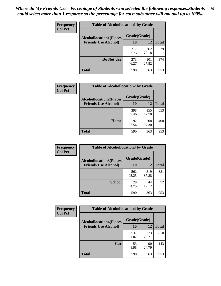| Frequency      | <b>Table of Alcohollocation1 by Grade</b> |              |              |              |
|----------------|-------------------------------------------|--------------|--------------|--------------|
| <b>Col Pct</b> | <b>Alcohollocation1(Places</b>            | Grade(Grade) |              |              |
|                | <b>Friends Use Alcohol)</b>               | 10           | 12           | <b>Total</b> |
|                |                                           | 317<br>53.73 | 262<br>72.18 | 579          |
|                | Do Not Use                                | 273<br>46.27 | 101<br>27.82 | 374          |
|                | <b>Total</b>                              | 590          | 363          | 953          |

| <b>Frequency</b> | <b>Table of Alcohollocation2 by Grade</b> |              |              |              |
|------------------|-------------------------------------------|--------------|--------------|--------------|
| <b>Col Pct</b>   | <b>Alcohollocation2(Places</b>            | Grade(Grade) |              |              |
|                  | <b>Friends Use Alcohol)</b>               | 10           | 12           | <b>Total</b> |
|                  |                                           | 398<br>67.46 | 155<br>42.70 | 553          |
|                  | Home                                      | 192<br>32.54 | 208<br>57.30 | 400          |
|                  | <b>Total</b>                              | 590          | 363          | 953          |

| Frequency<br><b>Col Pct</b> | <b>Table of Alcohollocation 3 by Grade</b>                    |              |              |              |
|-----------------------------|---------------------------------------------------------------|--------------|--------------|--------------|
|                             | <b>Alcohollocation3(Places</b><br><b>Friends Use Alcohol)</b> | Grade(Grade) |              |              |
|                             |                                                               | 10           | 12           | <b>Total</b> |
|                             |                                                               | 562<br>95.25 | 319<br>87.88 | 881          |
|                             | <b>School</b>                                                 | 28<br>4.75   | 44<br>12.12  | 72           |
|                             | <b>Total</b>                                                  | 590          | 363          | 953          |

| <b>Frequency</b> | <b>Table of Alcohollocation4 by Grade</b> |              |              |              |  |
|------------------|-------------------------------------------|--------------|--------------|--------------|--|
| <b>Col Pct</b>   | <b>Alcohollocation4(Places</b>            | Grade(Grade) |              |              |  |
|                  | <b>Friends Use Alcohol)</b>               | 10           | 12           | <b>Total</b> |  |
|                  |                                           | 537<br>91.02 | 273<br>75.21 | 810          |  |
|                  | Car                                       | 53<br>8.98   | 90<br>24.79  | 143          |  |
|                  | <b>Total</b>                              | 590          | 363          | 953          |  |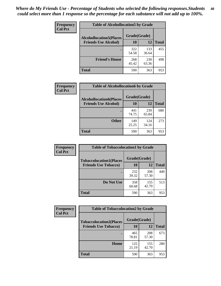| Frequency<br><b>Col Pct</b> | <b>Table of Alcohollocation5 by Grade</b> |              |              |              |  |
|-----------------------------|-------------------------------------------|--------------|--------------|--------------|--|
|                             | <b>Alcohollocation5(Places</b>            | Grade(Grade) |              |              |  |
|                             | <b>Friends Use Alcohol)</b>               | 10           | 12           | <b>Total</b> |  |
|                             |                                           | 322<br>54.58 | 133<br>36.64 | 455          |  |
|                             | <b>Friend's House</b>                     | 268<br>45.42 | 230<br>63.36 | 498          |  |
|                             | Total                                     | 590          | 363          | 953          |  |

| <b>Frequency</b> | <b>Table of Alcohollocation6 by Grade</b> |              |              |              |
|------------------|-------------------------------------------|--------------|--------------|--------------|
| <b>Col Pct</b>   | <b>Alcohollocation6(Places</b>            | Grade(Grade) |              |              |
|                  | <b>Friends Use Alcohol)</b>               | 10           | 12           | <b>Total</b> |
|                  |                                           | 441<br>74.75 | 239<br>65.84 | 680          |
|                  | <b>Other</b>                              | 149<br>25.25 | 124<br>34.16 | 273          |
|                  | <b>Total</b>                              | 590          | 363          | 953          |

| Frequency      | <b>Table of Tobaccolocation1 by Grade</b> |              |              |              |
|----------------|-------------------------------------------|--------------|--------------|--------------|
| <b>Col Pct</b> | <b>Tobaccolocation1(Places</b>            | Grade(Grade) |              |              |
|                | <b>Friends Use Tobacco)</b>               | 10           | <b>12</b>    | <b>Total</b> |
|                |                                           | 232<br>39.32 | 208<br>57.30 | 440          |
|                | <b>Do Not Use</b>                         | 358<br>60.68 | 155<br>42.70 | 513          |
|                | <b>Total</b>                              | 590          | 363          | 953          |

| Frequency      | <b>Table of Tobaccolocation2 by Grade</b> |              |              |              |
|----------------|-------------------------------------------|--------------|--------------|--------------|
| <b>Col Pct</b> | <b>Tobaccolocation2(Places</b>            | Grade(Grade) |              |              |
|                | <b>Friends Use Tobacco)</b>               | 10           | 12           | <b>Total</b> |
|                |                                           | 465<br>78.81 | 208<br>57.30 | 673          |
|                | Home                                      | 125<br>21.19 | 155<br>42.70 | 280          |
|                | <b>Total</b>                              | 590          | 363          | 953          |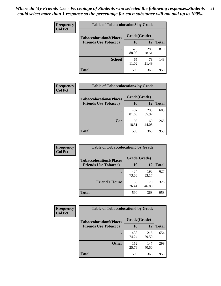| Frequency      | <b>Table of Tobaccolocation 3 by Grade</b> |              |              |              |  |
|----------------|--------------------------------------------|--------------|--------------|--------------|--|
| <b>Col Pct</b> | <b>Tobaccolocation3(Places</b>             | Grade(Grade) |              |              |  |
|                | <b>Friends Use Tobacco)</b>                | 10           | 12           | <b>Total</b> |  |
|                |                                            | 525<br>88.98 | 285<br>78.51 | 810          |  |
|                | <b>School</b>                              | 65<br>11.02  | 78<br>21.49  | 143          |  |
|                | <b>Total</b>                               | 590          | 363          | 953          |  |

| Frequency<br><b>Col Pct</b> | <b>Table of Tobaccolocation4 by Grade</b> |              |              |              |
|-----------------------------|-------------------------------------------|--------------|--------------|--------------|
|                             | <b>Tobaccolocation4(Places</b>            | Grade(Grade) |              |              |
|                             | <b>Friends Use Tobacco)</b>               | 10           | <b>12</b>    | <b>Total</b> |
|                             |                                           | 482<br>81.69 | 203<br>55.92 | 685          |
|                             | Car                                       | 108<br>18.31 | 160<br>44.08 | 268          |
|                             | <b>Total</b>                              | 590          | 363          | 953          |

 $\overline{\phantom{a}}$ 

| Frequency      | <b>Table of Tobaccolocation5 by Grade</b> |              |              |              |
|----------------|-------------------------------------------|--------------|--------------|--------------|
| <b>Col Pct</b> | <b>Tobaccolocation5(Places</b>            | Grade(Grade) |              |              |
|                | <b>Friends Use Tobacco)</b>               | 10           | 12           | <b>Total</b> |
|                |                                           | 434<br>73.56 | 193<br>53.17 | 627          |
|                | <b>Friend's House</b>                     | 156<br>26.44 | 170<br>46.83 | 326          |
|                | <b>Total</b>                              | 590          | 363          | 953          |

| <b>Frequency</b> | <b>Table of Tobaccolocation6 by Grade</b>                     |                    |              |              |  |  |
|------------------|---------------------------------------------------------------|--------------------|--------------|--------------|--|--|
| <b>Col Pct</b>   | <b>Tobaccolocation6(Places</b><br><b>Friends Use Tobacco)</b> | Grade(Grade)<br>10 | 12           | <b>Total</b> |  |  |
|                  |                                                               |                    |              |              |  |  |
|                  |                                                               | 438<br>74.24       | 216<br>59.50 | 654          |  |  |
|                  | <b>Other</b>                                                  | 152<br>25.76       | 147<br>40.50 | 299          |  |  |
|                  | <b>Total</b>                                                  | 590                | 363          | 953          |  |  |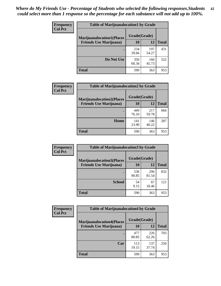| <b>Frequency</b> | <b>Table of Marijuanalocation1 by Grade</b> |              |              |              |
|------------------|---------------------------------------------|--------------|--------------|--------------|
| <b>Col Pct</b>   | <b>Marijuanalocation1(Places</b>            | Grade(Grade) |              |              |
|                  | <b>Friends Use Marijuana</b> )              | <b>10</b>    | 12           | <b>Total</b> |
|                  |                                             | 234<br>39.66 | 197<br>54.27 | 431          |
|                  | Do Not Use                                  | 356<br>60.34 | 166<br>45.73 | 522          |
|                  | <b>Total</b>                                | 590          | 363          | 953          |

| <b>Frequency</b> | <b>Table of Marijuanalocation2 by Grade</b>                        |                    |              |              |
|------------------|--------------------------------------------------------------------|--------------------|--------------|--------------|
| <b>Col Pct</b>   | <b>Marijuanalocation2(Places</b><br><b>Friends Use Marijuana</b> ) | Grade(Grade)<br>10 | 12           | <b>Total</b> |
|                  |                                                                    | 449<br>76.10       | 217<br>59.78 | 666          |
|                  | Home                                                               | 141<br>23.90       | 146<br>40.22 | 287          |
|                  | <b>Total</b>                                                       | 590                | 363          | 953          |

| Frequency<br><b>Col Pct</b> | <b>Table of Marijuanalocation3 by Grade</b> |              |       |              |
|-----------------------------|---------------------------------------------|--------------|-------|--------------|
|                             | <b>Marijuanalocation3(Places</b>            | Grade(Grade) |       |              |
|                             | <b>Friends Use Marijuana</b> )              | 10           | 12    | <b>Total</b> |
|                             |                                             | 536          | 296   | 832          |
|                             |                                             | 90.85        | 81.54 |              |
|                             | <b>School</b>                               | 54           | 67    | 121          |
|                             |                                             | 9.15         | 18.46 |              |
|                             | <b>Total</b>                                | 590          | 363   | 953          |

| <b>Frequency</b> | <b>Table of Marijuanalocation4 by Grade</b> |              |              |              |  |
|------------------|---------------------------------------------|--------------|--------------|--------------|--|
| <b>Col Pct</b>   | <b>Marijuanalocation4(Places</b>            | Grade(Grade) |              |              |  |
|                  | <b>Friends Use Marijuana</b> )              | <b>10</b>    | 12           | <b>Total</b> |  |
|                  |                                             | 477<br>80.85 | 226<br>62.26 | 703          |  |
|                  | Car                                         | 113<br>19.15 | 137<br>37.74 | 250          |  |
|                  | <b>Total</b>                                | 590          | 363          | 953          |  |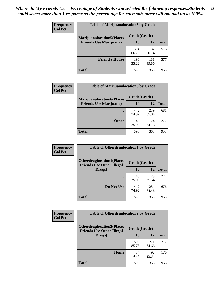| <b>Frequency</b> | <b>Table of Marijuanalocation5 by Grade</b> |              |              |              |
|------------------|---------------------------------------------|--------------|--------------|--------------|
| <b>Col Pct</b>   | <b>Marijuanalocation5</b> (Places           | Grade(Grade) |              |              |
|                  | <b>Friends Use Marijuana</b> )              | 10           | 12           | <b>Total</b> |
|                  |                                             | 394<br>66.78 | 182<br>50.14 | 576          |
|                  | <b>Friend's House</b>                       | 196<br>33.22 | 181<br>49.86 | 377          |
|                  | <b>Total</b>                                | 590          | 363          | 953          |

| <b>Frequency</b> | <b>Table of Marijuanalocation6 by Grade</b>                        |                    |              |              |
|------------------|--------------------------------------------------------------------|--------------------|--------------|--------------|
| <b>Col Pct</b>   | <b>Marijuanalocation6(Places</b><br><b>Friends Use Marijuana</b> ) | Grade(Grade)<br>10 | 12           | <b>Total</b> |
|                  |                                                                    | 442<br>74.92       | 239<br>65.84 | 681          |
|                  | <b>Other</b>                                                       | 148<br>25.08       | 124<br>34.16 | 272          |
|                  | <b>Total</b>                                                       | 590                | 363          | 953          |

| <b>Frequency</b> | <b>Table of Otherdruglocation1 by Grade</b>                          |              |              |              |
|------------------|----------------------------------------------------------------------|--------------|--------------|--------------|
| <b>Col Pct</b>   | <b>Otherdruglocation1(Places</b><br><b>Friends Use Other Illegal</b> | Grade(Grade) |              |              |
|                  | Drugs)                                                               | 10           | 12           | <b>Total</b> |
|                  |                                                                      | 148<br>25.08 | 129<br>35.54 | 277          |
|                  | Do Not Use                                                           | 442<br>74.92 | 234<br>64.46 | 676          |
|                  | <b>Total</b>                                                         | 590          | 363          | 953          |

| <b>Frequency</b> | <b>Table of Otherdruglocation2 by Grade</b>                           |              |              |              |
|------------------|-----------------------------------------------------------------------|--------------|--------------|--------------|
| <b>Col Pct</b>   | <b>Otherdruglocation2(Places)</b><br><b>Friends Use Other Illegal</b> | Grade(Grade) |              |              |
|                  | Drugs)                                                                | 10           | 12           | <b>Total</b> |
|                  |                                                                       | 506<br>85.76 | 271<br>74.66 | 777          |
|                  | <b>Home</b>                                                           | 84<br>14.24  | 92<br>25.34  | 176          |
|                  | <b>Total</b>                                                          | 590          | 363          | 953          |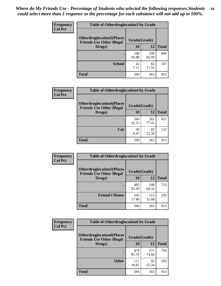| <b>Frequency</b> | <b>Table of Otherdruglocation3 by Grade</b>                          |              |              |              |
|------------------|----------------------------------------------------------------------|--------------|--------------|--------------|
| <b>Col Pct</b>   | <b>Otherdruglocation3(Places</b><br><b>Friends Use Other Illegal</b> | Grade(Grade) |              |              |
|                  | Drugs)                                                               | 10           | 12           | <b>Total</b> |
|                  |                                                                      | 548<br>92.88 | 298<br>82.09 | 846          |
|                  | <b>School</b>                                                        | 42<br>7.12   | 65<br>17.91  | 107          |
|                  | <b>Total</b>                                                         | 590          | 363          | 953          |

| <b>Frequency</b> | <b>Table of Otherdruglocation4 by Grade</b>                           |              |              |              |  |
|------------------|-----------------------------------------------------------------------|--------------|--------------|--------------|--|
| <b>Col Pct</b>   | <b>Otherdruglocation4(Places)</b><br><b>Friends Use Other Illegal</b> | Grade(Grade) |              |              |  |
|                  | Drugs)                                                                | 10           | 12           | <b>Total</b> |  |
|                  |                                                                       | 540<br>91.53 | 281<br>77.41 | 821          |  |
|                  | Car                                                                   | 50<br>8.47   | 82<br>22.59  | 132          |  |
|                  | <b>Total</b>                                                          | 590          | 363          | 953          |  |

| Frequency      | <b>Table of Otherdruglocation5 by Grade</b>                          |              |              |              |
|----------------|----------------------------------------------------------------------|--------------|--------------|--------------|
| <b>Col Pct</b> | <b>Otherdruglocation5(Places</b><br><b>Friends Use Other Illegal</b> | Grade(Grade) |              |              |
|                | Drugs)                                                               | 10           | 12           | <b>Total</b> |
|                |                                                                      | 485<br>82.20 | 248<br>68.32 | 733          |
|                | <b>Friend's House</b>                                                | 105<br>17.80 | 115<br>31.68 | 220          |
|                | Total                                                                | 590          | 363          | 953          |

| Frequency      | <b>Table of Otherdruglocation6 by Grade</b>                          |              |              |              |
|----------------|----------------------------------------------------------------------|--------------|--------------|--------------|
| <b>Col Pct</b> | <b>Otherdruglocation6(Places</b><br><b>Friends Use Other Illegal</b> | Grade(Grade) |              |              |
|                | Drugs)                                                               | 10           | 12           | <b>Total</b> |
|                |                                                                      | 479<br>81.19 | 271<br>74.66 | 750          |
|                | <b>Other</b>                                                         | 111<br>18.81 | 92<br>25.34  | 203          |
|                | <b>Total</b>                                                         | 590          | 363          | 953          |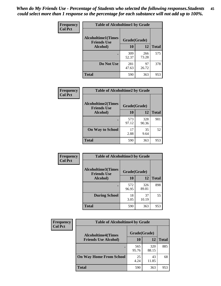| Frequency      | <b>Table of Alcoholtime1 by Grade</b>           |              |              |              |
|----------------|-------------------------------------------------|--------------|--------------|--------------|
| <b>Col Pct</b> | <b>Alcoholtime1(Times</b><br><b>Friends Use</b> | Grade(Grade) |              |              |
|                | Alcohol)                                        | 10           | 12           | <b>Total</b> |
|                |                                                 | 309<br>52.37 | 266<br>73.28 | 575          |
|                | Do Not Use                                      | 281<br>47.63 | 97<br>26.72  | 378          |
|                | <b>Total</b>                                    | 590          | 363          | 953          |

| Frequency      | <b>Table of Alcoholtime2 by Grade</b>           |              |              |              |
|----------------|-------------------------------------------------|--------------|--------------|--------------|
| <b>Col Pct</b> | <b>Alcoholtime2(Times</b><br><b>Friends Use</b> | Grade(Grade) |              |              |
|                | Alcohol)                                        | 10           | 12           | <b>Total</b> |
|                |                                                 | 573<br>97.12 | 328<br>90.36 | 901          |
|                | <b>On Way to School</b>                         | 17<br>2.88   | 35<br>9.64   | 52           |
|                | <b>Total</b>                                    | 590          | 363          | 953          |

| Frequency<br><b>Col Pct</b> | <b>Table of Alcoholtime3 by Grade</b>                    |              |              |              |
|-----------------------------|----------------------------------------------------------|--------------|--------------|--------------|
|                             | Alcoholtime3(Times<br>Grade(Grade)<br><b>Friends Use</b> |              |              |              |
|                             | <b>Alcohol</b> )                                         | 10           | 12           | <b>Total</b> |
|                             |                                                          | 572<br>96.95 | 326<br>89.81 | 898          |
|                             | <b>During School</b>                                     | 18<br>3.05   | 37<br>10.19  | 55           |
|                             | <b>Total</b>                                             | 590          | 363          | 953          |

| <b>Frequency</b><br><b>Col Pct</b> | <b>Table of Alcoholtime4 by Grade</b> |              |              |              |
|------------------------------------|---------------------------------------|--------------|--------------|--------------|
|                                    | <b>Alcoholtime4(Times</b>             | Grade(Grade) |              |              |
|                                    | <b>Friends Use Alcohol)</b>           | 10           | 12           | <b>Total</b> |
|                                    |                                       | 565<br>95.76 | 320<br>88.15 | 885          |
|                                    | <b>On Way Home From School</b>        | 25<br>4.24   | 43<br>11.85  | 68           |
|                                    | <b>Total</b>                          | 590          | 363          | 953          |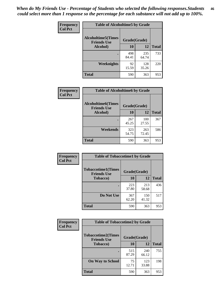*When do My Friends Use - Percentage of Students who selected the following responses.Students could select more than 1 response so the percentage for each substance will not add up to 100%.* **46**

| Frequency      | <b>Table of Alcoholtime5 by Grade</b>           |              |              |              |
|----------------|-------------------------------------------------|--------------|--------------|--------------|
| <b>Col Pct</b> | <b>Alcoholtime5(Times</b><br><b>Friends Use</b> | Grade(Grade) |              |              |
|                | Alcohol)                                        | 10           | 12           | <b>Total</b> |
|                |                                                 | 498<br>84.41 | 235<br>64.74 | 733          |
|                | Weeknights                                      | 92<br>15.59  | 128<br>35.26 | 220          |
|                | <b>Total</b>                                    | 590          | 363          | 953          |

| <b>Frequency</b> | <b>Table of Alcoholtime6 by Grade</b>           |              |              |              |
|------------------|-------------------------------------------------|--------------|--------------|--------------|
| <b>Col Pct</b>   | <b>Alcoholtime6(Times</b><br><b>Friends Use</b> |              | Grade(Grade) |              |
|                  | Alcohol)                                        | 10           | 12           | <b>Total</b> |
|                  |                                                 | 267<br>45.25 | 100<br>27.55 | 367          |
|                  | Weekends                                        | 323<br>54.75 | 263<br>72.45 | 586          |
|                  | <b>Total</b>                                    | 590          | 363          | 953          |

| Frequency      | <b>Table of Tobaccotime1 by Grade</b>           |              |              |              |
|----------------|-------------------------------------------------|--------------|--------------|--------------|
| <b>Col Pct</b> | <b>Tobaccotime1(Times</b><br><b>Friends Use</b> | Grade(Grade) |              |              |
|                | <b>Tobacco</b> )                                | 10           | 12           | <b>Total</b> |
|                |                                                 | 223<br>37.80 | 213<br>58.68 | 436          |
|                | Do Not Use                                      | 367<br>62.20 | 150<br>41.32 | 517          |
|                | <b>Total</b>                                    | 590          | 363          | 953          |

| <b>Frequency</b> | <b>Table of Tobaccotime2 by Grade</b>           |              |              |              |  |
|------------------|-------------------------------------------------|--------------|--------------|--------------|--|
| <b>Col Pct</b>   | <b>Tobaccotime2(Times</b><br><b>Friends Use</b> | Grade(Grade) |              |              |  |
|                  | <b>Tobacco</b> )                                | <b>10</b>    | 12           | <b>Total</b> |  |
|                  |                                                 | 515<br>87.29 | 240<br>66.12 | 755          |  |
|                  | <b>On Way to School</b>                         | 75<br>12.71  | 123<br>33.88 | 198          |  |
|                  | <b>Total</b>                                    | 590          | 363          | 953          |  |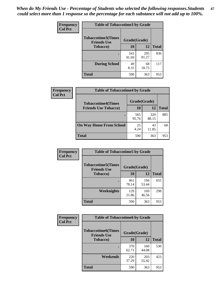*When do My Friends Use - Percentage of Students who selected the following responses.Students could select more than 1 response so the percentage for each substance will not add up to 100%.* **47**

| <b>Frequency</b> | <b>Table of Tobaccotime3 by Grade</b>           |              |              |              |  |
|------------------|-------------------------------------------------|--------------|--------------|--------------|--|
| <b>Col Pct</b>   | <b>Tobaccotime3(Times</b><br><b>Friends Use</b> |              | Grade(Grade) |              |  |
|                  | <b>Tobacco</b> )                                | 10           | 12           | <b>Total</b> |  |
|                  |                                                 | 541<br>91.69 | 295<br>81.27 | 836          |  |
|                  | <b>During School</b>                            | 49<br>8.31   | 68<br>18.73  | 117          |  |
|                  | <b>Total</b>                                    | 590          | 363          | 953          |  |

| <b>Frequency</b><br><b>Col Pct</b> | <b>Table of Tobaccotime4 by Grade</b> |              |              |              |
|------------------------------------|---------------------------------------|--------------|--------------|--------------|
|                                    | <b>Tobaccotime4(Times</b>             | Grade(Grade) |              |              |
|                                    | <b>Friends Use Tobacco)</b>           | 10           | 12           | <b>Total</b> |
|                                    |                                       | 565<br>95.76 | 320<br>88.15 | 885          |
|                                    | <b>On Way Home From School</b>        | 25<br>4.24   | 43<br>11.85  | 68           |
|                                    | <b>Total</b>                          | 590          | 363          | 953          |

| Frequency      | <b>Table of Tobaccotime5 by Grade</b>           |              |              |              |
|----------------|-------------------------------------------------|--------------|--------------|--------------|
| <b>Col Pct</b> | <b>Tobaccotime5(Times</b><br><b>Friends Use</b> | Grade(Grade) |              |              |
|                | <b>Tobacco</b> )                                | 10           | 12           | <b>Total</b> |
|                |                                                 | 461<br>78.14 | 194<br>53.44 | 655          |
|                | Weeknights                                      | 129<br>21.86 | 169<br>46.56 | 298          |
|                | <b>Total</b>                                    | 590          | 363          | 953          |

| <b>Frequency</b> | <b>Table of Tobaccotime6 by Grade</b>           |              |              |              |  |
|------------------|-------------------------------------------------|--------------|--------------|--------------|--|
| <b>Col Pct</b>   | <b>Tobaccotime6(Times</b><br><b>Friends Use</b> | Grade(Grade) |              |              |  |
|                  | <b>Tobacco</b> )                                | 10           | 12           | <b>Total</b> |  |
|                  |                                                 | 370<br>62.71 | 160<br>44.08 | 530          |  |
|                  | Weekends                                        | 220<br>37.29 | 203<br>55.92 | 423          |  |
|                  | <b>Total</b>                                    | 590          | 363          | 953          |  |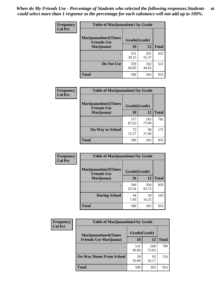| Frequency      | <b>Table of Marijuanatime1 by Grade</b>           |              |              |              |  |
|----------------|---------------------------------------------------|--------------|--------------|--------------|--|
| <b>Col Pct</b> | <b>Marijuanatime1(Times</b><br><b>Friends Use</b> | Grade(Grade) |              |              |  |
|                | Marijuana)                                        | 10           | 12           | <b>Total</b> |  |
|                |                                                   | 231<br>39.15 | 201<br>55.37 | 432          |  |
|                | Do Not Use                                        | 359<br>60.85 | 162<br>44.63 | 521          |  |
|                | <b>Total</b>                                      | 590          | 363          | 953          |  |

| Frequency      | <b>Table of Marijuanatime2 by Grade</b>    |              |              |              |
|----------------|--------------------------------------------|--------------|--------------|--------------|
| <b>Col Pct</b> | Marijuanatime2(Times<br><b>Friends Use</b> | Grade(Grade) |              |              |
|                | Marijuana)                                 | 10           | 12           | <b>Total</b> |
|                |                                            | 517<br>87.63 | 265<br>73.00 | 782          |
|                | <b>On Way to School</b>                    | 73<br>12.37  | 98<br>27.00  | 171          |
|                | <b>Total</b>                               | 590          | 363          | 953          |

| Frequency      | <b>Table of Marijuanatime3 by Grade</b>    |              |              |              |
|----------------|--------------------------------------------|--------------|--------------|--------------|
| <b>Col Pct</b> | Marijuanatime3(Times<br><b>Friends Use</b> | Grade(Grade) |              |              |
|                | Marijuana)                                 | 10           | 12           | <b>Total</b> |
|                |                                            | 546<br>92.54 | 304<br>83.75 | 850          |
|                | <b>During School</b>                       | 44<br>7.46   | 59<br>16.25  | 103          |
|                | <b>Total</b>                               | 590          | 363          | 953          |

| <b>Frequency</b><br><b>Col Pct</b> | <b>Table of Marijuanatime4 by Grade</b> |              |              |              |
|------------------------------------|-----------------------------------------|--------------|--------------|--------------|
|                                    | <b>Marijuanatime4(Times</b>             | Grade(Grade) |              |              |
|                                    | <b>Friends Use Marijuana</b> )          | 10           | 12           | <b>Total</b> |
|                                    |                                         | 531<br>90.00 | 268<br>73.83 | 799          |
|                                    | <b>On Way Home From School</b>          | 59<br>10.00  | 95<br>26.17  | 154          |
|                                    | <b>Total</b>                            | 590          | 363          | 953          |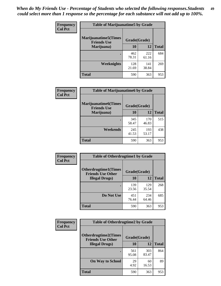| Frequency      | <b>Table of Marijuanatime5 by Grade</b>            |              |              |              |  |
|----------------|----------------------------------------------------|--------------|--------------|--------------|--|
| <b>Col Pct</b> | <b>Marijuanatime5</b> (Times<br><b>Friends Use</b> | Grade(Grade) |              |              |  |
|                | Marijuana)                                         | 10           | <b>12</b>    | <b>Total</b> |  |
|                |                                                    | 462<br>78.31 | 222<br>61.16 | 684          |  |
|                | Weeknights                                         | 128<br>21.69 | 141<br>38.84 | 269          |  |
|                | <b>Total</b>                                       | 590          | 363          | 953          |  |

| Frequency      | <b>Table of Marijuanatime6 by Grade</b>            |              |              |              |
|----------------|----------------------------------------------------|--------------|--------------|--------------|
| <b>Col Pct</b> | <b>Marijuanatime6</b> (Times<br><b>Friends Use</b> | Grade(Grade) |              |              |
|                | Marijuana)                                         | 10           | 12           | <b>Total</b> |
|                |                                                    | 345<br>58.47 | 170<br>46.83 | 515          |
|                | Weekends                                           | 245<br>41.53 | 193<br>53.17 | 438          |
|                | <b>Total</b>                                       | 590          | 363          | 953          |

| <b>Frequency</b> | <b>Table of Otherdrugtime1 by Grade</b>                  |              |              |              |
|------------------|----------------------------------------------------------|--------------|--------------|--------------|
| <b>Col Pct</b>   | <b>Otherdrugtime1</b> (Times<br><b>Friends Use Other</b> | Grade(Grade) |              |              |
|                  | <b>Illegal Drugs</b> )                                   | 10           | 12           | <b>Total</b> |
|                  |                                                          | 139<br>23.56 | 129<br>35.54 | 268          |
|                  | Do Not Use                                               | 451<br>76.44 | 234<br>64.46 | 685          |
|                  | Total                                                    | 590          | 363          | 953          |

| Frequency      | <b>Table of Otherdrugtime2 by Grade</b>                 |              |              |              |  |  |  |
|----------------|---------------------------------------------------------|--------------|--------------|--------------|--|--|--|
| <b>Col Pct</b> | <b>Otherdrugtime2(Times</b><br><b>Friends Use Other</b> | Grade(Grade) |              |              |  |  |  |
|                | <b>Illegal Drugs</b> )                                  | 10           | 12           | <b>Total</b> |  |  |  |
|                |                                                         | 561<br>95.08 | 303<br>83.47 | 864          |  |  |  |
|                | <b>On Way to School</b>                                 | 29<br>4.92   | 60<br>16.53  | 89           |  |  |  |
|                | Total                                                   | 590          | 363          | 953          |  |  |  |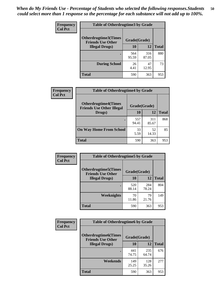| <b>Frequency</b><br><b>Col Pct</b> | <b>Table of Otherdrugtime3 by Grade</b>                 |              |              |              |  |  |  |
|------------------------------------|---------------------------------------------------------|--------------|--------------|--------------|--|--|--|
|                                    | <b>Otherdrugtime3(Times</b><br><b>Friends Use Other</b> | Grade(Grade) |              |              |  |  |  |
|                                    | <b>Illegal Drugs</b> )                                  |              | 12           | <b>Total</b> |  |  |  |
|                                    |                                                         | 564<br>95.59 | 316<br>87.05 | 880          |  |  |  |
|                                    | <b>During School</b>                                    | 26<br>4.41   | 47<br>12.95  | 73           |  |  |  |
|                                    | Total                                                   | 590          | 363          | 953          |  |  |  |

| Frequency      | <b>Table of Otherdrugtime4 by Grade</b>                         |              |              |              |  |  |  |
|----------------|-----------------------------------------------------------------|--------------|--------------|--------------|--|--|--|
| <b>Col Pct</b> | <b>Otherdrugtime4(Times</b><br><b>Friends Use Other Illegal</b> | Grade(Grade) |              |              |  |  |  |
|                | Drugs)                                                          | 10           | 12           | <b>Total</b> |  |  |  |
|                | ٠                                                               | 557<br>94.41 | 311<br>85.67 | 868          |  |  |  |
|                | <b>On Way Home From School</b>                                  | 33<br>5.59   | 52<br>14.33  | 85           |  |  |  |
|                | <b>Total</b>                                                    | 590          | 363          | 953          |  |  |  |

| <b>Frequency</b> | <b>Table of Otherdrugtime5 by Grade</b>                  |              |              |              |  |  |  |
|------------------|----------------------------------------------------------|--------------|--------------|--------------|--|--|--|
| <b>Col Pct</b>   | <b>Otherdrugtime5</b> (Times<br><b>Friends Use Other</b> | Grade(Grade) |              |              |  |  |  |
|                  | <b>Illegal Drugs</b> )                                   | 10           | 12           | <b>Total</b> |  |  |  |
|                  |                                                          | 520<br>88.14 | 284<br>78.24 | 804          |  |  |  |
|                  | Weeknights                                               | 70<br>11.86  | 79<br>21.76  | 149          |  |  |  |
|                  | Total                                                    | 590          | 363          | 953          |  |  |  |

| <b>Frequency</b> | <b>Table of Otherdrugtime6 by Grade</b>                 |              |              |              |  |  |  |
|------------------|---------------------------------------------------------|--------------|--------------|--------------|--|--|--|
| <b>Col Pct</b>   | <b>Otherdrugtime6(Times</b><br><b>Friends Use Other</b> | Grade(Grade) |              |              |  |  |  |
|                  | <b>Illegal Drugs</b> )                                  | 10           | 12           | <b>Total</b> |  |  |  |
|                  |                                                         | 441<br>74.75 | 235<br>64.74 | 676          |  |  |  |
|                  | Weekends                                                | 149<br>25.25 | 128<br>35.26 | 277          |  |  |  |
|                  | <b>Total</b>                                            | 590          | 363          | 953          |  |  |  |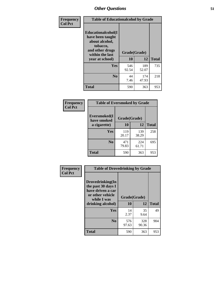| Frequency      | <b>Table of Educationalcohol by Grade</b>                                                                  |              |              |              |  |  |
|----------------|------------------------------------------------------------------------------------------------------------|--------------|--------------|--------------|--|--|
| <b>Col Pct</b> | Educationalcohol(I<br>have been taught<br>about alcohol,<br>tobacco,<br>and other drugs<br>within the last | Grade(Grade) |              |              |  |  |
|                | year at school)                                                                                            | 10           | 12           | <b>Total</b> |  |  |
|                | Yes                                                                                                        | 546<br>92.54 | 189<br>52.07 | 735          |  |  |
|                | N <sub>0</sub>                                                                                             | 44<br>7.46   | 174<br>47.93 | 218          |  |  |
|                | <b>Total</b>                                                                                               | 590          | 363          | 953          |  |  |

| Frequency      | <b>Table of Eversmoked by Grade</b> |              |              |              |  |  |  |
|----------------|-------------------------------------|--------------|--------------|--------------|--|--|--|
| <b>Col Pct</b> | Eversmoked(I<br>have smoked         | Grade(Grade) |              |              |  |  |  |
|                | a cigarette)                        | 10           | 12           | <b>Total</b> |  |  |  |
|                | <b>Yes</b>                          | 119<br>20.17 | 139<br>38.29 | 258          |  |  |  |
|                | N <sub>0</sub>                      | 471<br>79.83 | 224<br>61.71 | 695          |  |  |  |
|                | <b>Total</b>                        | 590          | 363          | 953          |  |  |  |

| Frequency      | <b>Table of Drovedrinking by Grade</b>                                                                              |                    |              |              |  |  |
|----------------|---------------------------------------------------------------------------------------------------------------------|--------------------|--------------|--------------|--|--|
| <b>Col Pct</b> | Drovedrinking(In<br>the past 30 days I<br>have driven a car<br>or other vehicle<br>while I was<br>drinking alcohol) | Grade(Grade)<br>10 | 12           | <b>Total</b> |  |  |
|                | <b>Yes</b>                                                                                                          | 14<br>2.37         | 35<br>9.64   | 49           |  |  |
|                | N <sub>0</sub>                                                                                                      | 576<br>97.63       | 328<br>90.36 | 904          |  |  |
|                | <b>Total</b>                                                                                                        | 590                | 363          | 953          |  |  |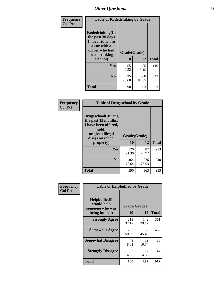| Frequency<br><b>Col Pct</b> | <b>Table of Rodedrinking by Grade</b>                                                                      |              |              |              |  |  |
|-----------------------------|------------------------------------------------------------------------------------------------------------|--------------|--------------|--------------|--|--|
|                             | Rodedrinking(In<br>the past 30 days<br>I have ridden in<br>a car with a<br>driver who had<br>been drinking | Grade(Grade) |              |              |  |  |
|                             | alcohol)                                                                                                   | 10           | 12           | <b>Total</b> |  |  |
|                             | <b>Yes</b>                                                                                                 | 55<br>9.32   | 55<br>15.15  | 110          |  |  |
|                             | N <sub>0</sub>                                                                                             | 535<br>90.68 | 308<br>84.85 | 843          |  |  |
|                             | <b>Total</b>                                                                                               | 590          | 363          | 953          |  |  |

#### **Frequency Col Pct**

| <b>Table of Drugsschool by Grade</b>                                                                                      |              |              |              |  |  |  |
|---------------------------------------------------------------------------------------------------------------------------|--------------|--------------|--------------|--|--|--|
| <b>Drugsschool</b> (During<br>the past 12 months,<br>I have been offered,<br>sold,<br>or given illegal<br>drugs on school | Grade(Grade) |              |              |  |  |  |
| property)                                                                                                                 | 10           | 12           | <b>Total</b> |  |  |  |
| Yes                                                                                                                       | 126<br>21.36 | 87<br>23.97  | 213          |  |  |  |
| N <sub>0</sub>                                                                                                            | 464<br>78.64 | 276<br>76.03 | 740          |  |  |  |
|                                                                                                                           |              |              |              |  |  |  |

| Frequency      | <b>Table of Helpbullied by Grade</b>           |              |              |              |  |  |  |  |
|----------------|------------------------------------------------|--------------|--------------|--------------|--|--|--|--|
| <b>Col Pct</b> | Helpbullied(I<br>would help<br>someone who was | Grade(Grade) |              |              |  |  |  |  |
|                | being bullied)                                 |              | 12           | <b>Total</b> |  |  |  |  |
|                | <b>Strongly Agree</b>                          | 219<br>37.12 | 142<br>39.12 | 361          |  |  |  |  |
|                | <b>Somewhat Agree</b>                          | 295<br>50.00 | 165<br>45.45 | 460          |  |  |  |  |
|                | <b>Somewhat Disagree</b>                       | 49<br>8.31   | 39<br>10.74  | 88           |  |  |  |  |
|                | <b>Strongly Disagree</b>                       | 27<br>4.58   | 17<br>4.68   | 44           |  |  |  |  |
|                | <b>Total</b>                                   | 590          | 363          | 953          |  |  |  |  |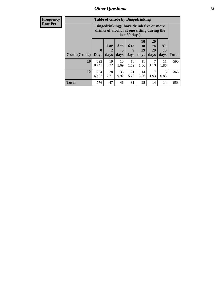| <b>Frequency</b> | <b>Table of Grade by Bingedrinking</b> |                                                                                                         |                   |                              |                   |                               |                               |                          |              |
|------------------|----------------------------------------|---------------------------------------------------------------------------------------------------------|-------------------|------------------------------|-------------------|-------------------------------|-------------------------------|--------------------------|--------------|
| <b>Row Pct</b>   |                                        | Bingedrinking(I have drunk five or more<br>drinks of alcohol at one sitting during the<br>last 30 days) |                   |                              |                   |                               |                               |                          |              |
|                  | Grade(Grade)                           | $\boldsymbol{0}$<br><b>Days</b>                                                                         | 1 or<br>2<br>days | 3 <sub>to</sub><br>5<br>days | 6 to<br>9<br>days | <b>10</b><br>to<br>19<br>days | <b>20</b><br>to<br>29<br>days | All<br><b>30</b><br>days | <b>Total</b> |
|                  | 10                                     | 522<br>88.47                                                                                            | 19<br>3.22        | 10<br>1.69                   | 10<br>1.69        | 11<br>1.86                    | $\mathcal{I}$<br>1.19         | 11<br>1.86               | 590          |
|                  | 12                                     | 254<br>69.97                                                                                            | 28<br>7.71        | 36<br>9.92                   | 21<br>5.79        | 14<br>3.86                    | 1.93                          | 3<br>0.83                | 363          |
|                  | <b>Total</b>                           | 776                                                                                                     | 47                | 46                           | 31                | 25                            | 14                            | 14                       | 953          |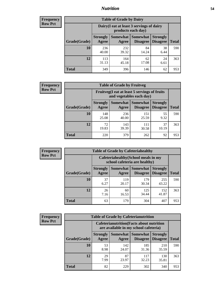### *Nutrition* **54**

| <b>Frequency</b><br><b>Row Pct</b> |
|------------------------------------|
|                                    |

| <b>Table of Grade by Dairy</b> |                                                                                                                                           |                                                                 |             |            |     |  |  |  |
|--------------------------------|-------------------------------------------------------------------------------------------------------------------------------------------|-----------------------------------------------------------------|-------------|------------|-----|--|--|--|
|                                |                                                                                                                                           | Dairy (I eat at least 3 servings of dairy<br>products each day) |             |            |     |  |  |  |
| Grade(Grade)                   | Somewhat<br><b>Somewhat</b><br><b>Strongly</b><br><b>Strongly</b><br><b>Disagree</b><br><b>Disagree</b><br><b>Total</b><br>Agree<br>Agree |                                                                 |             |            |     |  |  |  |
| 10                             | 236<br>40.00                                                                                                                              | 232<br>39.32                                                    | 84<br>14.24 | 38<br>6.44 | 590 |  |  |  |
| 12                             | 113<br>31.13                                                                                                                              | 164<br>45.18                                                    | 62<br>17.08 | 24<br>6.61 | 363 |  |  |  |
| <b>Total</b>                   | 349                                                                                                                                       | 396                                                             | 146         | 62         | 953 |  |  |  |

| <b>Frequency</b> |  |
|------------------|--|
| <b>Row Pct</b>   |  |

| <b>Table of Grade by Fruitveg</b> |                          |                                                                          |                                   |                                    |              |  |  |
|-----------------------------------|--------------------------|--------------------------------------------------------------------------|-----------------------------------|------------------------------------|--------------|--|--|
|                                   |                          | Fruitveg(I eat at least 5 servings of fruits<br>and vegetables each day) |                                   |                                    |              |  |  |
| Grade(Grade)                      | <b>Strongly</b><br>Agree | Agree                                                                    | Somewhat   Somewhat  <br>Disagree | <b>Strongly</b><br><b>Disagree</b> | <b>Total</b> |  |  |
| 10                                | 148<br>25.08             | 236<br>40.00                                                             | 151<br>25.59                      | 55<br>9.32                         | 590          |  |  |
| 12                                | 72<br>19.83              | 143<br>39.39                                                             | 111<br>30.58                      | 37<br>10.19                        | 363          |  |  |
| Total                             | 220                      | 379                                                                      | 262                               | 92                                 | 953          |  |  |

| <b>Frequency</b> | <b>Table of Grade by Cafeteriahealthy</b> |                                                                       |              |                                        |                                    |              |  |
|------------------|-------------------------------------------|-----------------------------------------------------------------------|--------------|----------------------------------------|------------------------------------|--------------|--|
| <b>Row Pct</b>   |                                           | Cafeteriahealthy (School meals in my<br>school cafeteria are healthy) |              |                                        |                                    |              |  |
|                  | Grade(Grade)                              | <b>Strongly</b><br>Agree                                              | Agree        | Somewhat   Somewhat<br><b>Disagree</b> | <b>Strongly</b><br><b>Disagree</b> | <b>Total</b> |  |
|                  | 10                                        | 37<br>6.27                                                            | 119<br>20.17 | 179<br>30.34                           | 255<br>43.22                       | 590          |  |
|                  | 12                                        | 26<br>7.16                                                            | 60<br>16.53  | 125<br>34.44                           | 152<br>41.87                       | 363          |  |
|                  | <b>Total</b>                              | 63                                                                    | 179          | 304                                    | 407                                | 953          |  |

| <b>Frequency</b> |
|------------------|
| <b>Row Pct</b>   |

| <b>Table of Grade by Cafeterianutrition</b>                                               |                          |              |                                      |                                    |       |  |  |
|-------------------------------------------------------------------------------------------|--------------------------|--------------|--------------------------------------|------------------------------------|-------|--|--|
| <b>Cafeterianutrition</b> (Facts about nutrition<br>are available in my school cafeteria) |                          |              |                                      |                                    |       |  |  |
| Grade(Grade)                                                                              | <b>Strongly</b><br>Agree | Agree        | Somewhat Somewhat<br><b>Disagree</b> | <b>Strongly</b><br><b>Disagree</b> | Total |  |  |
| 10                                                                                        | 53<br>8.98               | 142<br>24.07 | 185<br>31.36                         | 210<br>35.59                       | 590   |  |  |
| 12                                                                                        | 29<br>7.99               | 87<br>23.97  | 117<br>32.23                         | 130<br>35.81                       | 363   |  |  |
| Total                                                                                     | 82                       | 229          | 302                                  | 340                                | 953   |  |  |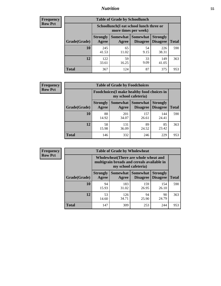### *Nutrition* **55**

| <b>Frequency</b> |
|------------------|
| <b>Row Pct</b>   |

| <b>Table of Grade by Schoollunch</b> |                                                                                                                                                  |                                                                 |            |              |     |  |  |  |
|--------------------------------------|--------------------------------------------------------------------------------------------------------------------------------------------------|-----------------------------------------------------------------|------------|--------------|-----|--|--|--|
|                                      |                                                                                                                                                  | Schoollunch(I eat school lunch three or<br>more times per week) |            |              |     |  |  |  |
| Grade(Grade)                         | <b>Somewhat</b><br><b>Somewhat</b><br><b>Strongly</b><br><b>Strongly</b><br><b>Disagree</b><br><b>Disagree</b><br><b>Total</b><br>Agree<br>Agree |                                                                 |            |              |     |  |  |  |
| 10                                   | 245<br>41.53                                                                                                                                     | 65<br>11.02                                                     | 54<br>9.15 | 226<br>38.31 | 590 |  |  |  |
| 12                                   | 122<br>33.61                                                                                                                                     | 59<br>16.25                                                     | 33<br>9.09 | 149<br>41.05 | 363 |  |  |  |
| <b>Total</b>                         | 367                                                                                                                                              | 124                                                             | 87         | 375          | 953 |  |  |  |

| <b>Frequency</b> |  |
|------------------|--|
| <b>Row Pct</b>   |  |

| <b>Table of Grade by Foodchoices</b>                                               |             |              |              |                                    |              |  |  |
|------------------------------------------------------------------------------------|-------------|--------------|--------------|------------------------------------|--------------|--|--|
| <b>Foodchoices</b> (I make healthy food choices in<br>my school cafeteria)         |             |              |              |                                    |              |  |  |
| Somewhat Somewhat<br><b>Strongly</b><br>Agree<br>Grade(Grade)<br>Disagree<br>Agree |             |              |              | <b>Strongly</b><br><b>Disagree</b> | <b>Total</b> |  |  |
| 10                                                                                 | 88<br>14.92 | 201<br>34.07 | 157<br>26.61 | 144<br>24.41                       | 590          |  |  |
| 12                                                                                 | 58<br>15.98 | 131<br>36.09 | 89<br>24.52  | 85<br>23.42                        | 363          |  |  |
| <b>Total</b>                                                                       | 146         | 332          | 246          | 229                                | 953          |  |  |

| <b>Frequency</b><br><b>Table of Grade by Wholewheat</b> |              |                          |                          |                                                                                                             |                                    |              |
|---------------------------------------------------------|--------------|--------------------------|--------------------------|-------------------------------------------------------------------------------------------------------------|------------------------------------|--------------|
| <b>Row Pct</b>                                          |              |                          |                          | Wholewheat (There are whole wheat and<br>multigrain breads and cereals available in<br>my school cafeteria) |                                    |              |
|                                                         | Grade(Grade) | <b>Strongly</b><br>Agree | <b>Somewhat</b><br>Agree | <b>Somewhat</b><br><b>Disagree</b>                                                                          | <b>Strongly</b><br><b>Disagree</b> | <b>Total</b> |
|                                                         | 10           | 94<br>15.93              | 183<br>31.02             | 159<br>26.95                                                                                                | 154<br>26.10                       | 590          |
|                                                         | 12           | 53<br>14.60              | 126<br>34.71             | 94<br>25.90                                                                                                 | 90<br>24.79                        | 363          |
|                                                         | <b>Total</b> | 147                      | 309                      | 253                                                                                                         | 244                                | 953          |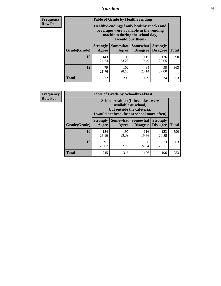### *Nutrition* **56**

**Frequency Row Pct**

| <b>Table of Grade by Healthyvending</b> |                                                                                                                                               |                          |                                    |                                    |              |  |
|-----------------------------------------|-----------------------------------------------------------------------------------------------------------------------------------------------|--------------------------|------------------------------------|------------------------------------|--------------|--|
|                                         | Healthyvending (If only healthy snacks and<br>beverages were available in the vending<br>machines during the school day,<br>I would buy them) |                          |                                    |                                    |              |  |
| Grade(Grade)                            | <b>Strongly</b><br>Agree                                                                                                                      | <b>Somewhat</b><br>Agree | <b>Somewhat</b><br><b>Disagree</b> | <b>Strongly</b><br><b>Disagree</b> | <b>Total</b> |  |
| 10                                      | 143<br>24.24                                                                                                                                  | 196<br>33.22             | 115<br>19.49                       | 136<br>23.05                       | 590          |  |
| 12                                      | 79<br>21.76                                                                                                                                   | 102<br>28.10             | 84<br>23.14                        | 98<br>27.00                        | 363          |  |
| <b>Total</b>                            | 222                                                                                                                                           | 298                      | 199                                | 234                                | 953          |  |

**Frequency Row Pct**

| <b>Table of Grade by Schoolbreakfast</b> |                                                                                                                                         |                   |                                    |                                    |              |  |
|------------------------------------------|-----------------------------------------------------------------------------------------------------------------------------------------|-------------------|------------------------------------|------------------------------------|--------------|--|
|                                          | Schoolbreakfast (If breakfast were<br>available at school,<br>but outside the cafeteria,<br>I would eat breakfast at school more often) |                   |                                    |                                    |              |  |
| Grade(Grade)                             | <b>Strongly</b><br>Agree                                                                                                                | Somewhat<br>Agree | <b>Somewhat</b><br><b>Disagree</b> | <b>Strongly</b><br><b>Disagree</b> | <b>Total</b> |  |
| 10                                       | 154<br>26.10                                                                                                                            | 197<br>33.39      | 116<br>19.66                       | 123<br>20.85                       | 590          |  |
| 12                                       | 91<br>25.07                                                                                                                             | 119<br>32.78      | 80<br>22.04                        | 73<br>20.11                        | 363          |  |
| <b>Total</b>                             | 245                                                                                                                                     | 316               | 196                                | 196                                | 953          |  |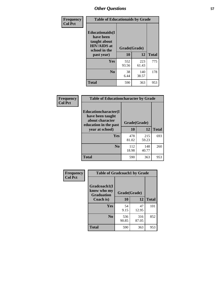| Frequency<br><b>Col Pct</b> | <b>Table of Educationaids by Grade</b>                                                                    |                    |              |              |
|-----------------------------|-----------------------------------------------------------------------------------------------------------|--------------------|--------------|--------------|
|                             | <b>Educationaids</b> (I<br>have been<br>taught about<br><b>HIV/AIDS</b> at<br>school in the<br>past year) | Grade(Grade)<br>10 | 12           | <b>Total</b> |
|                             | Yes                                                                                                       | 552<br>93.56       | 223<br>61.43 | 775          |
|                             | N <sub>0</sub>                                                                                            | 38<br>6.44         | 140<br>38.57 | 178          |
|                             | <b>Total</b>                                                                                              | 590                | 363          | 953          |

| Frequency<br><b>Col Pct</b> | <b>Table of Educationcharacter by Grade</b>                         |              |              |              |
|-----------------------------|---------------------------------------------------------------------|--------------|--------------|--------------|
|                             | <b>Educationcharacter(I)</b><br>have been taught<br>about character |              |              |              |
|                             | education in the past                                               | Grade(Grade) |              |              |
|                             | year at school)                                                     | 10           | 12           | <b>Total</b> |
|                             | <b>Yes</b>                                                          | 478<br>81.02 | 215<br>59.23 | 693          |
|                             | N <sub>0</sub>                                                      | 112<br>18.98 | 148<br>40.77 | 260          |
|                             | <b>Total</b>                                                        | 590          | 363          | 953          |

| Frequency      | <b>Table of Gradcoach1 by Grade</b>              |              |              |              |
|----------------|--------------------------------------------------|--------------|--------------|--------------|
| <b>Col Pct</b> | Gradcoach1(I<br>know who my<br><b>Graduation</b> | Grade(Grade) |              |              |
|                | Coach is)                                        | 10           | 12           | <b>Total</b> |
|                | Yes                                              | 54<br>9.15   | 47<br>12.95  | 101          |
|                | N <sub>0</sub>                                   | 536<br>90.85 | 316<br>87.05 | 852          |
|                | <b>Total</b>                                     | 590          | 363          | 953          |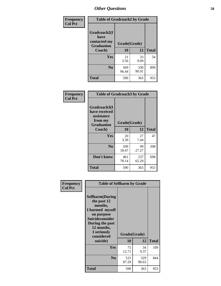| Frequency      | <b>Table of Gradcoach2 by Grade</b> |              |              |              |
|----------------|-------------------------------------|--------------|--------------|--------------|
| <b>Col Pct</b> |                                     |              |              |              |
|                | Gradcoach2(I<br>have                |              |              |              |
|                | contacted my<br><b>Graduation</b>   |              | Grade(Grade) |              |
|                | Coach)                              | 10           | 12           | <b>Total</b> |
|                | Yes                                 | 21<br>3.56   | 33<br>9.09   | 54           |
|                | N <sub>0</sub>                      | 569<br>96.44 | 330<br>90.91 | 899          |
|                | <b>Total</b>                        | 590          | 363          | 953          |

| Frequency<br><b>Col Pct</b> | <b>Table of Gradcoach3 by Grade</b>                                         |              |              |              |
|-----------------------------|-----------------------------------------------------------------------------|--------------|--------------|--------------|
|                             | Gradcoach3(I<br>have received<br>assistance<br>from my<br><b>Graduation</b> | Grade(Grade) |              |              |
|                             | Coach)                                                                      | 10           | 12           | <b>Total</b> |
|                             | Yes                                                                         | 20<br>3.39   | 27<br>7.44   | 47           |
|                             | N <sub>0</sub>                                                              | 109<br>18.47 | 99<br>27.27  | 208          |
|                             | Don't know                                                                  | 461<br>78.14 | 237<br>65.29 | 698          |
|                             | <b>Total</b>                                                                | 590          | 363          | 953          |

| Frequency      | <b>Table of Selfharm by Grade</b>                                                                                                                                                      |                    |              |              |
|----------------|----------------------------------------------------------------------------------------------------------------------------------------------------------------------------------------|--------------------|--------------|--------------|
| <b>Col Pct</b> | <b>Selfharm</b> (During<br>the past 12<br>months,<br>I harmed myself<br>on purpose<br><b>Suicideconsider</b><br>During the past<br>12 months,<br>I seriously<br>considered<br>suicide) | Grade(Grade)<br>10 | 12           | <b>Total</b> |
|                | Yes                                                                                                                                                                                    | 75<br>12.71        | 34<br>9.37   | 109          |
|                | N <sub>0</sub>                                                                                                                                                                         | 515<br>87.29       | 329<br>90.63 | 844          |
|                | Total                                                                                                                                                                                  | 590                | 363          | 953          |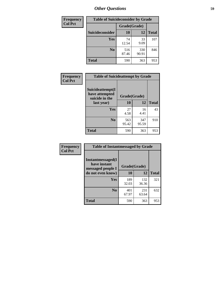| <b>Frequency</b> | <b>Table of Suicideconsider by Grade</b> |              |              |              |  |
|------------------|------------------------------------------|--------------|--------------|--------------|--|
| <b>Col Pct</b>   |                                          | Grade(Grade) |              |              |  |
|                  | Suicideconsider                          | <b>10</b>    | 12           | <b>Total</b> |  |
|                  | Yes                                      | 74<br>12.54  | 33<br>9.09   | 107          |  |
|                  | N <sub>0</sub>                           | 516<br>87.46 | 330<br>90.91 | 846          |  |
|                  | Total                                    | 590          | 363          | 953          |  |

| Frequency      | <b>Table of Suicideattempt by Grade</b>              |              |              |              |
|----------------|------------------------------------------------------|--------------|--------------|--------------|
| <b>Col Pct</b> | Suicideattempt(I<br>have attempted<br>suicide in the | Grade(Grade) |              |              |
|                | last year)                                           | 10           | 12           | <b>Total</b> |
|                | Yes                                                  | 27<br>4.58   | 16<br>4.41   | 43           |
|                | $\bf No$                                             | 563<br>95.42 | 347<br>95.59 | 910          |
|                | <b>Total</b>                                         | 590          | 363          | 953          |

| Frequency      | <b>Table of Instantmessaged by Grade</b>               |              |              |              |
|----------------|--------------------------------------------------------|--------------|--------------|--------------|
| <b>Col Pct</b> | Instantmessaged(I<br>have instant<br>messaged people I | Grade(Grade) |              |              |
|                | do not even know)                                      | 10           | 12           | <b>Total</b> |
|                | Yes                                                    | 189<br>32.03 | 132<br>36.36 | 321          |
|                | N <sub>0</sub>                                         | 401<br>67.97 | 231<br>63.64 | 632          |
|                | <b>Total</b>                                           | 590          | 363          | 953          |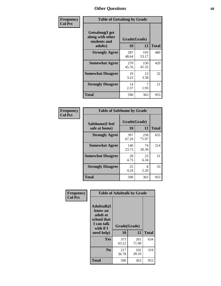| Frequency      | <b>Table of Getsalong by Grade</b>                          |              |              |              |
|----------------|-------------------------------------------------------------|--------------|--------------|--------------|
| <b>Col Pct</b> | <b>Getsalong</b> (I get<br>along with other<br>students and | Grade(Grade) |              |              |
|                | adults)                                                     | 10           | 12           | <b>Total</b> |
|                | <b>Strongly Agree</b>                                       | 287<br>48.64 | 193<br>53.17 | 480          |
|                | <b>Somewhat Agree</b>                                       | 270<br>45.76 | 150<br>41.32 | 420          |
|                | <b>Somewhat Disagree</b>                                    | 19<br>3.22   | 13<br>3.58   | 32           |
|                | <b>Strongly Disagree</b>                                    | 14<br>2.37   | 7<br>1.93    | 21           |
|                | <b>Total</b>                                                | 590          | 363          | 953          |

| Frequency      | <b>Table of Safehome by Grade</b> |                    |              |     |
|----------------|-----------------------------------|--------------------|--------------|-----|
| <b>Col Pct</b> | Safehome(I feel<br>safe at home)  | Grade(Grade)<br>10 | <b>Total</b> |     |
|                |                                   |                    | 12           |     |
|                | <b>Strongly Agree</b>             | 397<br>67.29       | 258<br>71.07 | 655 |
|                | <b>Somewhat Agree</b>             | 140<br>23.73       | 74<br>20.39  | 214 |
|                | <b>Somewhat Disagree</b>          | 28<br>4.75         | 23<br>6.34   | 51  |
|                | <b>Strongly Disagree</b>          | 25<br>4.24         | 8<br>2.20    | 33  |
|                | <b>Total</b>                      | 590                | 363          | 953 |

| Frequency      |                                                                                     | <b>Table of Adulttalk by Grade</b> |              |              |
|----------------|-------------------------------------------------------------------------------------|------------------------------------|--------------|--------------|
| <b>Col Pct</b> | <b>Adulttalk(I</b><br>know an<br>adult at<br>school that<br>I can talk<br>with if I | Grade(Grade)                       |              |              |
|                | need help)                                                                          | 10                                 | 12           | <b>Total</b> |
|                | <b>Yes</b>                                                                          | 373<br>63.22                       | 261<br>71.90 | 634          |
|                | N <sub>0</sub>                                                                      | 217<br>36.78                       | 102<br>28.10 | 319          |
|                | <b>Total</b>                                                                        | 590                                | 363          | 953          |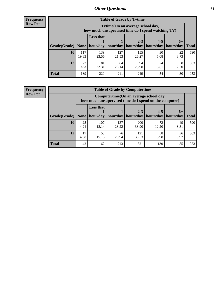**Frequency Row Pct**

r

| <b>Table of Grade by Tytime</b> |              |                                                                                         |                            |              |            |            |              |  |  |  |
|---------------------------------|--------------|-----------------------------------------------------------------------------------------|----------------------------|--------------|------------|------------|--------------|--|--|--|
|                                 |              | Tytime (On an average school day,<br>how much unsupervised time do I spend watching TV) |                            |              |            |            |              |  |  |  |
|                                 |              | <b>Less that</b>                                                                        | $2 - 3$<br>$4 - 5$<br>$6+$ |              |            |            |              |  |  |  |
| Grade(Grade)                    | None         |                                                                                         | hour/day   hour/day        | hours/day    | hours/day  | hours/day  | <b>Total</b> |  |  |  |
| 10                              | 117<br>19.83 | 139<br>23.56                                                                            | 127<br>21.53               | 155<br>26.27 | 30<br>5.08 | 22<br>3.73 | 590          |  |  |  |
| 12                              | 72<br>19.83  | 81<br>22.31                                                                             | 84<br>23.14                | 94<br>25.90  | 24<br>6.61 | 8<br>2.20  | 363          |  |  |  |
| <b>Total</b>                    | 189          | 220                                                                                     | 211                        | 249          | 54         | 30         | 953          |  |  |  |

**Frequency Row Pct**

| <b>Table of Grade by Computertime</b> |            |                                                                                                   |              |                      |                      |                   |              |  |  |
|---------------------------------------|------------|---------------------------------------------------------------------------------------------------|--------------|----------------------|----------------------|-------------------|--------------|--|--|
|                                       |            | Computertime (On an average school day,<br>how much unsupervised time do I spend on the computer) |              |                      |                      |                   |              |  |  |
| Grade(Grade)                          | None $ $   | <b>Less that</b><br>hour/day                                                                      | hour/day     | $2 - 3$<br>hours/day | $4 - 5$<br>hours/day | $6+$<br>hours/day | <b>Total</b> |  |  |
|                                       |            |                                                                                                   |              |                      |                      |                   |              |  |  |
| 10                                    | 25<br>4.24 | 107<br>18.14                                                                                      | 137<br>23.22 | 200<br>33.90         | 72<br>12.20          | 49<br>8.31        | 590          |  |  |
| 12                                    | 17<br>4.68 | 55<br>15.15                                                                                       | 76<br>20.94  | 121<br>33.33         | 58<br>15.98          | 36<br>9.92        | 363          |  |  |
| <b>Total</b>                          | 42         | 162                                                                                               | 213          | 321                  | 130                  | 85                | 953          |  |  |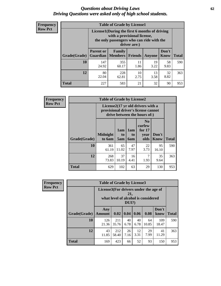#### *Questions about Driving Laws* **62** *Driving Questions were asked only of high school students.*

| <b>Frequency</b> |
|------------------|
| <b>Row Pct</b>   |

| <b>Table of Grade by License1</b> |                                                                       |                                                                                                                                           |                |            |               |              |  |  |  |
|-----------------------------------|-----------------------------------------------------------------------|-------------------------------------------------------------------------------------------------------------------------------------------|----------------|------------|---------------|--------------|--|--|--|
|                                   |                                                                       | License1(During the first 6 months of driving<br>with a provisional license,<br>the only passengers who can ride with the<br>driver are:) |                |            |               |              |  |  |  |
| Grade(Grade)                      | <b>Parent or</b><br><b>Guardian</b>                                   | Family<br><b>Members</b>                                                                                                                  | <b>Friends</b> | Anyone     | Don't<br>Know | <b>Total</b> |  |  |  |
| 10                                | 147<br>24.92                                                          | 355<br>60.17                                                                                                                              | 11<br>1.86     | 19<br>3.22 | 58<br>9.83    | 590          |  |  |  |
| 12                                | 32<br>80<br>10<br>13<br>228<br>8.82<br>22.04<br>3.58<br>62.81<br>2.75 |                                                                                                                                           |                |            |               |              |  |  |  |
| <b>Total</b>                      | 227                                                                   | 583                                                                                                                                       | 21             | 32         | 90            | 953          |  |  |  |

| Frequency      |              | <b>Table of Grade by License2</b>                                                                        |                  |                  |                                                      |                      |              |  |  |
|----------------|--------------|----------------------------------------------------------------------------------------------------------|------------------|------------------|------------------------------------------------------|----------------------|--------------|--|--|
| <b>Row Pct</b> |              | License2(17 yr old drivers with a<br>provisional driver's license cannot<br>drive between the hours of:) |                  |                  |                                                      |                      |              |  |  |
|                | Grade(Grade) | <b>Midnight</b><br>to 6am                                                                                | 1am<br>to<br>5am | 1am<br>to<br>6am | N <sub>0</sub><br>curfew<br>for $17$<br>year<br>olds | Don't<br><b>Know</b> | <b>Total</b> |  |  |
|                | 10           | 361<br>61.19                                                                                             | 65<br>11.02      | 47<br>7.97       | 22<br>3.73                                           | 95<br>16.10          | 590          |  |  |
|                | 12           | 268<br>73.83                                                                                             | 37<br>10.19      | 16<br>4.41       | 7<br>1.93                                            | 35<br>9.64           | 363          |  |  |
|                | <b>Total</b> | 629                                                                                                      | 102              | 63               | 29                                                   | 130                  | 953          |  |  |

| Frequency      | <b>Table of Grade by License3</b> |                                       |              |                 |            |                                     |               |              |
|----------------|-----------------------------------|---------------------------------------|--------------|-----------------|------------|-------------------------------------|---------------|--------------|
| <b>Row Pct</b> |                                   | License3(For drivers under the age of |              | 21,<br>$DUI$ ?) |            | what level of alcohol is considered |               |              |
|                | Grade(Grade)                      | Any<br><b>Amount</b>                  | 0.02         | 0.04            | 0.06       | 0.08                                | Don't<br>know | <b>Total</b> |
|                | <b>10</b>                         | 126<br>21.36                          | 211<br>35.76 | 40<br>6.78      | 40<br>6.78 | 64<br>10.85                         | 109<br>18.47  | 590          |
|                | 12                                | 43<br>11.85                           | 212<br>58.40 | 26<br>7.16      | 12<br>3.31 | 29<br>7.99                          | 41<br>11.29   | 363          |
|                | <b>Total</b>                      | 169                                   | 423          | 66              | 52         | 93                                  | 150           | 953          |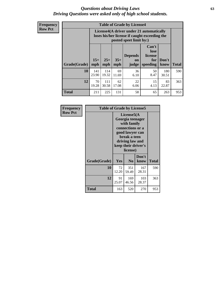#### *Questions about Driving Laws* **63** *Driving Questions were asked only of high school students.*

**Frequency Row Pct**

| <b>Table of Grade by License4</b> |              |                                                                                                                                               |             |            |            |              |     |  |
|-----------------------------------|--------------|-----------------------------------------------------------------------------------------------------------------------------------------------|-------------|------------|------------|--------------|-----|--|
|                                   |              | License4(A driver under 21 automatically<br>loses his/her license if caught exceeding the<br>posted speet limit by:)                          |             |            |            |              |     |  |
| <b>Grade(Grade)</b>               | $15+$<br>mph | Can't<br>lose<br><b>Depends</b><br>license<br>$25+$<br>$35+$<br>Don't<br>for<br>on<br>mph<br><b>Total</b><br>speeding<br>mph<br>judge<br>know |             |            |            |              |     |  |
| 10                                | 141<br>23.90 | 114<br>19.32                                                                                                                                  | 69<br>11.69 | 36<br>6.10 | 50<br>8.47 | 180<br>30.51 | 590 |  |
| 12                                | 70<br>19.28  | 111<br>30.58                                                                                                                                  | 62<br>17.08 | 22<br>6.06 | 15<br>4.13 | 83<br>22.87  | 363 |  |
| <b>Total</b>                      | 211          | 225                                                                                                                                           | 131         | 58         | 65         | 263          | 953 |  |

| Frequency      | <b>Table of Grade by License5</b> |                                                                                                                                                             |                |               |              |  |
|----------------|-----------------------------------|-------------------------------------------------------------------------------------------------------------------------------------------------------------|----------------|---------------|--------------|--|
| <b>Row Pct</b> |                                   | License5(A)<br>Georgia teenager<br>with family<br>connections or a<br>good lawyer can<br>break a teen<br>driving law and<br>keep their driver's<br>license) |                |               |              |  |
|                | Grade(Grade)                      | <b>Yes</b>                                                                                                                                                  | N <sub>0</sub> | Don't<br>know | <b>Total</b> |  |
|                | 10                                | 72<br>12.20                                                                                                                                                 | 351<br>59.49   | 167<br>28.31  | 590          |  |
|                | 12                                | 91<br>25.07                                                                                                                                                 | 169<br>46.56   | 103<br>28.37  | 363          |  |
|                | <b>Total</b>                      | 163                                                                                                                                                         | 520            | 270           | 953          |  |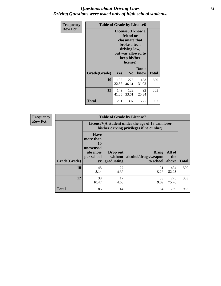#### *Questions about Driving Laws* **64** *Driving Questions were asked only of high school students.*

| <b>Frequency</b> | <b>Table of Grade by License6</b> |              |                                                                                                                           |                    |              |  |  |
|------------------|-----------------------------------|--------------|---------------------------------------------------------------------------------------------------------------------------|--------------------|--------------|--|--|
| <b>Row Pct</b>   |                                   |              | License <sub>6</sub> (I know a<br>friend or<br>classmate that<br>broke a teen<br>driving law,<br>keep his/her<br>license) | but was allowed to |              |  |  |
|                  | Grade(Grade)                      | <b>Yes</b>   | N <sub>0</sub>                                                                                                            | Don't<br>know      | <b>Total</b> |  |  |
|                  | 10                                | 132<br>22.37 | 275<br>46.61                                                                                                              | 183<br>31.02       | 590          |  |  |
|                  | 12                                | 149<br>41.05 | 122<br>33.61                                                                                                              | 92<br>25.34        | 363          |  |  |
|                  | <b>Total</b>                      | 281          | 397                                                                                                                       | 275                | 953          |  |  |

| <b>Frequency</b> |              |                                                                             | <b>Table of Grade by License7</b>                                                             |                                                   |                        |              |  |  |  |
|------------------|--------------|-----------------------------------------------------------------------------|-----------------------------------------------------------------------------------------------|---------------------------------------------------|------------------------|--------------|--|--|--|
| <b>Row Pct</b>   |              |                                                                             | License7(A student under the age of 18 cam loser<br>his/her driving privileges if he or she:) |                                                   |                        |              |  |  |  |
|                  | Grade(Grade) | <b>Have</b><br>more than<br>10<br>unexcused<br>absences<br>per school<br>yr | Drop out<br>without  <br>graduating                                                           | <b>Bring</b><br>alcohol/drugs/weapon<br>to school | All of<br>the<br>above | <b>Total</b> |  |  |  |
|                  | 10           | 48<br>8.14                                                                  | 27<br>4.58                                                                                    | 31<br>5.25                                        | 484<br>82.03           | 590          |  |  |  |
|                  | 12           | 38<br>10.47                                                                 | 17<br>4.68                                                                                    | 33<br>9.09                                        | 275<br>75.76           | 363          |  |  |  |
|                  | <b>Total</b> | 86                                                                          | 44                                                                                            | 64                                                | 759                    | 953          |  |  |  |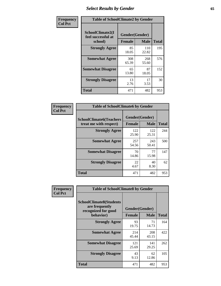# *Select Results by Gender* **65**

| Frequency      | <b>Table of SchoolClimate2 by Gender</b>          |                                 |              |              |  |
|----------------|---------------------------------------------------|---------------------------------|--------------|--------------|--|
| <b>Col Pct</b> | SchoolClimate2(I<br>feel successful at<br>school) | Gender(Gender)<br><b>Female</b> | <b>Male</b>  | <b>Total</b> |  |
|                | <b>Strongly Agree</b>                             | 85<br>18.05                     | 110<br>22.82 | 195          |  |
|                | <b>Somewhat Agree</b>                             | 308<br>65.39                    | 268<br>55.60 | 576          |  |
|                | <b>Somewhat Disagree</b>                          | 65<br>13.80                     | 87<br>18.05  | 152          |  |
|                | <b>Strongly Disagree</b>                          | 13<br>2.76                      | 17<br>3.53   | 30           |  |
|                | <b>Total</b>                                      | 471                             | 482          | 953          |  |

| <b>Frequency</b> | <b>Table of SchoolClimate6 by Gender</b>                 |               |                               |              |  |
|------------------|----------------------------------------------------------|---------------|-------------------------------|--------------|--|
| <b>Col Pct</b>   | <b>SchoolClimate6(Teachers</b><br>treat me with respect) | <b>Female</b> | Gender(Gender)<br><b>Male</b> | <b>Total</b> |  |
|                  | <b>Strongly Agree</b>                                    | 122<br>25.90  | 122<br>25.31                  | 244          |  |
|                  | <b>Somewhat Agree</b>                                    | 257<br>54.56  | 243<br>50.41                  | 500          |  |
|                  | <b>Somewhat Disagree</b>                                 | 70<br>14.86   | 77<br>15.98                   | 147          |  |
|                  | <b>Strongly Disagree</b>                                 | 22<br>4.67    | 40<br>8.30                    | 62           |  |
|                  | <b>Total</b>                                             | 471           | 482                           | 953          |  |

| Frequency      | <b>Table of SchoolClimate8 by Gender</b>                                             |                                 |              |              |
|----------------|--------------------------------------------------------------------------------------|---------------------------------|--------------|--------------|
| <b>Col Pct</b> | <b>SchoolClimate8(Students</b><br>are frequently<br>recognized for good<br>behavior) | Gender(Gender)<br><b>Female</b> | <b>Male</b>  | <b>Total</b> |
|                | <b>Strongly Agree</b>                                                                | 93<br>19.75                     | 71<br>14.73  | 164          |
|                | <b>Somewhat Agree</b>                                                                | 214<br>45.44                    | 208<br>43.15 | 422          |
|                | <b>Somewhat Disagree</b>                                                             | 121<br>25.69                    | 141<br>29.25 | 262          |
|                | <b>Strongly Disagree</b>                                                             | 43<br>9.13                      | 62<br>12.86  | 105          |
|                | <b>Total</b>                                                                         | 471                             | 482          | 953          |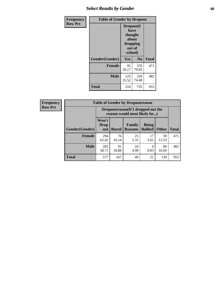# *Select Results by Gender* **66**

| Frequency      | <b>Table of Gender by Dropout</b> |                                                                        |                |              |
|----------------|-----------------------------------|------------------------------------------------------------------------|----------------|--------------|
| <b>Row Pct</b> |                                   | Dropout(I<br>have<br>thought<br>about<br>dropping<br>out of<br>school) |                |              |
|                | Gender(Gender)                    | Yes                                                                    | N <sub>0</sub> | <b>Total</b> |
|                | <b>Female</b>                     | 95<br>20.17                                                            | 376<br>79.83   | 471          |
|                | <b>Male</b>                       | 123<br>25.52                                                           | 359<br>74.48   | 482          |
|                | <b>Total</b>                      | 218                                                                    | 735            | 953          |

| <b>Frequency</b> |                | <b>Table of Gender by Dropoutreason</b>                             |              |                          |                                |              |              |
|------------------|----------------|---------------------------------------------------------------------|--------------|--------------------------|--------------------------------|--------------|--------------|
| <b>Row Pct</b>   |                | Dropoutreason (If I dropped out the<br>reason would most likely be) |              |                          |                                |              |              |
|                  | Gender(Gender) | Won't<br><b>Drop</b><br>out                                         | <b>Bored</b> | Family<br><b>Reasons</b> | <b>Being</b><br><b>Bullied</b> | <b>Other</b> | <b>Total</b> |
|                  | Female         | 294<br>62.42                                                        | 76<br>16.14  | 25<br>5.31               | 17<br>3.61                     | 59<br>12.53  | 471          |
|                  | <b>Male</b>    | 283<br>58.71                                                        | 91<br>18.88  | 24<br>4.98               | 4<br>0.83                      | 80<br>16.60  | 482          |
|                  | <b>Total</b>   | 577                                                                 | 167          | 49                       | 21                             | 139          | 953          |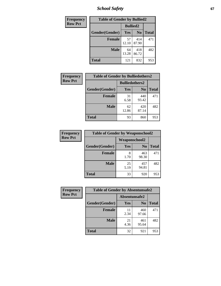*School Safety* **67**

| Frequency      | <b>Table of Gender by Bullied2</b> |                 |                |              |
|----------------|------------------------------------|-----------------|----------------|--------------|
| <b>Row Pct</b> |                                    | <b>Bullied2</b> |                |              |
|                | Gender(Gender)                     | <b>Yes</b>      | N <sub>0</sub> | <b>Total</b> |
|                | <b>Female</b>                      | 57<br>12.10     | 414<br>87.90   | 471          |
|                | <b>Male</b>                        | 64<br>13.28     | 418<br>86.72   | 482          |
|                | <b>Total</b>                       | 121             | 832            | 953          |

| Frequency      | <b>Table of Gender by Bulliedothers2</b> |                       |                |              |
|----------------|------------------------------------------|-----------------------|----------------|--------------|
| <b>Row Pct</b> |                                          | <b>Bulliedothers2</b> |                |              |
|                | Gender(Gender)                           | Yes                   | N <sub>0</sub> | <b>Total</b> |
|                | <b>Female</b>                            | 31<br>6.58            | 440<br>93.42   | 471          |
|                | <b>Male</b>                              | 62<br>12.86           | 420<br>87.14   | 482          |
|                | <b>Total</b>                             | 93                    | 860            | 953          |

| Frequency      | <b>Table of Gender by Weaponschool2</b> |                      |                |              |
|----------------|-----------------------------------------|----------------------|----------------|--------------|
| <b>Row Pct</b> |                                         | <b>Weaponschool2</b> |                |              |
|                | Gender(Gender)                          | Yes                  | N <sub>0</sub> | <b>Total</b> |
|                | <b>Female</b>                           | 8<br>1.70            | 463<br>98.30   | 471          |
|                | <b>Male</b>                             | 25<br>5.19           | 457<br>94.81   | 482          |
|                | <b>Total</b>                            | 33                   | 920            | 953          |

| Frequency      | <b>Table of Gender by Absentunsafe2</b> |               |                |              |
|----------------|-----------------------------------------|---------------|----------------|--------------|
| <b>Row Pct</b> |                                         | Absentunsafe2 |                |              |
|                | Gender(Gender)                          | Yes           | N <sub>0</sub> | <b>Total</b> |
|                | <b>Female</b>                           | 11<br>2.34    | 460<br>97.66   | 471          |
|                | <b>Male</b>                             | 21<br>4.36    | 461<br>95.64   | 482          |
|                | <b>Total</b>                            | 32            | 921            | 953          |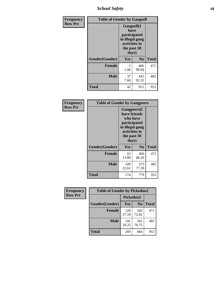*School Safety* **68**

| Frequency      | <b>Table of Gender by Gangself</b> |                                                                                                        |                |              |
|----------------|------------------------------------|--------------------------------------------------------------------------------------------------------|----------------|--------------|
| <b>Row Pct</b> |                                    | <b>Gangself</b> (I<br>have<br>participated<br>in illegal gang<br>activities in<br>the past 30<br>days) |                |              |
|                | Gender(Gender)                     | Yes                                                                                                    | N <sub>0</sub> | <b>Total</b> |
|                | <b>Female</b>                      | 5<br>1.06                                                                                              | 466<br>98.94   | 471          |
|                | <b>Male</b>                        | 37<br>7.68                                                                                             | 445<br>92.32   | 482          |
|                | <b>Total</b>                       | 42                                                                                                     | 911            | 953          |

| <b>Frequency</b> | <b>Table of Gender by Gangpeers</b> |                                                                                                                             |                |              |
|------------------|-------------------------------------|-----------------------------------------------------------------------------------------------------------------------------|----------------|--------------|
| <b>Row Pct</b>   |                                     | <b>Gangpeers</b> (I<br>have friends<br>who have<br>participated<br>in illegal gang<br>activities in<br>the past 30<br>days) |                |              |
|                  | Gender(Gender)                      | Yes                                                                                                                         | N <sub>0</sub> | <b>Total</b> |
|                  | <b>Female</b>                       | 65<br>13.80                                                                                                                 | 406<br>86.20   | 471          |
|                  | <b>Male</b>                         | 109<br>22.61                                                                                                                | 373<br>77.39   | 482          |
|                  | Total                               | 174                                                                                                                         | 779            | 953          |

| Frequency      | <b>Table of Gender by Pickedon2</b> |              |                |              |
|----------------|-------------------------------------|--------------|----------------|--------------|
| <b>Row Pct</b> |                                     | Pickedon2    |                |              |
|                | Gender(Gender)                      | <b>Yes</b>   | N <sub>0</sub> | <b>Total</b> |
|                | <b>Female</b>                       | 128<br>27.18 | 343<br>72.82   | 471          |
|                | <b>Male</b>                         | 141<br>29.25 | 341<br>70.75   | 482          |
|                | <b>Total</b>                        | 269          | 684            | 953          |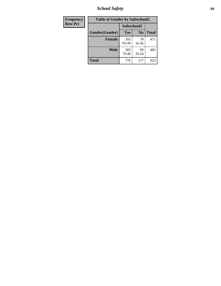*School Safety* **69**

| Frequency      | <b>Table of Gender by Safeschool2</b> |              |                |              |  |
|----------------|---------------------------------------|--------------|----------------|--------------|--|
| <b>Row Pct</b> |                                       | Safeschool2  |                |              |  |
|                | Gender(Gender)                        | Yes          | N <sub>0</sub> | <b>Total</b> |  |
|                | <b>Female</b>                         | 393<br>83.44 | 78<br>16.56    | 471          |  |
|                | <b>Male</b>                           | 383<br>79.46 | 99<br>20.54    | 482          |  |
|                | <b>Total</b>                          | 776          | 177            | 953          |  |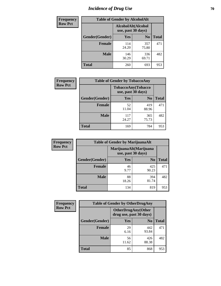# *Incidence of Drug Use* **70**

| <b>Frequency</b> | <b>Table of Gender by AlcoholAlt</b> |              |                                          |              |  |
|------------------|--------------------------------------|--------------|------------------------------------------|--------------|--|
| <b>Row Pct</b>   |                                      |              | AlcoholAlt(Alcohol<br>use, past 30 days) |              |  |
|                  | Gender(Gender)                       | <b>Yes</b>   | N <sub>0</sub>                           | <b>Total</b> |  |
|                  | <b>Female</b>                        | 114<br>24.20 | 357<br>75.80                             | 471          |  |
|                  | <b>Male</b>                          | 146<br>30.29 | 336<br>69.71                             | 482          |  |
|                  | <b>Total</b>                         | 260          | 693                                      | 953          |  |

| <b>Frequency</b> | <b>Table of Gender by TobaccoAny</b> |                                          |                |              |
|------------------|--------------------------------------|------------------------------------------|----------------|--------------|
| <b>Row Pct</b>   |                                      | TobaccoAny(Tobacco<br>use, past 30 days) |                |              |
|                  | Gender(Gender)                       | Yes                                      | N <sub>0</sub> | <b>Total</b> |
|                  | <b>Female</b>                        | 52<br>11.04                              | 419<br>88.96   | 471          |
|                  | <b>Male</b>                          | 117<br>24.27                             | 365<br>75.73   | 482          |
|                  | <b>Total</b>                         | 169                                      | 784            | 953          |

| <b>Frequency</b> | <b>Table of Gender by MarijuanaAlt</b> |                                              |                |              |
|------------------|----------------------------------------|----------------------------------------------|----------------|--------------|
| <b>Row Pct</b>   |                                        | MarijuanaAlt(Marijuana<br>use, past 30 days) |                |              |
|                  | Gender(Gender)                         | <b>Yes</b>                                   | N <sub>0</sub> | <b>Total</b> |
|                  | <b>Female</b>                          | 46<br>9.77                                   | 425<br>90.23   | 471          |
|                  | <b>Male</b>                            | 88<br>18.26                                  | 394<br>81.74   | 482          |
|                  | <b>Total</b>                           | 134                                          | 819            | 953          |

| <b>Frequency</b> | <b>Table of Gender by OtherDrugAny</b> |                                                       |                |              |
|------------------|----------------------------------------|-------------------------------------------------------|----------------|--------------|
| <b>Row Pct</b>   |                                        | <b>OtherDrugAny</b> (Other<br>drug use, past 30 days) |                |              |
|                  | Gender(Gender)                         | <b>Yes</b>                                            | N <sub>0</sub> | <b>Total</b> |
|                  | <b>Female</b>                          | 29<br>6.16                                            | 442<br>93.84   | 471          |
|                  | <b>Male</b>                            | 56<br>11.62                                           | 426<br>88.38   | 482          |
|                  | <b>Total</b>                           | 85                                                    | 868            | 953          |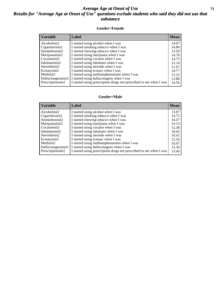#### *Average Age at Onset of Use* **71** *Results for "Average Age at Onset of Use" questions exclude students who said they did not use that substance*

#### **Gender=Female**

| <b>Variable</b>    | <b>Label</b>                                                       | <b>Mean</b> |
|--------------------|--------------------------------------------------------------------|-------------|
| Alcoholinit2       | I started using alcohol when I was                                 | 14.07       |
| Cigarettesinit2    | I started smoking tobacco when I was                               | 14.80       |
| Smokelessinit2     | I started chewing tobacco when I was                               | 13.50       |
| Marijuanainit2     | I started using marijuana when I was                               | 14.78       |
| Cocaineinit2       | I started using cocaine when I was                                 | 14.75       |
| Inhalantsinit2     | I started using inhalants when I was                               | 13.14       |
| Steroidsinit2      | I started using steroids when I was                                | 11.67       |
| Ecstasyinit2       | I started using ecstasy when I was                                 | 14.77       |
| Methinit2          | I started using methamphetamines when I was                        | 12.25       |
| Hallucinogensinit2 | I started using hallucinogens when I was                           | 13.88       |
| Prescription in t2 | I started using prescription drugs not prescribed to me when I was | 14.56       |

#### **Gender=Male**

| <b>Variable</b>    | Label                                                              | <b>Mean</b> |
|--------------------|--------------------------------------------------------------------|-------------|
| Alcoholinit2       | I started using alcohol when I was                                 | 13.87       |
| Cigarettesinit2    | I started smoking tobacco when I was                               | 14.72       |
| Smokelessinit2     | I started chewing tobacco when I was                               | 14.47       |
| Marijuanainit2     | I started using marijuana when I was                               | 14.15       |
| Cocaineinit2       | I started using cocaine when I was                                 | 12.38       |
| Inhalantsinit2     | I started using inhalants when I was                               | 10.65       |
| Steroidsinit2      | I started using steroids when I was                                | 10.41       |
| Ecstasyinit2       | I started using ecstasy when I was                                 | 12.50       |
| Methinit2          | I started using methamphetamines when I was                        | 10.07       |
| Hallucinogensinit2 | I started using hallucinogens when I was                           | 13.30       |
| Prescriptioninit2  | I started using prescription drugs not prescribed to me when I was | 13.49       |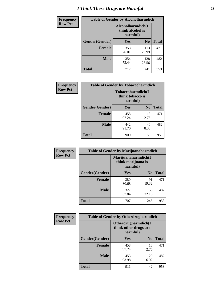# *I Think These Drugs are Harmful* **72**

| Frequency      | <b>Table of Gender by Alcoholharmdich</b> |                                                   |                |              |  |
|----------------|-------------------------------------------|---------------------------------------------------|----------------|--------------|--|
| <b>Row Pct</b> |                                           | Alcoholharmdich(I<br>think alcohol is<br>harmful) |                |              |  |
|                | Gender(Gender)                            | Yes                                               | N <sub>0</sub> | <b>Total</b> |  |
|                | <b>Female</b>                             | 358<br>76.01                                      | 113<br>23.99   | 471          |  |
|                | <b>Male</b>                               | 354<br>73.44                                      | 128<br>26.56   | 482          |  |
|                | Total                                     | 712                                               | 241            | 953          |  |

| Frequency      | <b>Table of Gender by Tobaccoharmdich</b> |                              |                   |              |  |
|----------------|-------------------------------------------|------------------------------|-------------------|--------------|--|
| <b>Row Pct</b> |                                           | think tobacco is<br>harmful) | Tobaccoharmdich(I |              |  |
|                | Gender(Gender)                            | Yes                          | $\bf N_0$         | <b>Total</b> |  |
|                | <b>Female</b>                             | 458<br>97.24                 | 13<br>2.76        | 471          |  |
|                | <b>Male</b>                               | 442<br>91.70                 | 40<br>8.30        | 482          |  |
|                | <b>Total</b>                              | 900                          | 53                | 953          |  |

| Frequency      | <b>Table of Gender by Marijuanaharmdich</b> |                                                       |                |              |  |
|----------------|---------------------------------------------|-------------------------------------------------------|----------------|--------------|--|
| <b>Row Pct</b> |                                             | Marijuanaharmdich(I<br>think marijuana is<br>harmful) |                |              |  |
|                | Gender(Gender)                              | <b>Yes</b>                                            | N <sub>0</sub> | <b>Total</b> |  |
|                | <b>Female</b>                               | 380<br>80.68                                          | 91<br>19.32    | 471          |  |
|                | <b>Male</b>                                 | 327<br>67.84                                          | 155<br>32.16   | 482          |  |
|                | <b>Total</b>                                | 707                                                   | 246            | 953          |  |

| <b>Frequency</b> | <b>Table of Gender by Otherdrugharmdich</b> |                                                          |                |              |  |
|------------------|---------------------------------------------|----------------------------------------------------------|----------------|--------------|--|
| <b>Row Pct</b>   |                                             | Otherdrugharmdich(I<br>think other drugs are<br>harmful) |                |              |  |
|                  | Gender(Gender)                              | <b>Yes</b>                                               | N <sub>0</sub> | <b>Total</b> |  |
|                  | <b>Female</b>                               | 458<br>97.24                                             | 13<br>2.76     | 471          |  |
|                  | <b>Male</b>                                 | 453<br>93.98                                             | 29<br>6.02     | 482          |  |
|                  | <b>Total</b>                                | 911                                                      | 42             | 953          |  |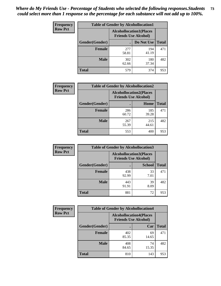| <b>Frequency</b> | <b>Table of Gender by Alcohollocation1</b> |                                                               |              |              |
|------------------|--------------------------------------------|---------------------------------------------------------------|--------------|--------------|
| <b>Row Pct</b>   |                                            | <b>Alcohollocation1(Places</b><br><b>Friends Use Alcohol)</b> |              |              |
|                  | Gender(Gender)                             |                                                               | Do Not Use   | <b>Total</b> |
|                  | <b>Female</b>                              | 277<br>58.81                                                  | 194<br>41.19 | 471          |
|                  | <b>Male</b>                                | 302<br>62.66                                                  | 180<br>37.34 | 482          |
|                  | <b>Total</b>                               | 579                                                           | 374          | 953          |

| <b>Frequency</b> | <b>Table of Gender by Alcohollocation2</b> |              |                                                               |              |
|------------------|--------------------------------------------|--------------|---------------------------------------------------------------|--------------|
| <b>Row Pct</b>   |                                            |              | <b>Alcohollocation2(Places</b><br><b>Friends Use Alcohol)</b> |              |
|                  | Gender(Gender)                             |              | Home                                                          | <b>Total</b> |
|                  | <b>Female</b>                              | 286<br>60.72 | 185<br>39.28                                                  | 471          |
|                  | <b>Male</b>                                | 267<br>55.39 | 215<br>44.61                                                  | 482          |
|                  | <b>Total</b>                               | 553          | 400                                                           | 953          |

| Frequency      | <b>Table of Gender by Alcohollocation3</b> |                                                               |               |              |
|----------------|--------------------------------------------|---------------------------------------------------------------|---------------|--------------|
| <b>Row Pct</b> |                                            | <b>Alcohollocation3(Places</b><br><b>Friends Use Alcohol)</b> |               |              |
|                | Gender(Gender)                             |                                                               | <b>School</b> | <b>Total</b> |
|                | <b>Female</b>                              | 438<br>92.99                                                  | 33<br>7.01    | 471          |
|                | <b>Male</b>                                | 443<br>91.91                                                  | 39<br>8.09    | 482          |
|                | <b>Total</b>                               | 881                                                           | 72            | 953          |

| <b>Frequency</b> | <b>Table of Gender by Alcohollocation4</b> |                                                               |             |              |
|------------------|--------------------------------------------|---------------------------------------------------------------|-------------|--------------|
| <b>Row Pct</b>   |                                            | <b>Alcohollocation4(Places</b><br><b>Friends Use Alcohol)</b> |             |              |
|                  | <b>Gender</b> (Gender)                     |                                                               | Car         | <b>Total</b> |
|                  | <b>Female</b>                              | 402<br>85.35                                                  | 69<br>14.65 | 471          |
|                  | <b>Male</b>                                | 408<br>84.65                                                  | 74<br>15.35 | 482          |
|                  | <b>Total</b>                               | 810                                                           | 143         | 953          |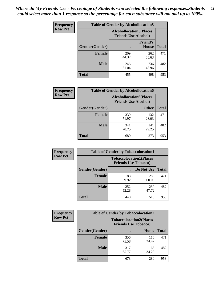| <b>Frequency</b> | <b>Table of Gender by Alcohollocation5</b> |                                |                                 |              |
|------------------|--------------------------------------------|--------------------------------|---------------------------------|--------------|
| <b>Row Pct</b>   |                                            | <b>Alcohollocation5(Places</b> | <b>Friends Use Alcohol)</b>     |              |
|                  | Gender(Gender)                             |                                | <b>Friend's</b><br><b>House</b> | <b>Total</b> |
|                  | <b>Female</b>                              | 209<br>44.37                   | 262<br>55.63                    | 471          |
|                  | <b>Male</b>                                | 246<br>51.04                   | 236<br>48.96                    | 482          |
|                  | <b>Total</b>                               | 455                            | 498                             | 953          |

| <b>Frequency</b> | <b>Table of Gender by Alcohollocation6</b> |                                                               |              |              |  |
|------------------|--------------------------------------------|---------------------------------------------------------------|--------------|--------------|--|
| <b>Row Pct</b>   |                                            | <b>Alcohollocation6(Places</b><br><b>Friends Use Alcohol)</b> |              |              |  |
|                  | Gender(Gender)                             |                                                               | <b>Other</b> | <b>Total</b> |  |
|                  | <b>Female</b>                              | 339<br>71.97                                                  | 132<br>28.03 | 471          |  |
|                  | <b>Male</b>                                | 341<br>70.75                                                  | 141<br>29.25 | 482          |  |
|                  | <b>Total</b>                               | 680                                                           | 273          | 953          |  |

| Frequency      | <b>Table of Gender by Tobaccolocation1</b> |                                                               |              |              |  |
|----------------|--------------------------------------------|---------------------------------------------------------------|--------------|--------------|--|
| <b>Row Pct</b> |                                            | <b>Tobaccolocation1(Places</b><br><b>Friends Use Tobacco)</b> |              |              |  |
|                | Gender(Gender)                             |                                                               | Do Not Use   | <b>Total</b> |  |
|                | Female                                     | 188<br>39.92                                                  | 283<br>60.08 | 471          |  |
|                | <b>Male</b>                                | 252<br>52.28                                                  | 230<br>47.72 | 482          |  |
|                | <b>Total</b>                               | 440                                                           | 513          | 953          |  |

| <b>Frequency</b> | <b>Table of Gender by Tobaccolocation2</b> |                                                               |              |              |
|------------------|--------------------------------------------|---------------------------------------------------------------|--------------|--------------|
| <b>Row Pct</b>   |                                            | <b>Tobaccolocation2(Places</b><br><b>Friends Use Tobacco)</b> |              |              |
|                  | Gender(Gender)                             |                                                               | Home         | <b>Total</b> |
|                  | Female                                     | 356<br>75.58                                                  | 115<br>24.42 | 471          |
|                  | <b>Male</b>                                | 317<br>65.77                                                  | 165<br>34.23 | 482          |
|                  | <b>Total</b>                               | 673                                                           | 280          | 953          |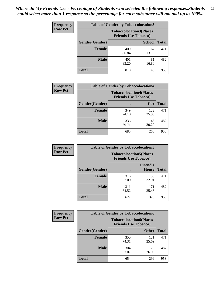| <b>Frequency</b> | <b>Table of Gender by Tobaccolocation3</b> |                                                               |               |              |
|------------------|--------------------------------------------|---------------------------------------------------------------|---------------|--------------|
| <b>Row Pct</b>   |                                            | <b>Tobaccolocation3(Places</b><br><b>Friends Use Tobacco)</b> |               |              |
|                  | Gender(Gender)                             |                                                               | <b>School</b> | <b>Total</b> |
|                  | <b>Female</b>                              | 409<br>86.84                                                  | 62<br>13.16   | 471          |
|                  | <b>Male</b>                                | 401<br>83.20                                                  | 81<br>16.80   | 482          |
|                  | <b>Total</b>                               | 810                                                           | 143           | 953          |

| <b>Frequency</b> | <b>Table of Gender by Tobaccolocation4</b> |              |                                                               |              |
|------------------|--------------------------------------------|--------------|---------------------------------------------------------------|--------------|
| <b>Row Pct</b>   |                                            |              | <b>Tobaccolocation4(Places</b><br><b>Friends Use Tobacco)</b> |              |
|                  | Gender(Gender)                             |              | Car                                                           | <b>Total</b> |
|                  | <b>Female</b>                              | 349<br>74.10 | 122<br>25.90                                                  | 471          |
|                  | <b>Male</b>                                | 336<br>69.71 | 146<br>30.29                                                  | 482          |
|                  | <b>Total</b>                               | 685          | 268                                                           | 953          |

| <b>Frequency</b> | <b>Table of Gender by Tobaccolocation5</b> |                                                               |                                 |              |
|------------------|--------------------------------------------|---------------------------------------------------------------|---------------------------------|--------------|
| <b>Row Pct</b>   |                                            | <b>Tobaccolocation5(Places</b><br><b>Friends Use Tobacco)</b> |                                 |              |
|                  | Gender(Gender)                             |                                                               | <b>Friend's</b><br><b>House</b> | <b>Total</b> |
|                  | <b>Female</b>                              | 316<br>67.09                                                  | 155<br>32.91                    | 471          |
|                  | <b>Male</b>                                | 311<br>64.52                                                  | 171<br>35.48                    | 482          |
|                  | <b>Total</b>                               | 627                                                           | 326                             | 953          |

| <b>Frequency</b> | <b>Table of Gender by Tobaccolocation6</b> |                                                               |              |              |
|------------------|--------------------------------------------|---------------------------------------------------------------|--------------|--------------|
| <b>Row Pct</b>   |                                            | <b>Tobaccolocation6(Places</b><br><b>Friends Use Tobacco)</b> |              |              |
|                  | Gender(Gender)                             |                                                               | <b>Other</b> | <b>Total</b> |
|                  | Female                                     | 350<br>74.31                                                  | 121<br>25.69 | 471          |
|                  | <b>Male</b>                                | 304<br>63.07                                                  | 178<br>36.93 | 482          |
|                  | <b>Total</b>                               | 654                                                           | 299          | 953          |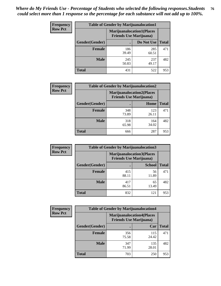| <b>Frequency</b> | <b>Table of Gender by Marijuanalocation1</b> |                                                                    |              |              |
|------------------|----------------------------------------------|--------------------------------------------------------------------|--------------|--------------|
| <b>Row Pct</b>   |                                              | <b>Marijuanalocation1(Places</b><br><b>Friends Use Marijuana</b> ) |              |              |
|                  | Gender(Gender)                               |                                                                    | Do Not Use   | <b>Total</b> |
|                  | <b>Female</b>                                | 186<br>39.49                                                       | 285<br>60.51 | 471          |
|                  | <b>Male</b>                                  | 245<br>50.83                                                       | 237<br>49.17 | 482          |
|                  | <b>Total</b>                                 | 431                                                                | 522          | 953          |

| <b>Frequency</b> | <b>Table of Gender by Marijuanalocation2</b> |                                                                    |              |              |
|------------------|----------------------------------------------|--------------------------------------------------------------------|--------------|--------------|
| <b>Row Pct</b>   |                                              | <b>Marijuanalocation2(Places</b><br><b>Friends Use Marijuana</b> ) |              |              |
|                  | Gender(Gender)                               |                                                                    | Home         | <b>Total</b> |
|                  | Female                                       | 348<br>73.89                                                       | 123<br>26.11 | 471          |
|                  | <b>Male</b>                                  | 318<br>65.98                                                       | 164<br>34.02 | 482          |
|                  | <b>Total</b>                                 | 666                                                                | 287          | 953          |

| Frequency      | <b>Table of Gender by Marijuanalocation3</b> |                                                                    |               |              |
|----------------|----------------------------------------------|--------------------------------------------------------------------|---------------|--------------|
| <b>Row Pct</b> |                                              | <b>Marijuanalocation3(Places</b><br><b>Friends Use Marijuana</b> ) |               |              |
|                | Gender(Gender)                               |                                                                    | <b>School</b> | <b>Total</b> |
|                | Female                                       | 415<br>88.11                                                       | 56<br>11.89   | 471          |
|                | <b>Male</b>                                  | 417<br>86.51                                                       | 65<br>13.49   | 482          |
|                | <b>Total</b>                                 | 832                                                                | 121           | 953          |

| <b>Frequency</b> | <b>Table of Gender by Marijuanalocation4</b> |                                |                                  |              |
|------------------|----------------------------------------------|--------------------------------|----------------------------------|--------------|
| <b>Row Pct</b>   |                                              | <b>Friends Use Marijuana</b> ) | <b>Marijuanalocation4(Places</b> |              |
|                  | Gender(Gender)                               |                                | Car                              | <b>Total</b> |
|                  | <b>Female</b>                                | 356<br>75.58                   | 115<br>24.42                     | 471          |
|                  | <b>Male</b>                                  | 347<br>71.99                   | 135<br>28.01                     | 482          |
|                  | <b>Total</b>                                 | 703                            | 250                              | 953          |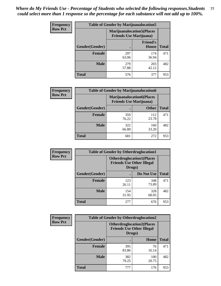| <b>Frequency</b> | <b>Table of Gender by Marijuanalocation5</b> |                                                                     |                          |              |
|------------------|----------------------------------------------|---------------------------------------------------------------------|--------------------------|--------------|
| <b>Row Pct</b>   |                                              | <b>Marijuanalocation5</b> (Places<br><b>Friends Use Marijuana</b> ) |                          |              |
|                  | Gender(Gender)                               |                                                                     | <b>Friend's</b><br>House | <b>Total</b> |
|                  | <b>Female</b>                                | 297<br>63.06                                                        | 174<br>36.94             | 471          |
|                  | <b>Male</b>                                  | 279<br>57.88                                                        | 203<br>42.12             | 482          |
|                  | <b>Total</b>                                 | 576                                                                 | 377                      | 953          |

| <b>Frequency</b> | <b>Table of Gender by Marijuanalocation6</b> |                                                                    |              |              |
|------------------|----------------------------------------------|--------------------------------------------------------------------|--------------|--------------|
| <b>Row Pct</b>   |                                              | <b>Marijuanalocation6(Places</b><br><b>Friends Use Marijuana</b> ) |              |              |
|                  | <b>Gender</b> (Gender)                       |                                                                    | <b>Other</b> | <b>Total</b> |
|                  | Female                                       | 359<br>76.22                                                       | 112<br>23.78 | 471          |
|                  | <b>Male</b>                                  | 322<br>66.80                                                       | 160<br>33.20 | 482          |
|                  | Total                                        | 681                                                                | 272          | 953          |

| <b>Frequency</b> | <b>Table of Gender by Otherdruglocation1</b> |                                                                                |              |              |
|------------------|----------------------------------------------|--------------------------------------------------------------------------------|--------------|--------------|
| <b>Row Pct</b>   |                                              | <b>Otherdruglocation1(Places</b><br><b>Friends Use Other Illegal</b><br>Drugs) |              |              |
|                  | Gender(Gender)                               |                                                                                | Do Not Use   | <b>Total</b> |
|                  | <b>Female</b>                                | 123<br>26.11                                                                   | 348<br>73.89 | 471          |
|                  | <b>Male</b>                                  | 154<br>31.95                                                                   | 328<br>68.05 | 482          |
|                  | <b>Total</b>                                 | 277                                                                            | 676          | 953          |

| <b>Frequency</b> | <b>Table of Gender by Otherdruglocation2</b> |                                            |                                   |              |
|------------------|----------------------------------------------|--------------------------------------------|-----------------------------------|--------------|
| <b>Row Pct</b>   |                                              | <b>Friends Use Other Illegal</b><br>Drugs) | <b>Otherdruglocation2(Places)</b> |              |
|                  | Gender(Gender)                               |                                            | Home                              | <b>Total</b> |
|                  | <b>Female</b>                                | 395<br>83.86                               | 76<br>16.14                       | 471          |
|                  | <b>Male</b>                                  | 382<br>79.25                               | 100<br>20.75                      | 482          |
|                  | <b>Total</b>                                 | 777                                        | 176                               | 953          |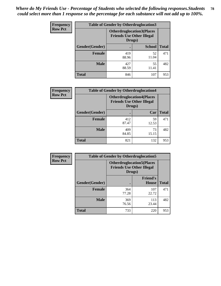| <b>Frequency</b> | <b>Table of Gender by Otherdruglocation3</b> |                                                                                |               |              |
|------------------|----------------------------------------------|--------------------------------------------------------------------------------|---------------|--------------|
| <b>Row Pct</b>   |                                              | <b>Otherdruglocation3(Places</b><br><b>Friends Use Other Illegal</b><br>Drugs) |               |              |
|                  | Gender(Gender)                               |                                                                                | <b>School</b> | <b>Total</b> |
|                  | Female                                       | 419<br>88.96                                                                   | 52<br>11.04   | 471          |
|                  | <b>Male</b>                                  | 427<br>88.59                                                                   | 55<br>11.41   | 482          |
|                  | <b>Total</b>                                 | 846                                                                            | 107           | 953          |

| Frequency      | <b>Table of Gender by Otherdruglocation4</b> |                                                                                |             |              |
|----------------|----------------------------------------------|--------------------------------------------------------------------------------|-------------|--------------|
| <b>Row Pct</b> |                                              | <b>Otherdruglocation4(Places</b><br><b>Friends Use Other Illegal</b><br>Drugs) |             |              |
|                | Gender(Gender)                               |                                                                                | Car         | <b>Total</b> |
|                | <b>Female</b>                                | 412<br>87.47                                                                   | 59<br>12.53 | 471          |
|                | <b>Male</b>                                  | 409<br>84.85                                                                   | 73<br>15.15 | 482          |
|                | <b>Total</b>                                 | 821                                                                            | 132         | 953          |

| Frequency      | <b>Table of Gender by Otherdruglocation5</b> |                                            |                                  |              |
|----------------|----------------------------------------------|--------------------------------------------|----------------------------------|--------------|
| <b>Row Pct</b> |                                              | <b>Friends Use Other Illegal</b><br>Drugs) | <b>Otherdruglocation5(Places</b> |              |
|                | Gender(Gender)                               |                                            | <b>Friend's</b><br><b>House</b>  | <b>Total</b> |
|                | <b>Female</b>                                | 364<br>77.28                               | 107<br>22.72                     | 471          |
|                | <b>Male</b>                                  | 369<br>76.56                               | 113<br>23.44                     | 482          |
|                | <b>Total</b>                                 | 733                                        | 220                              | 953          |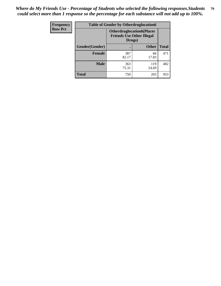| <b>Frequency</b> | <b>Table of Gender by Otherdruglocation6</b> |              |                                                                      |              |
|------------------|----------------------------------------------|--------------|----------------------------------------------------------------------|--------------|
| <b>Row Pct</b>   |                                              | Drugs)       | <b>Otherdruglocation6(Places</b><br><b>Friends Use Other Illegal</b> |              |
|                  | Gender(Gender)                               |              | <b>Other</b>                                                         | <b>Total</b> |
|                  | <b>Female</b>                                | 387<br>82.17 | 84<br>17.83                                                          | 471          |
|                  | <b>Male</b>                                  | 363<br>75.31 | 119<br>24.69                                                         | 482          |
|                  | <b>Total</b>                                 | 750          | 203                                                                  | 953          |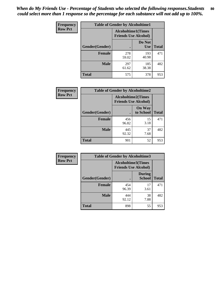| <b>Frequency</b> | <b>Table of Gender by Alcoholtime1</b> |                                                          |                      |              |
|------------------|----------------------------------------|----------------------------------------------------------|----------------------|--------------|
| <b>Row Pct</b>   |                                        | <b>Alcoholtime1(Times</b><br><b>Friends Use Alcohol)</b> |                      |              |
|                  | Gender(Gender)                         | ٠                                                        | Do Not<br><b>Use</b> | <b>Total</b> |
|                  | <b>Female</b>                          | 278<br>59.02                                             | 193<br>40.98         | 471          |
|                  | <b>Male</b>                            | 297<br>61.62                                             | 185<br>38.38         | 482          |
|                  | <b>Total</b>                           | 575                                                      | 378                  | 953          |

| Frequency      | <b>Table of Gender by Alcoholtime2</b> |                                                          |                            |              |
|----------------|----------------------------------------|----------------------------------------------------------|----------------------------|--------------|
| <b>Row Pct</b> |                                        | <b>Alcoholtime2(Times</b><br><b>Friends Use Alcohol)</b> |                            |              |
|                | Gender(Gender)                         |                                                          | <b>On Way</b><br>to School | <b>Total</b> |
|                | <b>Female</b>                          | 456<br>96.82                                             | 15<br>3.18                 | 471          |
|                | <b>Male</b>                            | 445<br>92.32                                             | 37<br>7.68                 | 482          |
|                | <b>Total</b>                           | 901                                                      | 52                         | 953          |

| <b>Frequency</b> | <b>Table of Gender by Alcoholtime3</b> |                                                   |                                |              |
|------------------|----------------------------------------|---------------------------------------------------|--------------------------------|--------------|
| <b>Row Pct</b>   |                                        | Alcoholtime3(Times<br><b>Friends Use Alcohol)</b> |                                |              |
|                  | Gender(Gender)                         |                                                   | <b>During</b><br><b>School</b> | <b>Total</b> |
|                  | Female                                 | 454<br>96.39                                      | 17<br>3.61                     | 471          |
|                  | <b>Male</b>                            | 444<br>92.12                                      | 38<br>7.88                     | 482          |
|                  | <b>Total</b>                           | 898                                               | 55                             | 953          |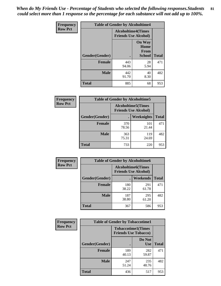*When do My Friends Use - Percentage of Students who selected the following responses.Students could select more than 1 response so the percentage for each substance will not add up to 100%.* **81**

| <b>Frequency</b> | <b>Table of Gender by Alcoholtime4</b> |                                                          |                                                |              |
|------------------|----------------------------------------|----------------------------------------------------------|------------------------------------------------|--------------|
| <b>Row Pct</b>   |                                        | <b>Alcoholtime4(Times</b><br><b>Friends Use Alcohol)</b> |                                                |              |
|                  | Gender(Gender)                         |                                                          | <b>On Way</b><br>Home<br>From<br><b>School</b> | <b>Total</b> |
|                  | <b>Female</b>                          | 443<br>94.06                                             | 28<br>5.94                                     | 471          |
|                  | <b>Male</b>                            | 442<br>91.70                                             | 40<br>8.30                                     | 482          |
|                  | <b>Total</b>                           | 885                                                      | 68                                             | 953          |

| <b>Frequency</b> | <b>Table of Gender by Alcoholtime5</b> |                                                           |              |              |
|------------------|----------------------------------------|-----------------------------------------------------------|--------------|--------------|
| <b>Row Pct</b>   |                                        | <b>Alcoholtime5</b> (Times<br><b>Friends Use Alcohol)</b> |              |              |
|                  | Gender(Gender)                         |                                                           | Weeknights   | <b>Total</b> |
|                  | <b>Female</b>                          | 370<br>78.56                                              | 101<br>21.44 | 471          |
|                  | <b>Male</b>                            | 363<br>75.31                                              | 119<br>24.69 | 482          |
|                  | <b>Total</b>                           | 733                                                       | 220          | 953          |

| <b>Frequency</b> | <b>Table of Gender by Alcoholtime6</b> |                                                          |              |              |
|------------------|----------------------------------------|----------------------------------------------------------|--------------|--------------|
| <b>Row Pct</b>   |                                        | <b>Alcoholtime6(Times</b><br><b>Friends Use Alcohol)</b> |              |              |
|                  | Gender(Gender)                         |                                                          | Weekends     | <b>Total</b> |
|                  | Female                                 | 180<br>38.22                                             | 291<br>61.78 | 471          |
|                  | <b>Male</b>                            | 187<br>38.80                                             | 295<br>61.20 | 482          |
|                  | <b>Total</b>                           | 367                                                      | 586          | 953          |

| <b>Frequency</b> | <b>Table of Gender by Tobaccotime1</b> |                                                          |                      |              |
|------------------|----------------------------------------|----------------------------------------------------------|----------------------|--------------|
| <b>Row Pct</b>   |                                        | <b>Tobaccotime1(Times</b><br><b>Friends Use Tobacco)</b> |                      |              |
|                  | Gender(Gender)                         |                                                          | Do Not<br><b>Use</b> | <b>Total</b> |
|                  | <b>Female</b>                          | 189<br>40.13                                             | 282<br>59.87         | 471          |
|                  | <b>Male</b>                            | 247<br>51.24                                             | 235<br>48.76         | 482          |
|                  | <b>Total</b>                           | 436                                                      | 517                  | 953          |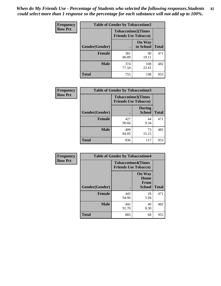*When do My Friends Use - Percentage of Students who selected the following responses.Students could select more than 1 response so the percentage for each substance will not add up to 100%.* **82**

| Frequency      | <b>Table of Gender by Tobaccotime2</b> |                                                          |                            |              |
|----------------|----------------------------------------|----------------------------------------------------------|----------------------------|--------------|
| <b>Row Pct</b> |                                        | <b>Tobaccotime2(Times</b><br><b>Friends Use Tobacco)</b> |                            |              |
|                | Gender(Gender)                         | $\bullet$                                                | <b>On Way</b><br>to School | <b>Total</b> |
|                | <b>Female</b>                          | 381<br>80.89                                             | 90<br>19.11                | 471          |
|                | <b>Male</b>                            | 374<br>77.59                                             | 108<br>22.41               | 482          |
|                | <b>Total</b>                           | 755                                                      | 198                        | 953          |

| <b>Frequency</b> | <b>Table of Gender by Tobaccotime3</b> |                                                          |                                |              |
|------------------|----------------------------------------|----------------------------------------------------------|--------------------------------|--------------|
| <b>Row Pct</b>   |                                        | <b>Tobaccotime3(Times</b><br><b>Friends Use Tobacco)</b> |                                |              |
|                  | Gender(Gender)                         |                                                          | <b>During</b><br><b>School</b> | <b>Total</b> |
|                  | <b>Female</b>                          | 427<br>90.66                                             | 44<br>9.34                     | 471          |
|                  | <b>Male</b>                            | 409<br>84.85                                             | 73<br>15.15                    | 482          |
|                  | <b>Total</b>                           | 836                                                      | 117                            | 953          |

| <b>Frequency</b> | <b>Table of Gender by Tobaccotime4</b> |                                                          |                                                |              |
|------------------|----------------------------------------|----------------------------------------------------------|------------------------------------------------|--------------|
| <b>Row Pct</b>   |                                        | <b>Tobaccotime4(Times</b><br><b>Friends Use Tobacco)</b> |                                                |              |
|                  | Gender(Gender)                         |                                                          | <b>On Way</b><br>Home<br>From<br><b>School</b> | <b>Total</b> |
|                  | <b>Female</b>                          | 443<br>94.06                                             | 28<br>5.94                                     | 471          |
|                  | <b>Male</b>                            | 442<br>91.70                                             | 40<br>8.30                                     | 482          |
|                  | <b>Total</b>                           | 885                                                      | 68                                             | 953          |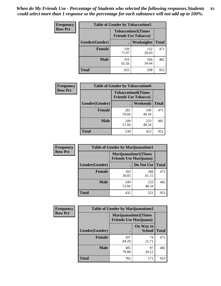| Frequency      | <b>Table of Gender by Tobaccotime5</b> |              |                                                           |              |  |
|----------------|----------------------------------------|--------------|-----------------------------------------------------------|--------------|--|
| <b>Row Pct</b> |                                        |              | <b>Tobaccotime5</b> (Times<br><b>Friends Use Tobacco)</b> |              |  |
|                | Gender(Gender)                         |              | Weeknights                                                | <b>Total</b> |  |
|                | <b>Female</b>                          | 339<br>71.97 | 132<br>28.03                                              | 471          |  |
|                | <b>Male</b>                            | 316<br>65.56 | 166<br>34.44                                              | 482          |  |
|                | <b>Total</b>                           | 655          | 298                                                       | 953          |  |

| Frequency      |                | <b>Table of Gender by Tobaccotime6</b>                   |              |              |
|----------------|----------------|----------------------------------------------------------|--------------|--------------|
| <b>Row Pct</b> |                | <b>Tobaccotime6(Times</b><br><b>Friends Use Tobacco)</b> |              |              |
|                | Gender(Gender) |                                                          | Weekends     | <b>Total</b> |
|                | Female         | 281<br>59.66                                             | 190<br>40.34 | 471          |
|                | <b>Male</b>    | 249<br>51.66                                             | 233<br>48.34 | 482          |
|                | <b>Total</b>   | 530                                                      | 423          | 953          |

| Frequency      |                | <b>Table of Gender by Marijuanatime1</b>                      |              |              |  |  |
|----------------|----------------|---------------------------------------------------------------|--------------|--------------|--|--|
| <b>Row Pct</b> |                | <b>Marijuanatime1(Times</b><br><b>Friends Use Marijuana</b> ) |              |              |  |  |
|                | Gender(Gender) |                                                               | Do Not Use   | <b>Total</b> |  |  |
|                | <b>Female</b>  | 183<br>38.85                                                  | 288<br>61.15 | 471          |  |  |
|                | <b>Male</b>    | 249<br>51.66                                                  | 233<br>48.34 | 482          |  |  |
|                | <b>Total</b>   | 432                                                           | 521          | 953          |  |  |

| <b>Frequency</b> | <b>Table of Gender by Marijuanatime2</b> |                                                               |                            |              |
|------------------|------------------------------------------|---------------------------------------------------------------|----------------------------|--------------|
| <b>Row Pct</b>   |                                          | <b>Marijuanatime2(Times</b><br><b>Friends Use Marijuana</b> ) |                            |              |
|                  | Gender(Gender)                           |                                                               | On Way to<br><b>School</b> | <b>Total</b> |
|                  | <b>Female</b>                            | 397<br>84.29                                                  | 74<br>15.71                | 471          |
|                  | <b>Male</b>                              | 385<br>79.88                                                  | 97<br>20.12                | 482          |
|                  | <b>Total</b>                             | 782                                                           | 171                        | 953          |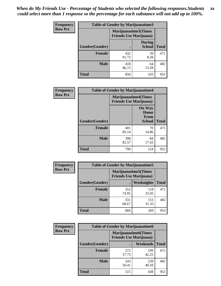*When do My Friends Use - Percentage of Students who selected the following responses.Students could select more than 1 response so the percentage for each substance will not add up to 100%.* **84**

| <b>Frequency</b> | Table of Gender by Marijuanatime3 |                                                        |                                |              |
|------------------|-----------------------------------|--------------------------------------------------------|--------------------------------|--------------|
| <b>Row Pct</b>   |                                   | Marijuanatime3(Times<br><b>Friends Use Marijuana</b> ) |                                |              |
|                  | Gender(Gender)                    |                                                        | <b>During</b><br><b>School</b> | <b>Total</b> |
|                  | <b>Female</b>                     | 432<br>91.72                                           | 39<br>8.28                     | 471          |
|                  | <b>Male</b>                       | 418<br>86.72                                           | 64<br>13.28                    | 482          |
|                  | <b>Total</b>                      | 850                                                    | 103                            | 953          |

| Frequency      | <b>Table of Gender by Marijuanatime4</b> |                                                               |                                                       |              |
|----------------|------------------------------------------|---------------------------------------------------------------|-------------------------------------------------------|--------------|
| <b>Row Pct</b> |                                          | <b>Marijuanatime4(Times</b><br><b>Friends Use Marijuana</b> ) |                                                       |              |
|                | Gender(Gender)                           |                                                               | <b>On Way</b><br>Home<br><b>From</b><br><b>School</b> | <b>Total</b> |
|                | <b>Female</b>                            | 401<br>85.14                                                  | 70<br>14.86                                           | 471          |
|                | <b>Male</b>                              | 398<br>82.57                                                  | 84<br>17.43                                           | 482          |
|                | <b>Total</b>                             | 799                                                           | 154                                                   | 953          |

| Frequency      | <b>Table of Gender by Marijuanatime5</b> |              |                                                                |              |
|----------------|------------------------------------------|--------------|----------------------------------------------------------------|--------------|
| <b>Row Pct</b> |                                          |              | <b>Marijuanatime5</b> (Times<br><b>Friends Use Marijuana</b> ) |              |
|                | Gender(Gender)                           |              | Weeknights                                                     | <b>Total</b> |
|                | <b>Female</b>                            | 353<br>74.95 | 118<br>25.05                                                   | 471          |
|                | <b>Male</b>                              | 331<br>68.67 | 151<br>31.33                                                   | 482          |
|                | <b>Total</b>                             | 684          | 269                                                            | 953          |

| Frequency      | <b>Table of Gender by Marijuanatime6</b> |                                                                |                 |              |  |
|----------------|------------------------------------------|----------------------------------------------------------------|-----------------|--------------|--|
| <b>Row Pct</b> |                                          | <b>Marijuanatime6</b> (Times<br><b>Friends Use Marijuana</b> ) |                 |              |  |
|                | Gender(Gender)                           |                                                                | <b>Weekends</b> | <b>Total</b> |  |
|                | <b>Female</b>                            | 272<br>57.75                                                   | 199<br>42.25    | 471          |  |
|                | <b>Male</b>                              | 243<br>50.41                                                   | 239<br>49.59    | 482          |  |
|                | <b>Total</b>                             | 515                                                            | 438             | 953          |  |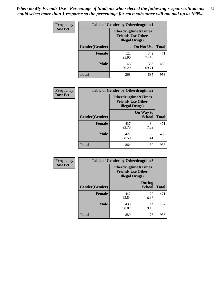| <b>Frequency</b> | <b>Table of Gender by Otherdrugtime1</b> |                                                                                   |              |              |
|------------------|------------------------------------------|-----------------------------------------------------------------------------------|--------------|--------------|
| <b>Row Pct</b>   |                                          | <b>Otherdrugtime1(Times</b><br><b>Friends Use Other</b><br><b>Illegal Drugs</b> ) |              |              |
|                  | Gender(Gender)                           |                                                                                   | Do Not Use   | <b>Total</b> |
|                  | <b>Female</b>                            | 122<br>25.90                                                                      | 349<br>74.10 | 471          |
|                  | <b>Male</b>                              | 146<br>30.29                                                                      | 336<br>69.71 | 482          |
|                  | <b>Total</b>                             | 268                                                                               | 685          | 953          |

| Frequency      | <b>Table of Gender by Otherdrugtime2</b> |                                                                                   |                            |              |
|----------------|------------------------------------------|-----------------------------------------------------------------------------------|----------------------------|--------------|
| <b>Row Pct</b> |                                          | <b>Otherdrugtime2(Times</b><br><b>Friends Use Other</b><br><b>Illegal Drugs</b> ) |                            |              |
|                | Gender(Gender)                           |                                                                                   | On Way to<br><b>School</b> | <b>Total</b> |
|                | <b>Female</b>                            | 437<br>92.78                                                                      | 34<br>7.22                 | 471          |
|                | <b>Male</b>                              | 427<br>88.59                                                                      | 55<br>11.41                | 482          |
|                | <b>Total</b>                             | 864                                                                               | 89                         | 953          |

| Frequency      | <b>Table of Gender by Otherdrugtime3</b> |                        |                                                  |              |
|----------------|------------------------------------------|------------------------|--------------------------------------------------|--------------|
| <b>Row Pct</b> |                                          | <b>Illegal Drugs</b> ) | Otherdrugtime3(Times<br><b>Friends Use Other</b> |              |
|                | Gender(Gender)                           |                        | <b>During</b><br><b>School</b>                   | <b>Total</b> |
|                | <b>Female</b>                            | 442<br>93.84           | 29<br>6.16                                       | 471          |
|                | <b>Male</b>                              | 438<br>90.87           | 44<br>9.13                                       | 482          |
|                | <b>Total</b>                             | 880                    | 73                                               | 953          |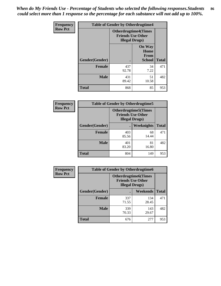*When do My Friends Use - Percentage of Students who selected the following responses.Students could select more than 1 response so the percentage for each substance will not add up to 100%.* **86**

| <b>Frequency</b> | <b>Table of Gender by Otherdrugtime4</b> |                        |                                                         |              |
|------------------|------------------------------------------|------------------------|---------------------------------------------------------|--------------|
| <b>Row Pct</b>   |                                          | <b>Illegal Drugs</b> ) | <b>Otherdrugtime4(Times</b><br><b>Friends Use Other</b> |              |
|                  | Gender(Gender)                           |                        | <b>On Way</b><br>Home<br><b>From</b><br><b>School</b>   | <b>Total</b> |
|                  | Female                                   | 437<br>92.78           | 34<br>7.22                                              | 471          |
|                  | <b>Male</b>                              | 431<br>89.42           | 51<br>10.58                                             | 482          |
|                  | <b>Total</b>                             | 868                    | 85                                                      | 953          |

| Frequency      | <b>Table of Gender by Otherdrugtime5</b> |                                                                                    |             |              |
|----------------|------------------------------------------|------------------------------------------------------------------------------------|-------------|--------------|
| <b>Row Pct</b> |                                          | <b>Otherdrugtime5</b> (Times<br><b>Friends Use Other</b><br><b>Illegal Drugs</b> ) |             |              |
|                | Gender(Gender)                           |                                                                                    | Weeknights  | <b>Total</b> |
|                | <b>Female</b>                            | 403<br>85.56                                                                       | 68<br>14.44 | 471          |
|                | <b>Male</b>                              | 401<br>83.20                                                                       | 81<br>16.80 | 482          |
|                | <b>Total</b>                             | 804                                                                                | 149         | 953          |

| <b>Frequency</b> | <b>Table of Gender by Otherdrugtime6</b> |                                                                                   |              |              |
|------------------|------------------------------------------|-----------------------------------------------------------------------------------|--------------|--------------|
| <b>Row Pct</b>   |                                          | <b>Otherdrugtime6(Times</b><br><b>Friends Use Other</b><br><b>Illegal Drugs</b> ) |              |              |
|                  | Gender(Gender)                           |                                                                                   | Weekends     | <b>Total</b> |
|                  | <b>Female</b>                            | 337<br>71.55                                                                      | 134<br>28.45 | 471          |
|                  | <b>Male</b>                              | 339<br>70.33                                                                      | 143<br>29.67 | 482          |
|                  | <b>Total</b>                             | 676                                                                               | 277          | 953          |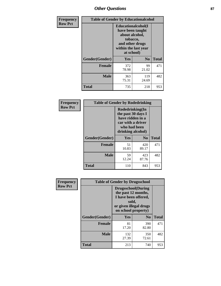# *Other Questions* **87**

| <b>Frequency</b> | <b>Table of Gender by Educationalcohol</b> |                                                                                                                                       |                |              |
|------------------|--------------------------------------------|---------------------------------------------------------------------------------------------------------------------------------------|----------------|--------------|
| <b>Row Pct</b>   |                                            | <b>Educationalcohol</b> (I<br>have been taught<br>about alcohol,<br>tobacco,<br>and other drugs<br>within the last year<br>at school) |                |              |
|                  | Gender(Gender)                             | <b>Yes</b>                                                                                                                            | N <sub>0</sub> | <b>Total</b> |
|                  | <b>Female</b>                              | 372<br>78.98                                                                                                                          | 99<br>21.02    | 471          |
|                  | <b>Male</b>                                | 363<br>75.31                                                                                                                          | 119<br>24.69   | 482          |
|                  | <b>Total</b>                               | 735                                                                                                                                   | 218            | 953          |

| Frequency      |                | <b>Table of Gender by Rodedrinking</b>                                                                              |                |              |  |
|----------------|----------------|---------------------------------------------------------------------------------------------------------------------|----------------|--------------|--|
| <b>Row Pct</b> |                | Rodedrinking(In<br>the past 30 days I<br>have ridden in a<br>car with a driver<br>who had been<br>drinking alcohol) |                |              |  |
|                | Gender(Gender) | Yes                                                                                                                 | N <sub>0</sub> | <b>Total</b> |  |
|                | <b>Female</b>  | 51<br>10.83                                                                                                         | 420<br>89.17   | 471          |  |
|                | <b>Male</b>    | 59<br>12.24                                                                                                         | 423<br>87.76   | 482          |  |
|                | <b>Total</b>   | 110                                                                                                                 | 843            | 953          |  |

| Frequency      | <b>Table of Gender by Drugsschool</b> |                                                                                                                                     |                |              |  |
|----------------|---------------------------------------|-------------------------------------------------------------------------------------------------------------------------------------|----------------|--------------|--|
| <b>Row Pct</b> |                                       | <b>Drugsschool</b> (During<br>the past 12 months,<br>I have been offered,<br>sold,<br>or given illegal drugs<br>on school property) |                |              |  |
|                | Gender(Gender)                        | Yes                                                                                                                                 | $\mathbf{N_0}$ | <b>Total</b> |  |
|                | <b>Female</b>                         | 81<br>17.20                                                                                                                         | 390<br>82.80   | 471          |  |
|                | <b>Male</b>                           | 132<br>27.39                                                                                                                        | 350<br>72.61   | 482          |  |
|                | <b>Total</b>                          | 213                                                                                                                                 | 740            | 953          |  |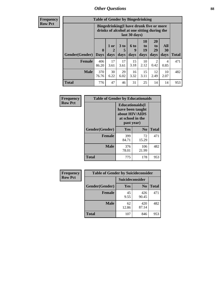# *Other Questions* **88**

**Frequency Row Pct**

| <b>Table of Gender by Bingedrinking</b> |                            |                                                                                                         |                   |                   |                        |                               |                   |              |
|-----------------------------------------|----------------------------|---------------------------------------------------------------------------------------------------------|-------------------|-------------------|------------------------|-------------------------------|-------------------|--------------|
|                                         |                            | Bingedrinking(I have drunk five or more<br>drinks of alcohol at one sitting during the<br>last 30 days) |                   |                   |                        |                               |                   |              |
| <b>Gender</b> (Gender)                  | $\mathbf 0$<br><b>Days</b> | 1 or<br>2<br>days                                                                                       | 3 to<br>5<br>days | 6 to<br>9<br>days | 10<br>to<br>19<br>days | <b>20</b><br>to<br>29<br>days | All<br>30<br>days | <b>Total</b> |
| <b>Female</b>                           | 406<br>86.20               | 17<br>3.61                                                                                              | 17<br>3.61        | 15<br>3.18        | 10<br>2.12             | 2<br>0.42                     | 4<br>0.85         | 471          |
| <b>Male</b>                             | 370<br>76.76               | 30<br>6.22                                                                                              | 29<br>6.02        | 16<br>3.32        | 15<br>3.11             | 12<br>2.49                    | 10<br>2.07        | 482          |
| <b>Total</b>                            | 776                        | 47                                                                                                      | 46                | 31                | 25                     | 14                            | 14                | 953          |

| Frequency      |                |                                                                                                 | <b>Table of Gender by Educationaids</b> |              |  |
|----------------|----------------|-------------------------------------------------------------------------------------------------|-----------------------------------------|--------------|--|
| <b>Row Pct</b> |                | <b>Educationaids</b> (I<br>have been taught<br>about HIV/AIDS<br>at school in the<br>past year) |                                         |              |  |
|                | Gender(Gender) | Yes                                                                                             | $\bf N_0$                               | <b>Total</b> |  |
|                | <b>Female</b>  | 399<br>84.71                                                                                    | 72<br>15.29                             | 471          |  |
|                | <b>Male</b>    | 376<br>78.01                                                                                    | 106<br>21.99                            | 482          |  |
|                | <b>Total</b>   | 775                                                                                             | 178                                     | 953          |  |

| <b>Frequency</b> | <b>Table of Gender by Suicideconsider</b> |                        |                |              |
|------------------|-------------------------------------------|------------------------|----------------|--------------|
| <b>Row Pct</b>   |                                           | <b>Suicideconsider</b> |                |              |
|                  | Gender(Gender)                            | Yes                    | N <sub>0</sub> | <b>Total</b> |
|                  | <b>Female</b>                             | 45<br>9.55             | 426<br>90.45   | 471          |
|                  | <b>Male</b>                               | 62<br>12.86            | 420<br>87.14   | 482          |
|                  | <b>Total</b>                              | 107                    | 846            | 953          |